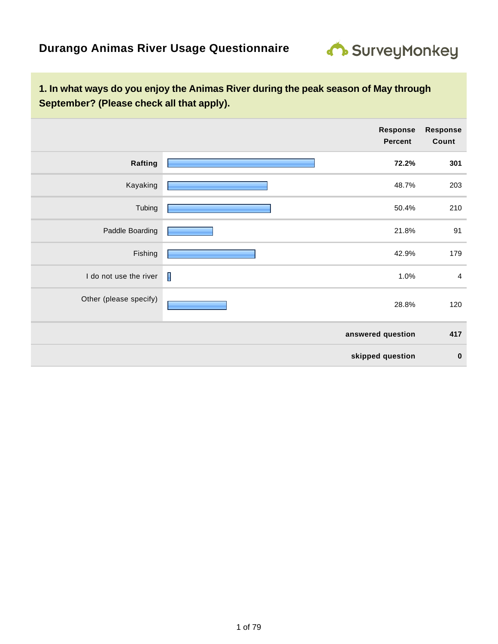

|                        |                | Response<br><b>Percent</b> | <b>Response</b><br>Count |
|------------------------|----------------|----------------------------|--------------------------|
| Rafting                |                | 72.2%                      | 301                      |
| Kayaking               |                | 48.7%                      | 203                      |
| Tubing                 |                | 50.4%                      | 210                      |
| Paddle Boarding        |                | 21.8%                      | 91                       |
| Fishing                |                | 42.9%                      | 179                      |
| I do not use the river | $\blacksquare$ | 1.0%                       | 4                        |
| Other (please specify) |                | 28.8%                      | 120                      |
|                        |                | answered question          | 417                      |
|                        |                | skipped question           | $\bf{0}$                 |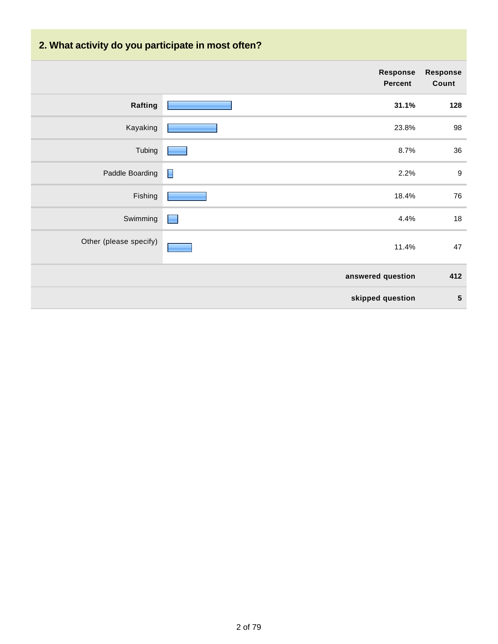# **2. What activity do you participate in most often?**

|                        | Response<br><b>Percent</b> | <b>Response</b><br>Count |
|------------------------|----------------------------|--------------------------|
| Rafting                | 31.1%                      | 128                      |
| Kayaking               | 23.8%                      | 98                       |
| Tubing                 | 8.7%                       | 36                       |
| Paddle Boarding        | E<br>2.2%                  | $\boldsymbol{9}$         |
| Fishing                | 18.4%                      | 76                       |
| Swimming               | 4.4%                       | 18                       |
| Other (please specify) | 11.4%                      | 47                       |
|                        | answered question          | 412                      |
|                        | skipped question           | $5\phantom{1}$           |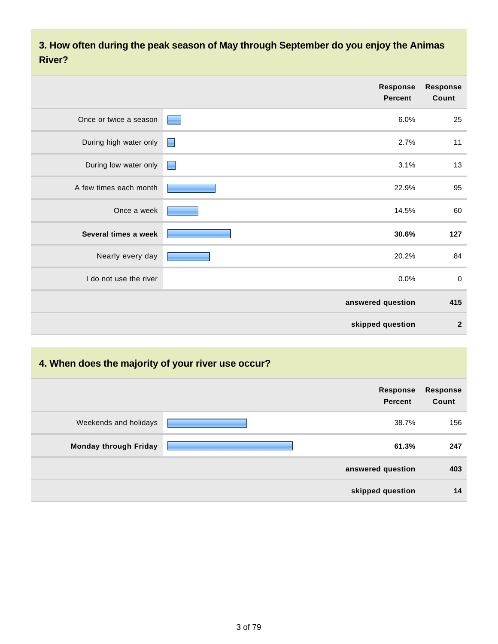**3. How often during the peak season of May through September do you enjoy the Animas River?**

|                        | Response<br><b>Percent</b> | <b>Response</b><br>Count |
|------------------------|----------------------------|--------------------------|
| Once or twice a season | 6.0%                       | 25                       |
| During high water only | 2.7%<br>Н                  | 11                       |
| During low water only  | 3.1%<br>E                  | 13                       |
| A few times each month | 22.9%                      | 95                       |
| Once a week            | 14.5%                      | 60                       |
| Several times a week   | 30.6%                      | 127                      |
| Nearly every day       | 20.2%                      | 84                       |
| I do not use the river | 0.0%                       | $\boldsymbol{0}$         |
|                        | answered question          | 415                      |
|                        | skipped question           | $\overline{2}$           |

# **4. When does the majority of your river use occur?**

|                              | <b>Response</b><br><b>Percent</b> | <b>Response</b><br>Count |
|------------------------------|-----------------------------------|--------------------------|
| Weekends and holidays        | 38.7%                             | 156                      |
| <b>Monday through Friday</b> | 61.3%                             | 247                      |
|                              | answered question                 | 403                      |
|                              | skipped question                  | 14                       |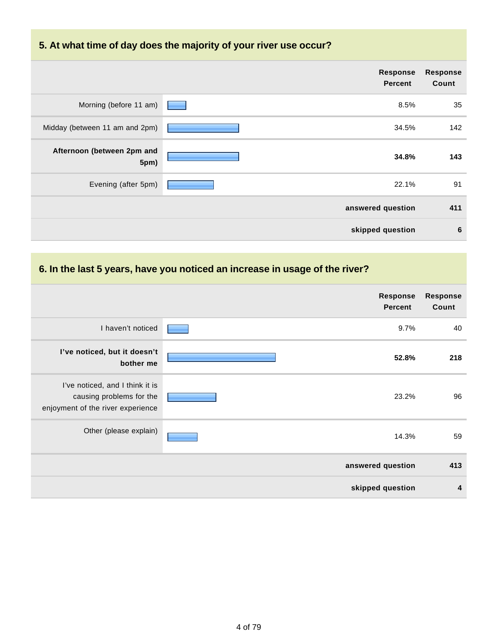# **5. At what time of day does the majority of your river use occur?**

|                                    | <b>Response</b><br><b>Percent</b> | Response<br>Count |
|------------------------------------|-----------------------------------|-------------------|
| Morning (before 11 am)             | 8.5%                              | 35                |
| Midday (between 11 am and 2pm)     | 34.5%                             | 142               |
| Afternoon (between 2pm and<br>5pm) | 34.8%                             | 143               |
| Evening (after 5pm)                | 22.1%                             | 91                |
|                                    | answered question                 | 411               |
|                                    | skipped question                  | 6                 |

# **6. In the last 5 years, have you noticed an increase in usage of the river?**

|                                                                                                  | <b>Response</b><br><b>Percent</b> | <b>Response</b><br>Count |
|--------------------------------------------------------------------------------------------------|-----------------------------------|--------------------------|
| I haven't noticed                                                                                | 9.7%                              | 40                       |
| I've noticed, but it doesn't<br>bother me                                                        | 52.8%                             | 218                      |
| I've noticed, and I think it is<br>causing problems for the<br>enjoyment of the river experience | 23.2%                             | 96                       |
| Other (please explain)                                                                           | 14.3%                             | 59                       |
|                                                                                                  | answered question                 | 413                      |
|                                                                                                  | skipped question                  | 4                        |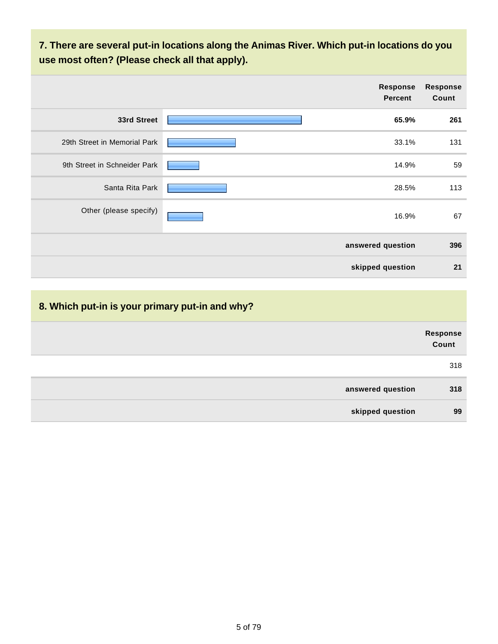**7. There are several put-in locations along the Animas River. Which put-in locations do you use most often? (Please check all that apply).**

|                              | <b>Response</b><br><b>Percent</b> | <b>Response</b><br>Count |
|------------------------------|-----------------------------------|--------------------------|
| 33rd Street                  | 65.9%                             | 261                      |
| 29th Street in Memorial Park | 33.1%                             | 131                      |
| 9th Street in Schneider Park | 14.9%                             | 59                       |
| Santa Rita Park              | 28.5%                             | 113                      |
| Other (please specify)       | 16.9%                             | 67                       |
|                              | answered question                 | 396                      |
|                              | skipped question                  | 21                       |

|                   | Response<br>Count |
|-------------------|-------------------|
|                   | 318               |
| answered question | 318               |
| skipped question  | 99                |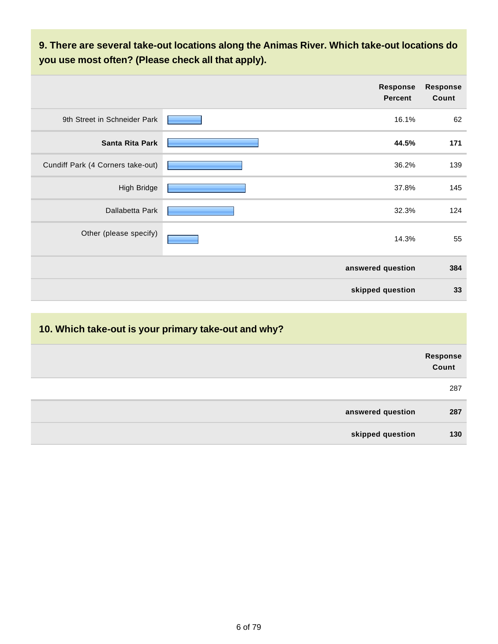**9. There are several take-out locations along the Animas River. Which take-out locations do you use most often? (Please check all that apply).**

|                                   | <b>Response</b><br><b>Percent</b> | <b>Response</b><br>Count |
|-----------------------------------|-----------------------------------|--------------------------|
| 9th Street in Schneider Park      | 16.1%                             | 62                       |
| Santa Rita Park                   | 44.5%                             | 171                      |
| Cundiff Park (4 Corners take-out) | 36.2%                             | 139                      |
| High Bridge                       | 37.8%                             | 145                      |
| Dallabetta Park                   | 32.3%                             | 124                      |
| Other (please specify)            | 14.3%                             | 55                       |
|                                   | answered question                 | 384                      |
|                                   | skipped question                  | 33                       |

# **10. Which take-out is your primary take-out and why? Response Count** 287 **answered question 287 skipped question 130**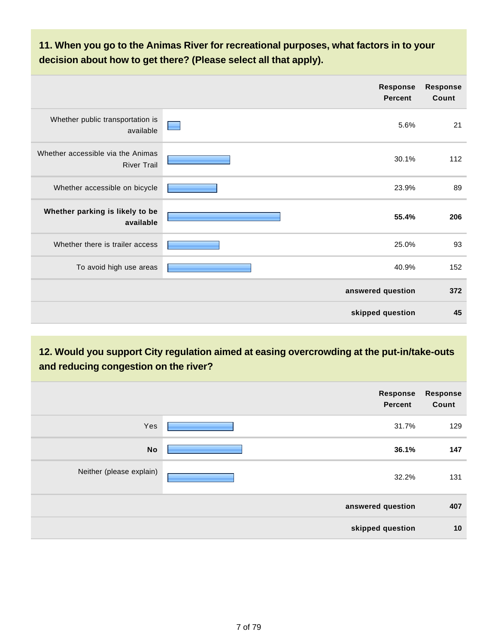**11. When you go to the Animas River for recreational purposes, what factors in to your decision about how to get there? (Please select all that apply).**

|                                                         | <b>Response</b><br><b>Percent</b> | <b>Response</b><br>Count |
|---------------------------------------------------------|-----------------------------------|--------------------------|
| Whether public transportation is<br>available           | 5.6%                              | 21                       |
| Whether accessible via the Animas<br><b>River Trail</b> | 30.1%                             | 112                      |
| Whether accessible on bicycle                           | 23.9%                             | 89                       |
| Whether parking is likely to be<br>available            | 55.4%                             | 206                      |
| Whether there is trailer access                         | 25.0%                             | 93                       |
| To avoid high use areas                                 | 40.9%                             | 152                      |
|                                                         | answered question                 | 372                      |
|                                                         | skipped question                  | 45                       |

**12. Would you support City regulation aimed at easing overcrowding at the put-in/take-outs and reducing congestion on the river?**

|                          | Response<br><b>Percent</b> | <b>Response</b><br>Count |
|--------------------------|----------------------------|--------------------------|
| Yes                      | 31.7%                      | 129                      |
| <b>No</b>                | 36.1%                      | 147                      |
| Neither (please explain) | 32.2%                      | 131                      |
|                          | answered question          | 407                      |
|                          | skipped question           | 10                       |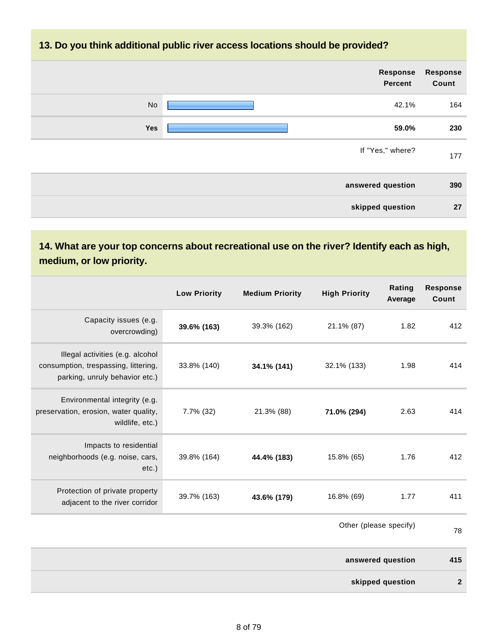## **13. Do you think additional public river access locations should be provided?**

| Response<br>Count | <b>Response</b><br>Percent |     |
|-------------------|----------------------------|-----|
| 164               | 42.1%                      | No  |
| 230               | 59.0%                      | Yes |
| 177               | If "Yes," where?           |     |
| 390               | answered question          |     |
| 27                | skipped question           |     |

# **14. What are your top concerns about recreational use on the river? Identify each as high, medium, or low priority.**

|                                                                                                            | <b>Low Priority</b> | <b>Medium Priority</b> | <b>High Priority</b>   | Rating<br>Average | <b>Response</b><br>Count |
|------------------------------------------------------------------------------------------------------------|---------------------|------------------------|------------------------|-------------------|--------------------------|
| Capacity issues (e.g.<br>overcrowding)                                                                     | 39.6% (163)         | 39.3% (162)            | 21.1% (87)             | 1.82              | 412                      |
| Illegal activities (e.g. alcohol<br>consumption, trespassing, littering,<br>parking, unruly behavior etc.) | 33.8% (140)         | 34.1% (141)            | 32.1% (133)            | 1.98              | 414                      |
| Environmental integrity (e.g.<br>preservation, erosion, water quality,<br>wildlife, etc.)                  | 7.7% (32)           | 21.3% (88)             | 71.0% (294)            | 2.63              | 414                      |
| Impacts to residential<br>neighborhoods (e.g. noise, cars,<br>$etc.$ )                                     | 39.8% (164)         | 44.4% (183)            | 15.8% (65)             | 1.76              | 412                      |
| Protection of private property<br>adjacent to the river corridor                                           | 39.7% (163)         | 43.6% (179)            | 16.8% (69)             | 1.77              | 411                      |
|                                                                                                            |                     |                        | Other (please specify) |                   | 78                       |
|                                                                                                            |                     |                        |                        | answered question | 415                      |
|                                                                                                            |                     |                        |                        | skipped question  | $\overline{2}$           |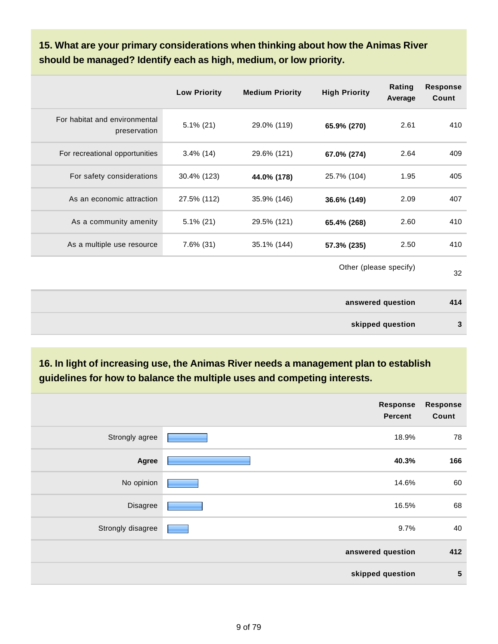**15. What are your primary considerations when thinking about how the Animas River should be managed? Identify each as high, medium, or low priority.**

|                                               | <b>Low Priority</b> | <b>Medium Priority</b> | <b>High Priority</b>   | Rating<br>Average | <b>Response</b><br>Count |
|-----------------------------------------------|---------------------|------------------------|------------------------|-------------------|--------------------------|
| For habitat and environmental<br>preservation | $5.1\%$ (21)        | 29.0% (119)            | 65.9% (270)            | 2.61              | 410                      |
| For recreational opportunities                | $3.4\%$ (14)        | 29.6% (121)            | 67.0% (274)            | 2.64              | 409                      |
| For safety considerations                     | 30.4% (123)         | 44.0% (178)            | 25.7% (104)            | 1.95              | 405                      |
| As an economic attraction                     | 27.5% (112)         | 35.9% (146)            | 36.6% (149)            | 2.09              | 407                      |
| As a community amenity                        | $5.1\%$ (21)        | 29.5% (121)            | 65.4% (268)            | 2.60              | 410                      |
| As a multiple use resource                    | $7.6\%$ (31)        | 35.1% (144)            | 57.3% (235)            | 2.50              | 410                      |
|                                               |                     |                        | Other (please specify) |                   | 32                       |
|                                               |                     |                        |                        | answered question | 414                      |
|                                               |                     |                        |                        | skipped question  | 3                        |

**16. In light of increasing use, the Animas River needs a management plan to establish guidelines for how to balance the multiple uses and competing interests.**

|                   | <b>Response</b><br>Percent | <b>Response</b><br>Count |
|-------------------|----------------------------|--------------------------|
| Strongly agree    | 18.9%                      | 78                       |
| Agree             | 40.3%                      | 166                      |
| No opinion        | 14.6%                      | 60                       |
| Disagree          | 16.5%                      | 68                       |
| Strongly disagree | 9.7%                       | 40                       |
|                   | answered question          | 412                      |
|                   | skipped question           | $5\phantom{1}$           |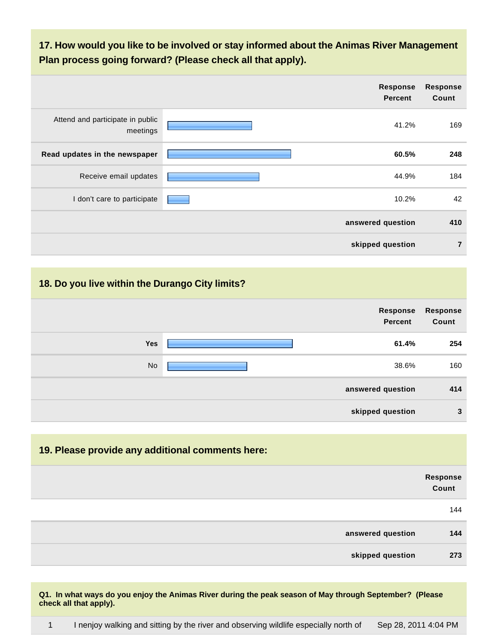**17. How would you like to be involved or stay informed about the Animas River Management Plan process going forward? (Please check all that apply).**

|                                              | Response<br><b>Percent</b> | <b>Response</b><br>Count |
|----------------------------------------------|----------------------------|--------------------------|
| Attend and participate in public<br>meetings | 41.2%                      | 169                      |
| Read updates in the newspaper                | 60.5%                      | 248                      |
| Receive email updates                        | 44.9%                      | 184                      |
| I don't care to participate                  | 10.2%                      | 42                       |
|                                              | answered question          | 410                      |
|                                              | skipped question           | $\overline{7}$           |

## **18. Do you live within the Durango City limits?**

|            | Response<br>Percent | <b>Response</b><br>Count |
|------------|---------------------|--------------------------|
| <b>Yes</b> | 61.4%               | 254                      |
| <b>No</b>  | 38.6%               | 160                      |
|            | answered question   | 414                      |
|            | skipped question    | 3                        |

# **19. Please provide any additional comments here: Response Count** 144 **answered question 144 skipped question 273**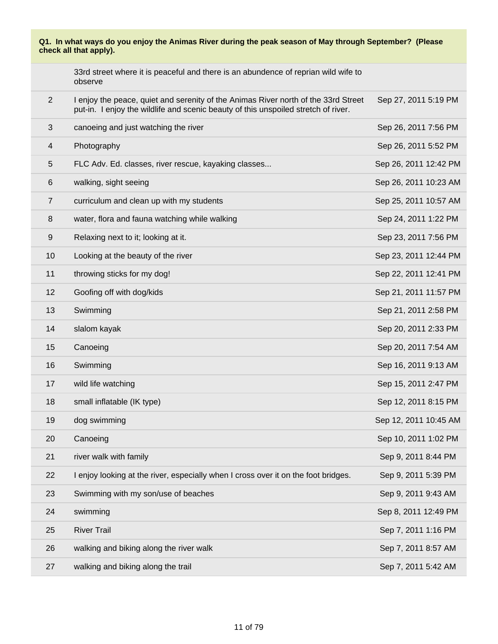|                  | 33rd street where it is peaceful and there is an abundence of reprian wild wife to<br>observe                                                                            |                       |
|------------------|--------------------------------------------------------------------------------------------------------------------------------------------------------------------------|-----------------------|
| 2                | I enjoy the peace, quiet and serenity of the Animas River north of the 33rd Street<br>put-in. I enjoy the wildlife and scenic beauty of this unspoiled stretch of river. | Sep 27, 2011 5:19 PM  |
| 3                | canoeing and just watching the river                                                                                                                                     | Sep 26, 2011 7:56 PM  |
| 4                | Photography                                                                                                                                                              | Sep 26, 2011 5:52 PM  |
| 5                | FLC Adv. Ed. classes, river rescue, kayaking classes                                                                                                                     | Sep 26, 2011 12:42 PM |
| 6                | walking, sight seeing                                                                                                                                                    | Sep 26, 2011 10:23 AM |
| $\overline{7}$   | curriculum and clean up with my students                                                                                                                                 | Sep 25, 2011 10:57 AM |
| 8                | water, flora and fauna watching while walking                                                                                                                            | Sep 24, 2011 1:22 PM  |
| $\boldsymbol{9}$ | Relaxing next to it; looking at it.                                                                                                                                      | Sep 23, 2011 7:56 PM  |
| 10               | Looking at the beauty of the river                                                                                                                                       | Sep 23, 2011 12:44 PM |
| 11               | throwing sticks for my dog!                                                                                                                                              | Sep 22, 2011 12:41 PM |
| 12               | Goofing off with dog/kids                                                                                                                                                | Sep 21, 2011 11:57 PM |
| 13               | Swimming                                                                                                                                                                 | Sep 21, 2011 2:58 PM  |
| 14               | slalom kayak                                                                                                                                                             | Sep 20, 2011 2:33 PM  |
| 15               | Canoeing                                                                                                                                                                 | Sep 20, 2011 7:54 AM  |
| 16               | Swimming                                                                                                                                                                 | Sep 16, 2011 9:13 AM  |
| 17               | wild life watching                                                                                                                                                       | Sep 15, 2011 2:47 PM  |
| 18               | small inflatable (IK type)                                                                                                                                               | Sep 12, 2011 8:15 PM  |
| 19               | dog swimming                                                                                                                                                             | Sep 12, 2011 10:45 AM |
| 20               | Canoeing                                                                                                                                                                 | Sep 10, 2011 1:02 PM  |
| 21               | river walk with family                                                                                                                                                   | Sep 9, 2011 8:44 PM   |
| 22               | I enjoy looking at the river, especially when I cross over it on the foot bridges.                                                                                       | Sep 9, 2011 5:39 PM   |
| 23               | Swimming with my son/use of beaches                                                                                                                                      | Sep 9, 2011 9:43 AM   |
| 24               | swimming                                                                                                                                                                 | Sep 8, 2011 12:49 PM  |
| 25               | <b>River Trail</b>                                                                                                                                                       | Sep 7, 2011 1:16 PM   |
| 26               | walking and biking along the river walk                                                                                                                                  | Sep 7, 2011 8:57 AM   |
| 27               | walking and biking along the trail                                                                                                                                       | Sep 7, 2011 5:42 AM   |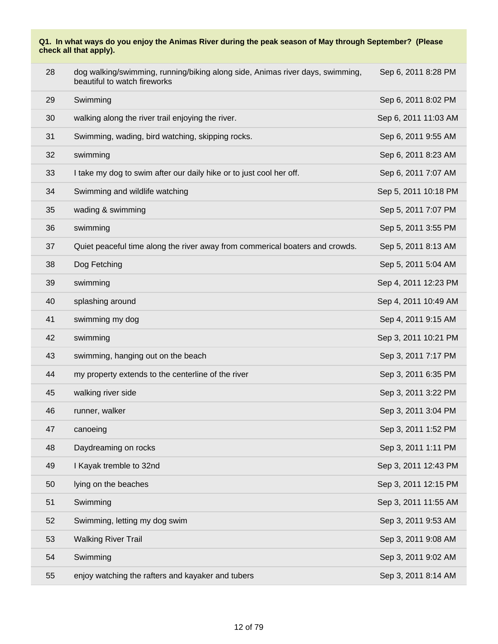| 28 | dog walking/swimming, running/biking along side, Animas river days, swimming,<br>beautiful to watch fireworks | Sep 6, 2011 8:28 PM  |
|----|---------------------------------------------------------------------------------------------------------------|----------------------|
| 29 | Swimming                                                                                                      | Sep 6, 2011 8:02 PM  |
| 30 | walking along the river trail enjoying the river.                                                             | Sep 6, 2011 11:03 AM |
| 31 | Swimming, wading, bird watching, skipping rocks.                                                              | Sep 6, 2011 9:55 AM  |
| 32 | swimming                                                                                                      | Sep 6, 2011 8:23 AM  |
| 33 | I take my dog to swim after our daily hike or to just cool her off.                                           | Sep 6, 2011 7:07 AM  |
| 34 | Swimming and wildlife watching                                                                                | Sep 5, 2011 10:18 PM |
| 35 | wading & swimming                                                                                             | Sep 5, 2011 7:07 PM  |
| 36 | swimming                                                                                                      | Sep 5, 2011 3:55 PM  |
| 37 | Quiet peaceful time along the river away from commerical boaters and crowds.                                  | Sep 5, 2011 8:13 AM  |
| 38 | Dog Fetching                                                                                                  | Sep 5, 2011 5:04 AM  |
| 39 | swimming                                                                                                      | Sep 4, 2011 12:23 PM |
| 40 | splashing around                                                                                              | Sep 4, 2011 10:49 AM |
| 41 | swimming my dog                                                                                               | Sep 4, 2011 9:15 AM  |
| 42 | swimming                                                                                                      | Sep 3, 2011 10:21 PM |
| 43 | swimming, hanging out on the beach                                                                            | Sep 3, 2011 7:17 PM  |
| 44 | my property extends to the centerline of the river                                                            | Sep 3, 2011 6:35 PM  |
| 45 | walking river side                                                                                            | Sep 3, 2011 3:22 PM  |
| 46 | runner, walker                                                                                                | Sep 3, 2011 3:04 PM  |
| 47 | canoeing                                                                                                      | Sep 3, 2011 1:52 PM  |
| 48 | Daydreaming on rocks                                                                                          | Sep 3, 2011 1:11 PM  |
| 49 | I Kayak tremble to 32nd                                                                                       | Sep 3, 2011 12:43 PM |
| 50 | lying on the beaches                                                                                          | Sep 3, 2011 12:15 PM |
| 51 | Swimming                                                                                                      | Sep 3, 2011 11:55 AM |
| 52 | Swimming, letting my dog swim                                                                                 | Sep 3, 2011 9:53 AM  |
| 53 | <b>Walking River Trail</b>                                                                                    | Sep 3, 2011 9:08 AM  |
| 54 | Swimming                                                                                                      | Sep 3, 2011 9:02 AM  |
| 55 | enjoy watching the rafters and kayaker and tubers                                                             | Sep 3, 2011 8:14 AM  |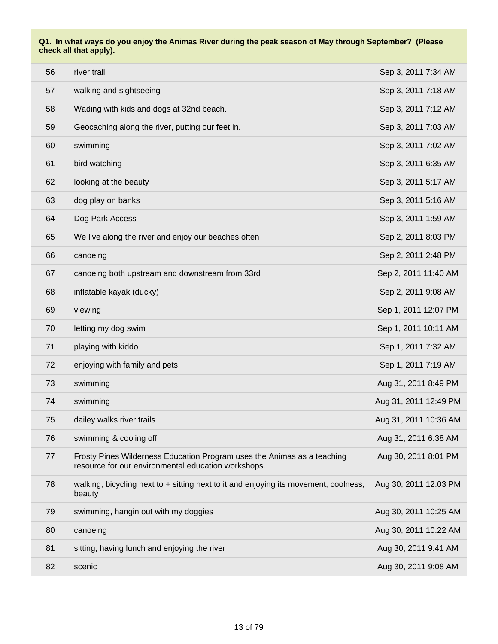| 56 | river trail                                                                                                                    | Sep 3, 2011 7:34 AM   |
|----|--------------------------------------------------------------------------------------------------------------------------------|-----------------------|
| 57 | walking and sightseeing                                                                                                        | Sep 3, 2011 7:18 AM   |
| 58 | Wading with kids and dogs at 32nd beach.                                                                                       | Sep 3, 2011 7:12 AM   |
| 59 | Geocaching along the river, putting our feet in.                                                                               | Sep 3, 2011 7:03 AM   |
| 60 | swimming                                                                                                                       | Sep 3, 2011 7:02 AM   |
| 61 | bird watching                                                                                                                  | Sep 3, 2011 6:35 AM   |
| 62 | looking at the beauty                                                                                                          | Sep 3, 2011 5:17 AM   |
| 63 | dog play on banks                                                                                                              | Sep 3, 2011 5:16 AM   |
| 64 | Dog Park Access                                                                                                                | Sep 3, 2011 1:59 AM   |
| 65 | We live along the river and enjoy our beaches often                                                                            | Sep 2, 2011 8:03 PM   |
| 66 | canoeing                                                                                                                       | Sep 2, 2011 2:48 PM   |
| 67 | canoeing both upstream and downstream from 33rd                                                                                | Sep 2, 2011 11:40 AM  |
| 68 | inflatable kayak (ducky)                                                                                                       | Sep 2, 2011 9:08 AM   |
| 69 | viewing                                                                                                                        | Sep 1, 2011 12:07 PM  |
| 70 | letting my dog swim                                                                                                            | Sep 1, 2011 10:11 AM  |
| 71 | playing with kiddo                                                                                                             | Sep 1, 2011 7:32 AM   |
| 72 | enjoying with family and pets                                                                                                  | Sep 1, 2011 7:19 AM   |
| 73 | swimming                                                                                                                       | Aug 31, 2011 8:49 PM  |
| 74 | swimming                                                                                                                       | Aug 31, 2011 12:49 PM |
| 75 | dailey walks river trails                                                                                                      | Aug 31, 2011 10:36 AM |
| 76 | swimming & cooling off                                                                                                         | Aug 31, 2011 6:38 AM  |
| 77 | Frosty Pines Wilderness Education Program uses the Animas as a teaching<br>resource for our environmental education workshops. | Aug 30, 2011 8:01 PM  |
| 78 | walking, bicycling next to $+$ sitting next to it and enjoying its movement, coolness,<br>beauty                               | Aug 30, 2011 12:03 PM |
| 79 | swimming, hangin out with my doggies                                                                                           | Aug 30, 2011 10:25 AM |
| 80 | canoeing                                                                                                                       | Aug 30, 2011 10:22 AM |
| 81 | sitting, having lunch and enjoying the river                                                                                   | Aug 30, 2011 9:41 AM  |
| 82 | scenic                                                                                                                         | Aug 30, 2011 9:08 AM  |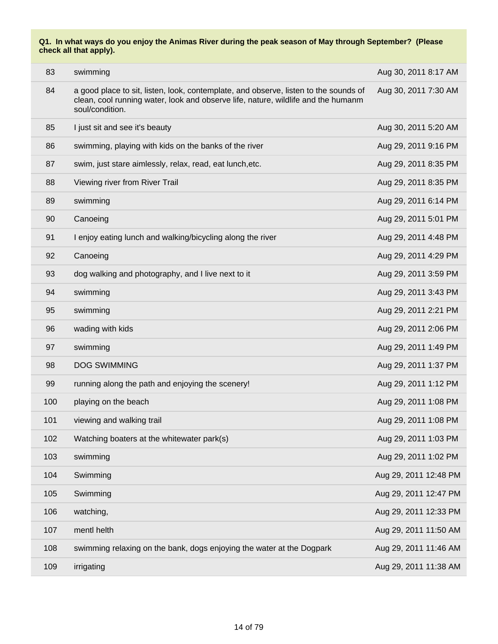| 83  | swimming                                                                                                                                                                                     | Aug 30, 2011 8:17 AM  |
|-----|----------------------------------------------------------------------------------------------------------------------------------------------------------------------------------------------|-----------------------|
| 84  | a good place to sit, listen, look, contemplate, and observe, listen to the sounds of<br>clean, cool running water, look and observe life, nature, wildlife and the humanm<br>soul/condition. | Aug 30, 2011 7:30 AM  |
| 85  | I just sit and see it's beauty                                                                                                                                                               | Aug 30, 2011 5:20 AM  |
| 86  | swimming, playing with kids on the banks of the river                                                                                                                                        | Aug 29, 2011 9:16 PM  |
| 87  | swim, just stare aimlessly, relax, read, eat lunch, etc.                                                                                                                                     | Aug 29, 2011 8:35 PM  |
| 88  | Viewing river from River Trail                                                                                                                                                               | Aug 29, 2011 8:35 PM  |
| 89  | swimming                                                                                                                                                                                     | Aug 29, 2011 6:14 PM  |
| 90  | Canoeing                                                                                                                                                                                     | Aug 29, 2011 5:01 PM  |
| 91  | I enjoy eating lunch and walking/bicycling along the river                                                                                                                                   | Aug 29, 2011 4:48 PM  |
| 92  | Canoeing                                                                                                                                                                                     | Aug 29, 2011 4:29 PM  |
| 93  | dog walking and photography, and I live next to it                                                                                                                                           | Aug 29, 2011 3:59 PM  |
| 94  | swimming                                                                                                                                                                                     | Aug 29, 2011 3:43 PM  |
| 95  | swimming                                                                                                                                                                                     | Aug 29, 2011 2:21 PM  |
| 96  | wading with kids                                                                                                                                                                             | Aug 29, 2011 2:06 PM  |
| 97  | swimming                                                                                                                                                                                     | Aug 29, 2011 1:49 PM  |
| 98  | <b>DOG SWIMMING</b>                                                                                                                                                                          | Aug 29, 2011 1:37 PM  |
| 99  | running along the path and enjoying the scenery!                                                                                                                                             | Aug 29, 2011 1:12 PM  |
| 100 | playing on the beach                                                                                                                                                                         | Aug 29, 2011 1:08 PM  |
| 101 | viewing and walking trail                                                                                                                                                                    | Aug 29, 2011 1:08 PM  |
| 102 | Watching boaters at the whitewater park(s)                                                                                                                                                   | Aug 29, 2011 1:03 PM  |
| 103 | swimming                                                                                                                                                                                     | Aug 29, 2011 1:02 PM  |
| 104 | Swimming                                                                                                                                                                                     | Aug 29, 2011 12:48 PM |
| 105 | Swimming                                                                                                                                                                                     | Aug 29, 2011 12:47 PM |
| 106 | watching,                                                                                                                                                                                    | Aug 29, 2011 12:33 PM |
| 107 | mentl helth                                                                                                                                                                                  | Aug 29, 2011 11:50 AM |
| 108 | swimming relaxing on the bank, dogs enjoying the water at the Dogpark                                                                                                                        | Aug 29, 2011 11:46 AM |
| 109 | irrigating                                                                                                                                                                                   | Aug 29, 2011 11:38 AM |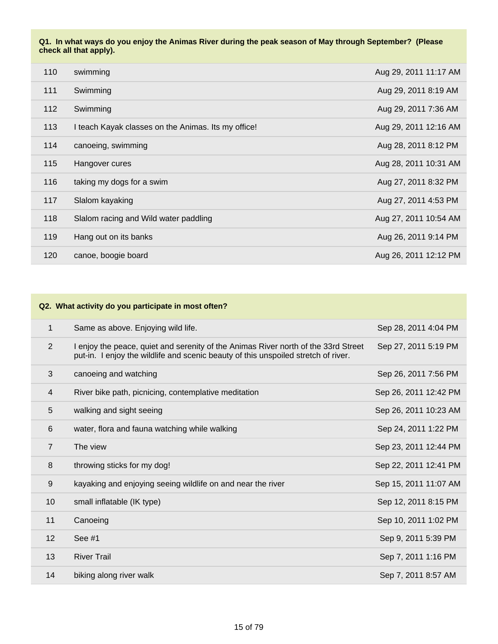| 110 | swimming                                            | Aug 29, 2011 11:17 AM |
|-----|-----------------------------------------------------|-----------------------|
| 111 | Swimming                                            | Aug 29, 2011 8:19 AM  |
| 112 | Swimming                                            | Aug 29, 2011 7:36 AM  |
| 113 | I teach Kayak classes on the Animas. Its my office! | Aug 29, 2011 12:16 AM |
| 114 | canoeing, swimming                                  | Aug 28, 2011 8:12 PM  |
| 115 | Hangover cures                                      | Aug 28, 2011 10:31 AM |
| 116 | taking my dogs for a swim                           | Aug 27, 2011 8:32 PM  |
| 117 | Slalom kayaking                                     | Aug 27, 2011 4:53 PM  |
| 118 | Slalom racing and Wild water paddling               | Aug 27, 2011 10:54 AM |
| 119 | Hang out on its banks                               | Aug 26, 2011 9:14 PM  |
| 120 | canoe, boogie board                                 | Aug 26, 2011 12:12 PM |

#### **Q2. What activity do you participate in most often?**

| 1              | Same as above. Enjoying wild life.                                                                                                                                       | Sep 28, 2011 4:04 PM  |
|----------------|--------------------------------------------------------------------------------------------------------------------------------------------------------------------------|-----------------------|
| 2              | I enjoy the peace, quiet and serenity of the Animas River north of the 33rd Street<br>put-in. I enjoy the wildlife and scenic beauty of this unspoiled stretch of river. | Sep 27, 2011 5:19 PM  |
| 3              | canoeing and watching                                                                                                                                                    | Sep 26, 2011 7:56 PM  |
| $\overline{4}$ | River bike path, picnicing, contemplative meditation                                                                                                                     | Sep 26, 2011 12:42 PM |
| 5              | walking and sight seeing                                                                                                                                                 | Sep 26, 2011 10:23 AM |
| 6              | water, flora and fauna watching while walking                                                                                                                            | Sep 24, 2011 1:22 PM  |
| $\overline{7}$ | The view                                                                                                                                                                 | Sep 23, 2011 12:44 PM |
| 8              | throwing sticks for my dog!                                                                                                                                              | Sep 22, 2011 12:41 PM |
| 9              | kayaking and enjoying seeing wildlife on and near the river                                                                                                              | Sep 15, 2011 11:07 AM |
| 10             | small inflatable (IK type)                                                                                                                                               | Sep 12, 2011 8:15 PM  |
| 11             | Canoeing                                                                                                                                                                 | Sep 10, 2011 1:02 PM  |
| 12             | See $#1$                                                                                                                                                                 | Sep 9, 2011 5:39 PM   |
| 13             | <b>River Trail</b>                                                                                                                                                       | Sep 7, 2011 1:16 PM   |
| 14             | biking along river walk                                                                                                                                                  | Sep 7, 2011 8:57 AM   |
|                |                                                                                                                                                                          |                       |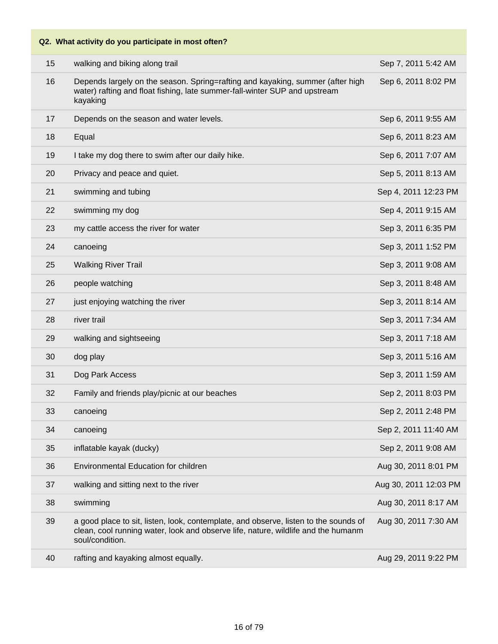# **Q2. What activity do you participate in most often?** 15 walking and biking along trail Sep 7, 2011 5:42 AM 16 Depends largely on the season. Spring=rafting and kayaking, summer (after high water) rafting and float fishing, late summer-fall-winter SUP and upstream kayaking Sep 6, 2011 8:02 PM 17 Depends on the season and water levels. Sep 6, 2011 9:55 AM 18 Equal Sep 6, 2011 8:23 AM 19 I take my dog there to swim after our daily hike. Sep 6, 2011 7:07 AM 20 Privacy and peace and quiet. Sep 5, 2011 8:13 AM 21 swimming and tubing Sep 4, 2011 12:23 PM 22 swimming my dog Sep 4, 2011 9:15 AM 23 my cattle access the river for water Sep 3, 2011 6:35 PM 24 canoeing Sep 3, 2011 1:52 PM 25 Walking River Trail Sep 3, 2011 9:08 AM 26 people watching Sep 3, 2011 8:48 AM 27 iust enjoying watching the river Sep 3, 2011 8:14 AM 28 river trail Sep 3, 2011 7:34 AM 29 walking and sightseeing Sep 3, 2011 7:18 AM 30 dog play Sep 3, 2011 5:16 AM 31 Dog Park Access Sep 3, 2011 1:59 AM 32 Family and friends play/picnic at our beaches Sep 2, 2011 8:03 PM 33 canoeing Sep 2, 2011 2:48 PM 34 canoeing Sep 2, 2011 11:40 AM 35 inflatable kayak (ducky) Sep 2, 2011 9:08 AM 36 Environmental Education for children Aug 30, 2011 8:01 PM 37 walking and sitting next to the river Aug 30, 2011 12:03 PM 38 swimming Aug 30, 2011 8:17 AM 39 a good place to sit, listen, look, contemplate, and observe, listen to the sounds of clean, cool running water, look and observe life, nature, wildlife and the humanm Aug 30, 2011 7:30 AM

40 rafting and kayaking almost equally. Aug 29, 2011 9:22 PM

soul/condition.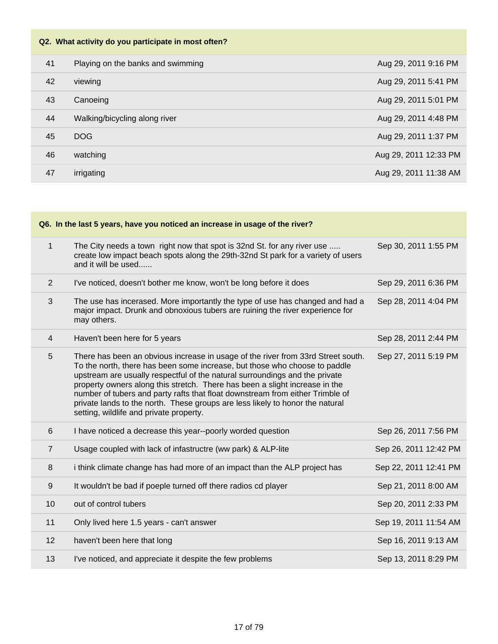## **Q2. What activity do you participate in most often?**

| 41 | Playing on the banks and swimming | Aug 29, 2011 9:16 PM  |
|----|-----------------------------------|-----------------------|
| 42 | viewing                           | Aug 29, 2011 5:41 PM  |
| 43 | Canoeing                          | Aug 29, 2011 5:01 PM  |
| 44 | Walking/bicycling along river     | Aug 29, 2011 4:48 PM  |
| 45 | <b>DOG</b>                        | Aug 29, 2011 1:37 PM  |
| 46 | watching                          | Aug 29, 2011 12:33 PM |
| 47 | irrigating                        | Aug 29, 2011 11:38 AM |

| Q6. In the last 5 years, have you noticed an increase in usage of the river? |                                                                                                                                                                                                                                                                                                                                                                                                                                                                                                                                           |                       |  |
|------------------------------------------------------------------------------|-------------------------------------------------------------------------------------------------------------------------------------------------------------------------------------------------------------------------------------------------------------------------------------------------------------------------------------------------------------------------------------------------------------------------------------------------------------------------------------------------------------------------------------------|-----------------------|--|
| $\mathbf{1}$                                                                 | The City needs a town right now that spot is 32nd St. for any river use<br>create low impact beach spots along the 29th-32nd St park for a variety of users<br>and it will be used                                                                                                                                                                                                                                                                                                                                                        | Sep 30, 2011 1:55 PM  |  |
| 2                                                                            | I've noticed, doesn't bother me know, won't be long before it does                                                                                                                                                                                                                                                                                                                                                                                                                                                                        | Sep 29, 2011 6:36 PM  |  |
| $\mathfrak{S}$                                                               | The use has incerased. More importantly the type of use has changed and had a<br>major impact. Drunk and obnoxious tubers are ruining the river experience for<br>may others.                                                                                                                                                                                                                                                                                                                                                             | Sep 28, 2011 4:04 PM  |  |
| $\overline{4}$                                                               | Haven't been here for 5 years                                                                                                                                                                                                                                                                                                                                                                                                                                                                                                             | Sep 28, 2011 2:44 PM  |  |
| 5                                                                            | There has been an obvious increase in usage of the river from 33rd Street south.<br>To the north, there has been some increase, but those who choose to paddle<br>upstream are usually respectful of the natural surroundings and the private<br>property owners along this stretch. There has been a slight increase in the<br>number of tubers and party rafts that float downstream from either Trimble of<br>private lands to the north. These groups are less likely to honor the natural<br>setting, wildlife and private property. | Sep 27, 2011 5:19 PM  |  |
| 6                                                                            | I have noticed a decrease this year--poorly worded question                                                                                                                                                                                                                                                                                                                                                                                                                                                                               | Sep 26, 2011 7:56 PM  |  |
| $\overline{7}$                                                               | Usage coupled with lack of infastructre (ww park) & ALP-lite                                                                                                                                                                                                                                                                                                                                                                                                                                                                              | Sep 26, 2011 12:42 PM |  |
| 8                                                                            | i think climate change has had more of an impact than the ALP project has                                                                                                                                                                                                                                                                                                                                                                                                                                                                 | Sep 22, 2011 12:41 PM |  |
| 9                                                                            | It wouldn't be bad if poeple turned off there radios cd player                                                                                                                                                                                                                                                                                                                                                                                                                                                                            | Sep 21, 2011 8:00 AM  |  |
| 10                                                                           | out of control tubers                                                                                                                                                                                                                                                                                                                                                                                                                                                                                                                     | Sep 20, 2011 2:33 PM  |  |
| 11                                                                           | Only lived here 1.5 years - can't answer                                                                                                                                                                                                                                                                                                                                                                                                                                                                                                  | Sep 19, 2011 11:54 AM |  |
| 12                                                                           | haven't been here that long                                                                                                                                                                                                                                                                                                                                                                                                                                                                                                               | Sep 16, 2011 9:13 AM  |  |
| 13                                                                           | I've noticed, and appreciate it despite the few problems                                                                                                                                                                                                                                                                                                                                                                                                                                                                                  | Sep 13, 2011 8:29 PM  |  |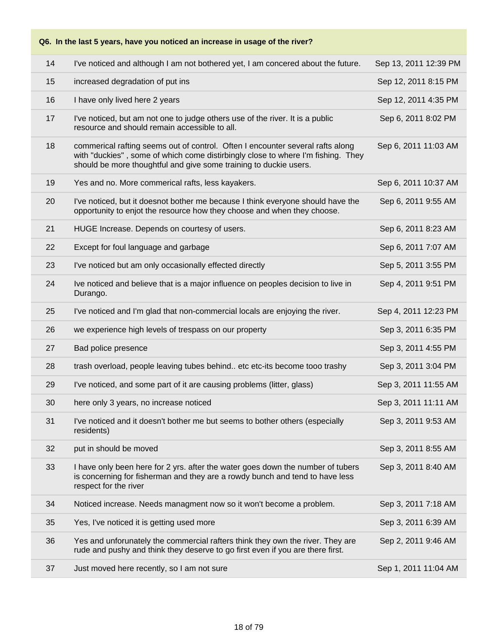### **Q6. In the last 5 years, have you noticed an increase in usage of the river?**

| 14 | I've noticed and although I am not bothered yet, I am concered about the future.                                                                                                                                                        | Sep 13, 2011 12:39 PM |
|----|-----------------------------------------------------------------------------------------------------------------------------------------------------------------------------------------------------------------------------------------|-----------------------|
| 15 | increased degradation of put ins                                                                                                                                                                                                        | Sep 12, 2011 8:15 PM  |
| 16 | I have only lived here 2 years                                                                                                                                                                                                          | Sep 12, 2011 4:35 PM  |
| 17 | I've noticed, but am not one to judge others use of the river. It is a public<br>resource and should remain accessible to all.                                                                                                          | Sep 6, 2011 8:02 PM   |
| 18 | commerical rafting seems out of control. Often I encounter several rafts along<br>with "duckies", some of which come distirbingly close to where I'm fishing. They<br>should be more thoughtful and give some training to duckie users. | Sep 6, 2011 11:03 AM  |
| 19 | Yes and no. More commerical rafts, less kayakers.                                                                                                                                                                                       | Sep 6, 2011 10:37 AM  |
| 20 | I've noticed, but it doesnot bother me because I think everyone should have the<br>opportunity to enjot the resource how they choose and when they choose.                                                                              | Sep 6, 2011 9:55 AM   |
| 21 | HUGE Increase. Depends on courtesy of users.                                                                                                                                                                                            | Sep 6, 2011 8:23 AM   |
| 22 | Except for foul language and garbage                                                                                                                                                                                                    | Sep 6, 2011 7:07 AM   |
| 23 | I've noticed but am only occasionally effected directly                                                                                                                                                                                 | Sep 5, 2011 3:55 PM   |
| 24 | Ive noticed and believe that is a major influence on peoples decision to live in<br>Durango.                                                                                                                                            | Sep 4, 2011 9:51 PM   |
| 25 | I've noticed and I'm glad that non-commercial locals are enjoying the river.                                                                                                                                                            | Sep 4, 2011 12:23 PM  |
| 26 | we experience high levels of trespass on our property                                                                                                                                                                                   | Sep 3, 2011 6:35 PM   |
| 27 | Bad police presence                                                                                                                                                                                                                     | Sep 3, 2011 4:55 PM   |
| 28 | trash overload, people leaving tubes behind etc etc-its become tooo trashy                                                                                                                                                              | Sep 3, 2011 3:04 PM   |
| 29 | I've noticed, and some part of it are causing problems (litter, glass)                                                                                                                                                                  | Sep 3, 2011 11:55 AM  |
| 30 | here only 3 years, no increase noticed                                                                                                                                                                                                  | Sep 3, 2011 11:11 AM  |
| 31 | I've noticed and it doesn't bother me but seems to bother others (especially<br>residents)                                                                                                                                              | Sep 3, 2011 9:53 AM   |
| 32 | put in should be moved                                                                                                                                                                                                                  | Sep 3, 2011 8:55 AM   |
| 33 | I have only been here for 2 yrs. after the water goes down the number of tubers<br>is concerning for fisherman and they are a rowdy bunch and tend to have less<br>respect for the river                                                | Sep 3, 2011 8:40 AM   |
| 34 | Noticed increase. Needs managment now so it won't become a problem.                                                                                                                                                                     | Sep 3, 2011 7:18 AM   |
| 35 | Yes, I've noticed it is getting used more                                                                                                                                                                                               | Sep 3, 2011 6:39 AM   |
| 36 | Yes and unforunately the commercial rafters think they own the river. They are<br>rude and pushy and think they deserve to go first even if you are there first.                                                                        | Sep 2, 2011 9:46 AM   |
| 37 | Just moved here recently, so I am not sure                                                                                                                                                                                              | Sep 1, 2011 11:04 AM  |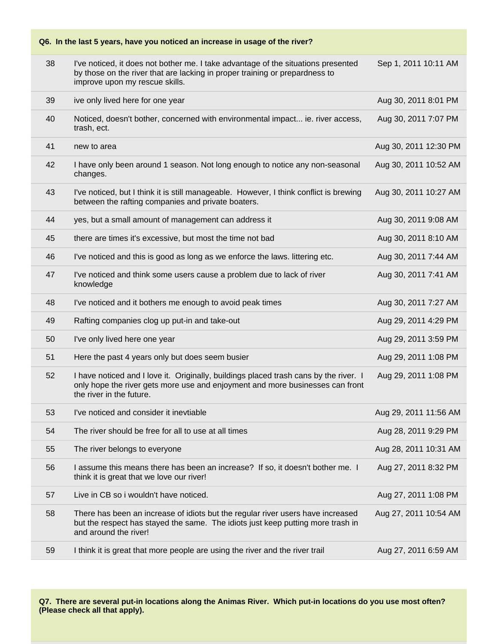## **Q6. In the last 5 years, have you noticed an increase in usage of the river?**

| 38 | I've noticed, it does not bother me. I take advantage of the situations presented<br>by those on the river that are lacking in proper training or prepardness to<br>improve upon my rescue skills. | Sep 1, 2011 10:11 AM  |
|----|----------------------------------------------------------------------------------------------------------------------------------------------------------------------------------------------------|-----------------------|
| 39 | ive only lived here for one year                                                                                                                                                                   | Aug 30, 2011 8:01 PM  |
| 40 | Noticed, doesn't bother, concerned with environmental impact ie. river access,<br>trash, ect.                                                                                                      | Aug 30, 2011 7:07 PM  |
| 41 | new to area                                                                                                                                                                                        | Aug 30, 2011 12:30 PM |
| 42 | I have only been around 1 season. Not long enough to notice any non-seasonal<br>changes.                                                                                                           | Aug 30, 2011 10:52 AM |
| 43 | I've noticed, but I think it is still manageable. However, I think conflict is brewing<br>between the rafting companies and private boaters.                                                       | Aug 30, 2011 10:27 AM |
| 44 | yes, but a small amount of management can address it                                                                                                                                               | Aug 30, 2011 9:08 AM  |
| 45 | there are times it's excessive, but most the time not bad                                                                                                                                          | Aug 30, 2011 8:10 AM  |
| 46 | I've noticed and this is good as long as we enforce the laws. littering etc.                                                                                                                       | Aug 30, 2011 7:44 AM  |
| 47 | I've noticed and think some users cause a problem due to lack of river<br>knowledge                                                                                                                | Aug 30, 2011 7:41 AM  |
| 48 | I've noticed and it bothers me enough to avoid peak times                                                                                                                                          | Aug 30, 2011 7:27 AM  |
| 49 | Rafting companies clog up put-in and take-out                                                                                                                                                      | Aug 29, 2011 4:29 PM  |
| 50 | I've only lived here one year                                                                                                                                                                      | Aug 29, 2011 3:59 PM  |
| 51 | Here the past 4 years only but does seem busier                                                                                                                                                    | Aug 29, 2011 1:08 PM  |
| 52 | I have noticed and I love it. Originally, buildings placed trash cans by the river. I<br>only hope the river gets more use and enjoyment and more businesses can front<br>the river in the future. | Aug 29, 2011 1:08 PM  |
| 53 | I've noticed and consider it inevtiable                                                                                                                                                            | Aug 29, 2011 11:56 AM |
| 54 | The river should be free for all to use at all times                                                                                                                                               | Aug 28, 2011 9:29 PM  |
| 55 | The river belongs to everyone                                                                                                                                                                      | Aug 28, 2011 10:31 AM |
| 56 | I assume this means there has been an increase? If so, it doesn't bother me. I<br>think it is great that we love our river!                                                                        | Aug 27, 2011 8:32 PM  |
| 57 | Live in CB so i wouldn't have noticed.                                                                                                                                                             | Aug 27, 2011 1:08 PM  |
| 58 | There has been an increase of idiots but the regular river users have increased<br>but the respect has stayed the same. The idiots just keep putting more trash in<br>and around the river!        | Aug 27, 2011 10:54 AM |
| 59 | I think it is great that more people are using the river and the river trail                                                                                                                       | Aug 27, 2011 6:59 AM  |
|    |                                                                                                                                                                                                    |                       |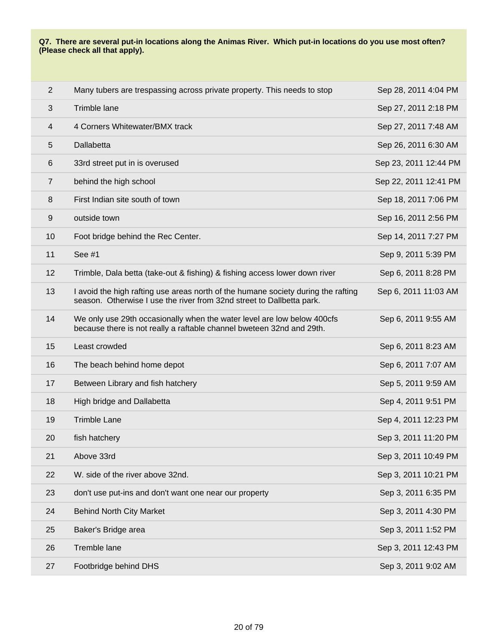#### **Q7. There are several put-in locations along the Animas River. Which put-in locations do you use most often? (Please check all that apply).**

| $\overline{2}$          | Many tubers are trespassing across private property. This needs to stop                                                                                    | Sep 28, 2011 4:04 PM  |
|-------------------------|------------------------------------------------------------------------------------------------------------------------------------------------------------|-----------------------|
| $\mathfrak{S}$          | Trimble lane                                                                                                                                               | Sep 27, 2011 2:18 PM  |
| $\overline{\mathbf{4}}$ | 4 Corners Whitewater/BMX track                                                                                                                             | Sep 27, 2011 7:48 AM  |
| $\overline{5}$          | Dallabetta                                                                                                                                                 | Sep 26, 2011 6:30 AM  |
| $6\,$                   | 33rd street put in is overused                                                                                                                             | Sep 23, 2011 12:44 PM |
| $\overline{7}$          | behind the high school                                                                                                                                     | Sep 22, 2011 12:41 PM |
| 8                       | First Indian site south of town                                                                                                                            | Sep 18, 2011 7:06 PM  |
| $\boldsymbol{9}$        | outside town                                                                                                                                               | Sep 16, 2011 2:56 PM  |
| 10                      | Foot bridge behind the Rec Center.                                                                                                                         | Sep 14, 2011 7:27 PM  |
| 11                      | See #1                                                                                                                                                     | Sep 9, 2011 5:39 PM   |
| 12                      | Trimble, Dala betta (take-out & fishing) & fishing access lower down river                                                                                 | Sep 6, 2011 8:28 PM   |
| 13                      | I avoid the high rafting use areas north of the humane society during the rafting<br>season. Otherwise I use the river from 32nd street to Dallbetta park. | Sep 6, 2011 11:03 AM  |
| 14                      | We only use 29th occasionally when the water level are low below 400cfs<br>because there is not really a raftable channel bweteen 32nd and 29th.           | Sep 6, 2011 9:55 AM   |
| 15                      | Least crowded                                                                                                                                              | Sep 6, 2011 8:23 AM   |
| 16                      | The beach behind home depot                                                                                                                                | Sep 6, 2011 7:07 AM   |
| 17                      | Between Library and fish hatchery                                                                                                                          | Sep 5, 2011 9:59 AM   |
| 18                      | High bridge and Dallabetta                                                                                                                                 | Sep 4, 2011 9:51 PM   |
| 19                      | <b>Trimble Lane</b>                                                                                                                                        | Sep 4, 2011 12:23 PM  |
| 20                      | fish hatchery                                                                                                                                              | Sep 3, 2011 11:20 PM  |
| 21                      | Above 33rd                                                                                                                                                 | Sep 3, 2011 10:49 PM  |
| 22                      | W. side of the river above 32nd.                                                                                                                           | Sep 3, 2011 10:21 PM  |
| 23                      | don't use put-ins and don't want one near our property                                                                                                     | Sep 3, 2011 6:35 PM   |
| 24                      | <b>Behind North City Market</b>                                                                                                                            | Sep 3, 2011 4:30 PM   |
| 25                      | Baker's Bridge area                                                                                                                                        | Sep 3, 2011 1:52 PM   |
| 26                      | Tremble lane                                                                                                                                               | Sep 3, 2011 12:43 PM  |
| 27                      | Footbridge behind DHS                                                                                                                                      | Sep 3, 2011 9:02 AM   |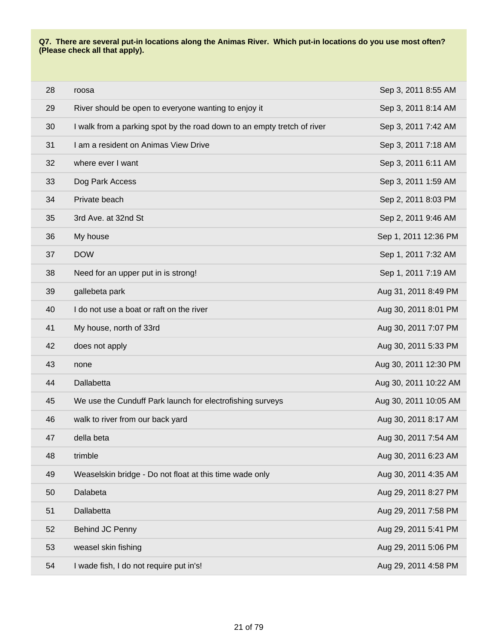#### **Q7. There are several put-in locations along the Animas River. Which put-in locations do you use most often? (Please check all that apply).**

| 28 | roosa                                                                   | Sep 3, 2011 8:55 AM   |
|----|-------------------------------------------------------------------------|-----------------------|
| 29 | River should be open to everyone wanting to enjoy it                    | Sep 3, 2011 8:14 AM   |
| 30 | I walk from a parking spot by the road down to an empty tretch of river | Sep 3, 2011 7:42 AM   |
| 31 | I am a resident on Animas View Drive                                    | Sep 3, 2011 7:18 AM   |
| 32 | where ever I want                                                       | Sep 3, 2011 6:11 AM   |
| 33 | Dog Park Access                                                         | Sep 3, 2011 1:59 AM   |
| 34 | Private beach                                                           | Sep 2, 2011 8:03 PM   |
| 35 | 3rd Ave. at 32nd St                                                     | Sep 2, 2011 9:46 AM   |
| 36 | My house                                                                | Sep 1, 2011 12:36 PM  |
| 37 | <b>DOW</b>                                                              | Sep 1, 2011 7:32 AM   |
| 38 | Need for an upper put in is strong!                                     | Sep 1, 2011 7:19 AM   |
| 39 | gallebeta park                                                          | Aug 31, 2011 8:49 PM  |
| 40 | I do not use a boat or raft on the river                                | Aug 30, 2011 8:01 PM  |
| 41 | My house, north of 33rd                                                 | Aug 30, 2011 7:07 PM  |
| 42 | does not apply                                                          | Aug 30, 2011 5:33 PM  |
| 43 | none                                                                    | Aug 30, 2011 12:30 PM |
| 44 | Dallabetta                                                              | Aug 30, 2011 10:22 AM |
| 45 | We use the Cunduff Park launch for electrofishing surveys               | Aug 30, 2011 10:05 AM |
| 46 | walk to river from our back yard                                        | Aug 30, 2011 8:17 AM  |
| 47 | della beta                                                              | Aug 30, 2011 7:54 AM  |
| 48 | trimble                                                                 | Aug 30, 2011 6:23 AM  |
| 49 | Weaselskin bridge - Do not float at this time wade only                 | Aug 30, 2011 4:35 AM  |
| 50 | Dalabeta                                                                | Aug 29, 2011 8:27 PM  |
| 51 | Dallabetta                                                              | Aug 29, 2011 7:58 PM  |
| 52 | Behind JC Penny                                                         | Aug 29, 2011 5:41 PM  |
| 53 | weasel skin fishing                                                     | Aug 29, 2011 5:06 PM  |
| 54 | I wade fish, I do not require put in's!                                 | Aug 29, 2011 4:58 PM  |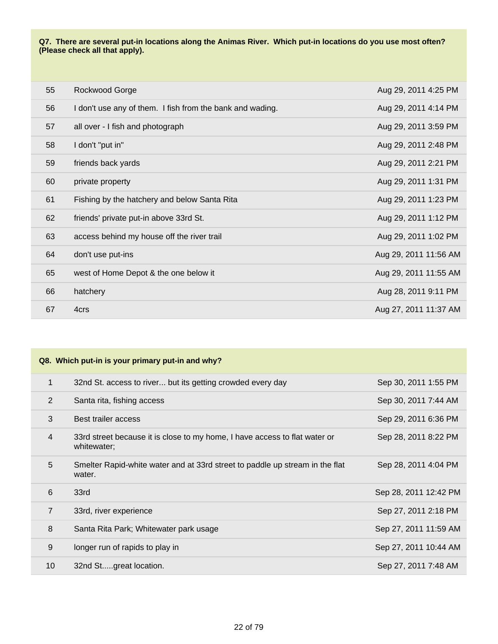#### **Q7. There are several put-in locations along the Animas River. Which put-in locations do you use most often? (Please check all that apply).**

| 55 | Rockwood Gorge                                            | Aug 29, 2011 4:25 PM  |
|----|-----------------------------------------------------------|-----------------------|
| 56 | I don't use any of them. I fish from the bank and wading. | Aug 29, 2011 4:14 PM  |
| 57 | all over - I fish and photograph                          | Aug 29, 2011 3:59 PM  |
| 58 | I don't "put in"                                          | Aug 29, 2011 2:48 PM  |
| 59 | friends back yards                                        | Aug 29, 2011 2:21 PM  |
| 60 | private property                                          | Aug 29, 2011 1:31 PM  |
| 61 | Fishing by the hatchery and below Santa Rita              | Aug 29, 2011 1:23 PM  |
| 62 | friends' private put-in above 33rd St.                    | Aug 29, 2011 1:12 PM  |
| 63 | access behind my house off the river trail                | Aug 29, 2011 1:02 PM  |
| 64 | don't use put-ins                                         | Aug 29, 2011 11:56 AM |
| 65 | west of Home Depot & the one below it                     | Aug 29, 2011 11:55 AM |
| 66 | hatchery                                                  | Aug 28, 2011 9:11 PM  |
| 67 | 4crs                                                      | Aug 27, 2011 11:37 AM |

| $\mathbf{1}$   | 32nd St. access to river but its getting crowded every day                                | Sep 30, 2011 1:55 PM  |
|----------------|-------------------------------------------------------------------------------------------|-----------------------|
| $\overline{2}$ | Santa rita, fishing access                                                                | Sep 30, 2011 7:44 AM  |
| 3              | Best trailer access                                                                       | Sep 29, 2011 6:36 PM  |
| $\overline{4}$ | 33rd street because it is close to my home, I have access to flat water or<br>whitewater; | Sep 28, 2011 8:22 PM  |
| 5              | Smelter Rapid-white water and at 33rd street to paddle up stream in the flat<br>water.    | Sep 28, 2011 4:04 PM  |
| 6              | 33rd                                                                                      | Sep 28, 2011 12:42 PM |
| $\overline{7}$ | 33rd, river experience                                                                    | Sep 27, 2011 2:18 PM  |
| 8              | Santa Rita Park; Whitewater park usage                                                    | Sep 27, 2011 11:59 AM |
| 9              | longer run of rapids to play in                                                           | Sep 27, 2011 10:44 AM |
| 10             | 32nd Stgreat location.                                                                    | Sep 27, 2011 7:48 AM  |
|                |                                                                                           |                       |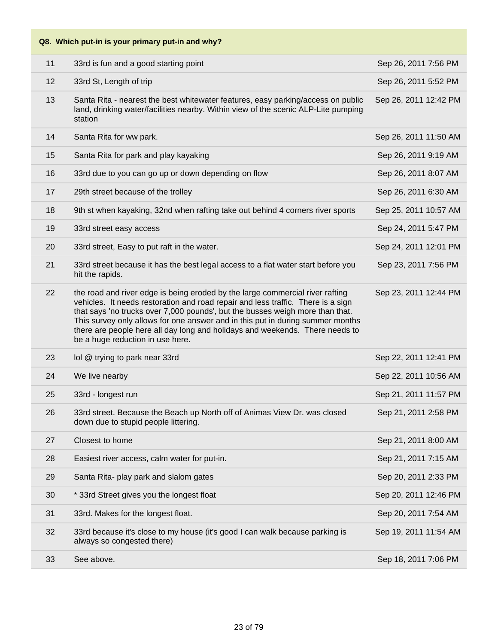| Q8. Which put-in is your primary put-in and why? |                                                                                                                                                                                                                                                                                                                                                                                                                                                          |                       |
|--------------------------------------------------|----------------------------------------------------------------------------------------------------------------------------------------------------------------------------------------------------------------------------------------------------------------------------------------------------------------------------------------------------------------------------------------------------------------------------------------------------------|-----------------------|
| 11                                               | 33rd is fun and a good starting point                                                                                                                                                                                                                                                                                                                                                                                                                    | Sep 26, 2011 7:56 PM  |
| 12                                               | 33rd St, Length of trip                                                                                                                                                                                                                                                                                                                                                                                                                                  | Sep 26, 2011 5:52 PM  |
| 13                                               | Santa Rita - nearest the best whitewater features, easy parking/access on public<br>land, drinking water/facilities nearby. Within view of the scenic ALP-Lite pumping<br>station                                                                                                                                                                                                                                                                        | Sep 26, 2011 12:42 PM |
| 14                                               | Santa Rita for ww park.                                                                                                                                                                                                                                                                                                                                                                                                                                  | Sep 26, 2011 11:50 AM |
| 15                                               | Santa Rita for park and play kayaking                                                                                                                                                                                                                                                                                                                                                                                                                    | Sep 26, 2011 9:19 AM  |
| 16                                               | 33rd due to you can go up or down depending on flow                                                                                                                                                                                                                                                                                                                                                                                                      | Sep 26, 2011 8:07 AM  |
| 17                                               | 29th street because of the trolley                                                                                                                                                                                                                                                                                                                                                                                                                       | Sep 26, 2011 6:30 AM  |
| 18                                               | 9th st when kayaking, 32nd when rafting take out behind 4 corners river sports                                                                                                                                                                                                                                                                                                                                                                           | Sep 25, 2011 10:57 AM |
| 19                                               | 33rd street easy access                                                                                                                                                                                                                                                                                                                                                                                                                                  | Sep 24, 2011 5:47 PM  |
| 20                                               | 33rd street, Easy to put raft in the water.                                                                                                                                                                                                                                                                                                                                                                                                              | Sep 24, 2011 12:01 PM |
| 21                                               | 33rd street because it has the best legal access to a flat water start before you<br>hit the rapids.                                                                                                                                                                                                                                                                                                                                                     | Sep 23, 2011 7:56 PM  |
| 22                                               | the road and river edge is being eroded by the large commercial river rafting<br>vehicles. It needs restoration and road repair and less traffic. There is a sign<br>that says 'no trucks over 7,000 pounds', but the busses weigh more than that.<br>This survey only allows for one answer and in this put in during summer months<br>there are people here all day long and holidays and weekends. There needs to<br>be a huge reduction in use here. | Sep 23, 2011 12:44 PM |
| 23                                               | lol @ trying to park near 33rd                                                                                                                                                                                                                                                                                                                                                                                                                           | Sep 22, 2011 12:41 PM |
| 24                                               | We live nearby                                                                                                                                                                                                                                                                                                                                                                                                                                           | Sep 22, 2011 10:56 AM |
| 25                                               | 33rd - longest run                                                                                                                                                                                                                                                                                                                                                                                                                                       | Sep 21, 2011 11:57 PM |
| 26                                               | 33rd street. Because the Beach up North off of Animas View Dr. was closed<br>down due to stupid people littering.                                                                                                                                                                                                                                                                                                                                        | Sep 21, 2011 2:58 PM  |
| 27                                               | Closest to home                                                                                                                                                                                                                                                                                                                                                                                                                                          | Sep 21, 2011 8:00 AM  |
| 28                                               | Easiest river access, calm water for put-in.                                                                                                                                                                                                                                                                                                                                                                                                             | Sep 21, 2011 7:15 AM  |
| 29                                               | Santa Rita- play park and slalom gates                                                                                                                                                                                                                                                                                                                                                                                                                   | Sep 20, 2011 2:33 PM  |
| 30                                               | * 33rd Street gives you the longest float                                                                                                                                                                                                                                                                                                                                                                                                                | Sep 20, 2011 12:46 PM |
| 31                                               | 33rd. Makes for the longest float.                                                                                                                                                                                                                                                                                                                                                                                                                       | Sep 20, 2011 7:54 AM  |
| 32                                               | 33rd because it's close to my house (it's good I can walk because parking is<br>always so congested there)                                                                                                                                                                                                                                                                                                                                               | Sep 19, 2011 11:54 AM |
| 33                                               | See above.                                                                                                                                                                                                                                                                                                                                                                                                                                               | Sep 18, 2011 7:06 PM  |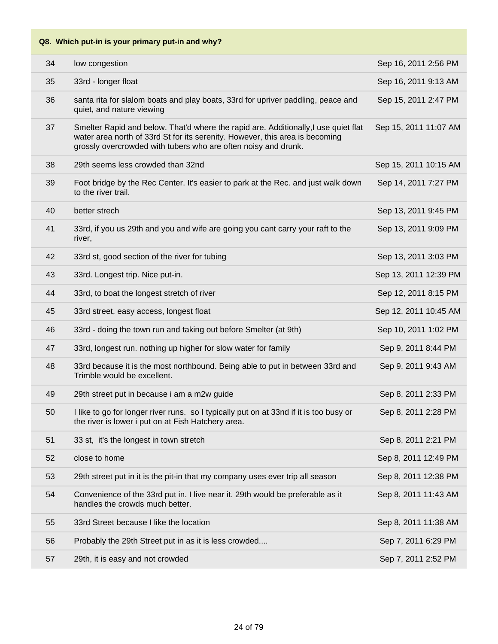| 34 | low congestion                                                                                                                                                                                                                        | Sep 16, 2011 2:56 PM  |
|----|---------------------------------------------------------------------------------------------------------------------------------------------------------------------------------------------------------------------------------------|-----------------------|
| 35 | 33rd - longer float                                                                                                                                                                                                                   | Sep 16, 2011 9:13 AM  |
| 36 | santa rita for slalom boats and play boats, 33rd for upriver paddling, peace and<br>quiet, and nature viewing                                                                                                                         | Sep 15, 2011 2:47 PM  |
| 37 | Smelter Rapid and below. That'd where the rapid are. Additionally, I use quiet flat<br>water area north of 33rd St for its serenity. However, this area is becoming<br>grossly overcrowded with tubers who are often noisy and drunk. | Sep 15, 2011 11:07 AM |
| 38 | 29th seems less crowded than 32nd                                                                                                                                                                                                     | Sep 15, 2011 10:15 AM |
| 39 | Foot bridge by the Rec Center. It's easier to park at the Rec. and just walk down<br>to the river trail.                                                                                                                              | Sep 14, 2011 7:27 PM  |
| 40 | better strech                                                                                                                                                                                                                         | Sep 13, 2011 9:45 PM  |
| 41 | 33rd, if you us 29th and you and wife are going you cant carry your raft to the<br>river,                                                                                                                                             | Sep 13, 2011 9:09 PM  |
| 42 | 33rd st, good section of the river for tubing                                                                                                                                                                                         | Sep 13, 2011 3:03 PM  |
| 43 | 33rd. Longest trip. Nice put-in.                                                                                                                                                                                                      | Sep 13, 2011 12:39 PM |
| 44 | 33rd, to boat the longest stretch of river                                                                                                                                                                                            | Sep 12, 2011 8:15 PM  |
| 45 | 33rd street, easy access, longest float                                                                                                                                                                                               | Sep 12, 2011 10:45 AM |
| 46 | 33rd - doing the town run and taking out before Smelter (at 9th)                                                                                                                                                                      | Sep 10, 2011 1:02 PM  |
| 47 | 33rd, longest run. nothing up higher for slow water for family                                                                                                                                                                        | Sep 9, 2011 8:44 PM   |
| 48 | 33rd because it is the most northbound. Being able to put in between 33rd and<br>Trimble would be excellent.                                                                                                                          | Sep 9, 2011 9:43 AM   |
| 49 | 29th street put in because i am a m2w guide                                                                                                                                                                                           | Sep 8, 2011 2:33 PM   |
| 50 | I like to go for longer river runs. so I typically put on at 33nd if it is too busy or<br>the river is lower i put on at Fish Hatchery area.                                                                                          | Sep 8, 2011 2:28 PM   |
| 51 | 33 st, it's the longest in town stretch                                                                                                                                                                                               | Sep 8, 2011 2:21 PM   |
| 52 | close to home                                                                                                                                                                                                                         | Sep 8, 2011 12:49 PM  |
| 53 | 29th street put in it is the pit-in that my company uses ever trip all season                                                                                                                                                         | Sep 8, 2011 12:38 PM  |
| 54 | Convenience of the 33rd put in. I live near it. 29th would be preferable as it<br>handles the crowds much better.                                                                                                                     | Sep 8, 2011 11:43 AM  |
| 55 | 33rd Street because I like the location                                                                                                                                                                                               | Sep 8, 2011 11:38 AM  |
| 56 | Probably the 29th Street put in as it is less crowded                                                                                                                                                                                 | Sep 7, 2011 6:29 PM   |
| 57 | 29th, it is easy and not crowded                                                                                                                                                                                                      | Sep 7, 2011 2:52 PM   |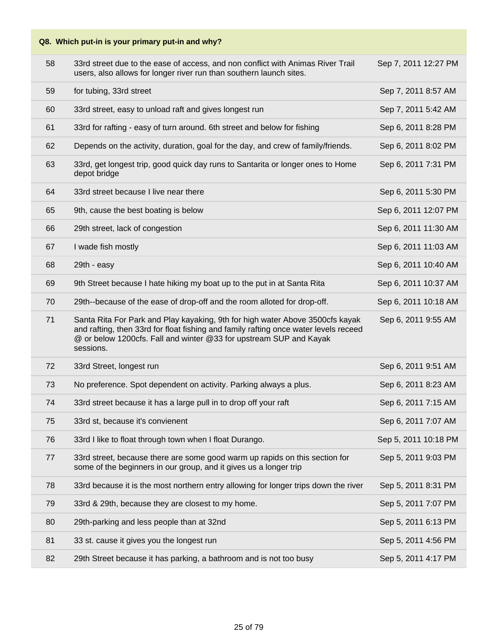| 58 | 33rd street due to the ease of access, and non conflict with Animas River Trail<br>users, also allows for longer river run than southern launch sites.                                                                                                   | Sep 7, 2011 12:27 PM |
|----|----------------------------------------------------------------------------------------------------------------------------------------------------------------------------------------------------------------------------------------------------------|----------------------|
| 59 | for tubing, 33rd street                                                                                                                                                                                                                                  | Sep 7, 2011 8:57 AM  |
| 60 | 33rd street, easy to unload raft and gives longest run                                                                                                                                                                                                   | Sep 7, 2011 5:42 AM  |
| 61 | 33rd for rafting - easy of turn around. 6th street and below for fishing                                                                                                                                                                                 | Sep 6, 2011 8:28 PM  |
| 62 | Depends on the activity, duration, goal for the day, and crew of family/friends.                                                                                                                                                                         | Sep 6, 2011 8:02 PM  |
| 63 | 33rd, get longest trip, good quick day runs to Santarita or longer ones to Home<br>depot bridge                                                                                                                                                          | Sep 6, 2011 7:31 PM  |
| 64 | 33rd street because I live near there                                                                                                                                                                                                                    | Sep 6, 2011 5:30 PM  |
| 65 | 9th, cause the best boating is below                                                                                                                                                                                                                     | Sep 6, 2011 12:07 PM |
| 66 | 29th street, lack of congestion                                                                                                                                                                                                                          | Sep 6, 2011 11:30 AM |
| 67 | I wade fish mostly                                                                                                                                                                                                                                       | Sep 6, 2011 11:03 AM |
| 68 | 29th - easy                                                                                                                                                                                                                                              | Sep 6, 2011 10:40 AM |
| 69 | 9th Street because I hate hiking my boat up to the put in at Santa Rita                                                                                                                                                                                  | Sep 6, 2011 10:37 AM |
| 70 | 29th--because of the ease of drop-off and the room alloted for drop-off.                                                                                                                                                                                 | Sep 6, 2011 10:18 AM |
| 71 | Santa Rita For Park and Play kayaking, 9th for high water Above 3500cfs kayak<br>and rafting, then 33rd for float fishing and family rafting once water levels receed<br>@ or below 1200cfs. Fall and winter @33 for upstream SUP and Kayak<br>sessions. | Sep 6, 2011 9:55 AM  |
| 72 | 33rd Street, longest run                                                                                                                                                                                                                                 | Sep 6, 2011 9:51 AM  |
| 73 | No preference. Spot dependent on activity. Parking always a plus.                                                                                                                                                                                        | Sep 6, 2011 8:23 AM  |
| 74 | 33rd street because it has a large pull in to drop off your raft                                                                                                                                                                                         | Sep 6, 2011 7:15 AM  |
| 75 | 33rd st, because it's convienent                                                                                                                                                                                                                         | Sep 6, 2011 7:07 AM  |
| 76 | 33rd I like to float through town when I float Durango.                                                                                                                                                                                                  | Sep 5, 2011 10:18 PM |
| 77 | 33rd street, because there are some good warm up rapids on this section for<br>some of the beginners in our group, and it gives us a longer trip                                                                                                         | Sep 5, 2011 9:03 PM  |
| 78 | 33rd because it is the most northern entry allowing for longer trips down the river                                                                                                                                                                      | Sep 5, 2011 8:31 PM  |
| 79 | 33rd & 29th, because they are closest to my home.                                                                                                                                                                                                        | Sep 5, 2011 7:07 PM  |
| 80 | 29th-parking and less people than at 32nd                                                                                                                                                                                                                | Sep 5, 2011 6:13 PM  |
| 81 |                                                                                                                                                                                                                                                          |                      |
|    | 33 st. cause it gives you the longest run                                                                                                                                                                                                                | Sep 5, 2011 4:56 PM  |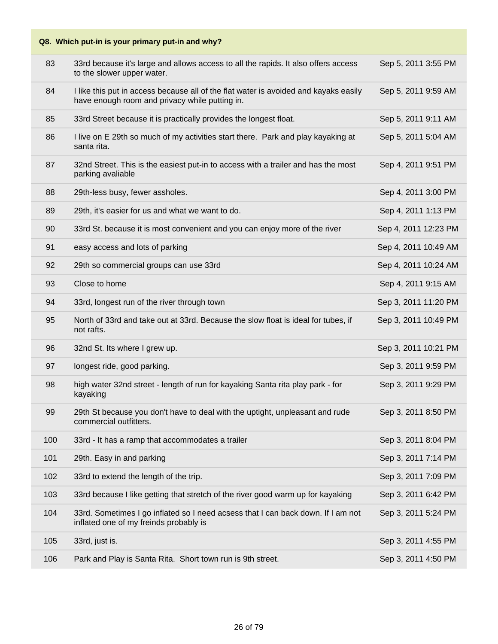| Q8. Which put-in is your primary put-in and why? |                                                                                                                                        |                      |
|--------------------------------------------------|----------------------------------------------------------------------------------------------------------------------------------------|----------------------|
| 83                                               | 33rd because it's large and allows access to all the rapids. It also offers access<br>to the slower upper water.                       | Sep 5, 2011 3:55 PM  |
| 84                                               | I like this put in access because all of the flat water is avoided and kayaks easily<br>have enough room and privacy while putting in. | Sep 5, 2011 9:59 AM  |
| 85                                               | 33rd Street because it is practically provides the longest float.                                                                      | Sep 5, 2011 9:11 AM  |
| 86                                               | I live on E 29th so much of my activities start there. Park and play kayaking at<br>santa rita.                                        | Sep 5, 2011 5:04 AM  |
| 87                                               | 32nd Street. This is the easiest put-in to access with a trailer and has the most<br>parking avaliable                                 | Sep 4, 2011 9:51 PM  |
| 88                                               | 29th-less busy, fewer assholes.                                                                                                        | Sep 4, 2011 3:00 PM  |
| 89                                               | 29th, it's easier for us and what we want to do.                                                                                       | Sep 4, 2011 1:13 PM  |
| 90                                               | 33rd St. because it is most convenient and you can enjoy more of the river                                                             | Sep 4, 2011 12:23 PM |
| 91                                               | easy access and lots of parking                                                                                                        | Sep 4, 2011 10:49 AM |
| 92                                               | 29th so commercial groups can use 33rd                                                                                                 | Sep 4, 2011 10:24 AM |
| 93                                               | Close to home                                                                                                                          | Sep 4, 2011 9:15 AM  |
| 94                                               | 33rd, longest run of the river through town                                                                                            | Sep 3, 2011 11:20 PM |
| 95                                               | North of 33rd and take out at 33rd. Because the slow float is ideal for tubes, if<br>not rafts.                                        | Sep 3, 2011 10:49 PM |
| 96                                               | 32nd St. Its where I grew up.                                                                                                          | Sep 3, 2011 10:21 PM |
| 97                                               | longest ride, good parking.                                                                                                            | Sep 3, 2011 9:59 PM  |
| 98                                               | high water 32nd street - length of run for kayaking Santa rita play park - for<br>kayaking                                             | Sep 3, 2011 9:29 PM  |
| 99                                               | 29th St because you don't have to deal with the uptight, unpleasant and rude<br>commercial outfitters.                                 | Sep 3, 2011 8:50 PM  |
| 100                                              | 33rd - It has a ramp that accommodates a trailer                                                                                       | Sep 3, 2011 8:04 PM  |
| 101                                              | 29th. Easy in and parking                                                                                                              | Sep 3, 2011 7:14 PM  |
| 102                                              | 33rd to extend the length of the trip.                                                                                                 | Sep 3, 2011 7:09 PM  |
| 103                                              | 33rd because I like getting that stretch of the river good warm up for kayaking                                                        | Sep 3, 2011 6:42 PM  |
| 104                                              | 33rd. Sometimes I go inflated so I need acsess that I can back down. If I am not<br>inflated one of my freinds probably is             | Sep 3, 2011 5:24 PM  |
| 105                                              | 33rd, just is.                                                                                                                         | Sep 3, 2011 4:55 PM  |
| 106                                              | Park and Play is Santa Rita. Short town run is 9th street.                                                                             | Sep 3, 2011 4:50 PM  |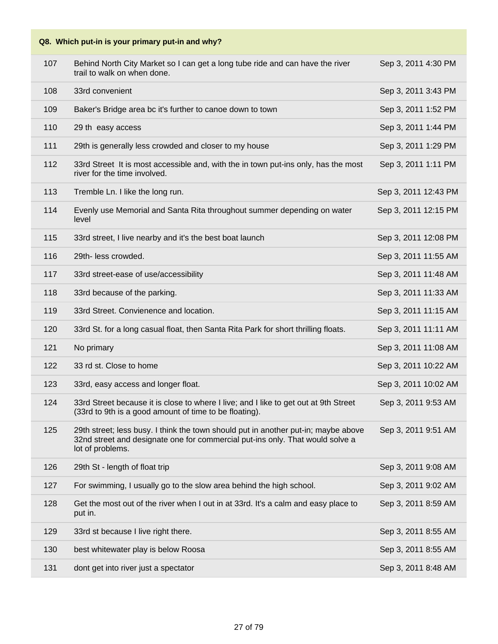| 107 | Behind North City Market so I can get a long tube ride and can have the river<br>trail to walk on when done.                                                                            | Sep 3, 2011 4:30 PM  |
|-----|-----------------------------------------------------------------------------------------------------------------------------------------------------------------------------------------|----------------------|
| 108 | 33rd convenient                                                                                                                                                                         | Sep 3, 2011 3:43 PM  |
| 109 | Baker's Bridge area bc it's further to canoe down to town                                                                                                                               | Sep 3, 2011 1:52 PM  |
| 110 | 29 th easy access                                                                                                                                                                       | Sep 3, 2011 1:44 PM  |
| 111 | 29th is generally less crowded and closer to my house                                                                                                                                   | Sep 3, 2011 1:29 PM  |
| 112 | 33rd Street It is most accessible and, with the in town put-ins only, has the most<br>river for the time involved.                                                                      | Sep 3, 2011 1:11 PM  |
| 113 | Tremble Ln. I like the long run.                                                                                                                                                        | Sep 3, 2011 12:43 PM |
| 114 | Evenly use Memorial and Santa Rita throughout summer depending on water<br>level                                                                                                        | Sep 3, 2011 12:15 PM |
| 115 | 33rd street, I live nearby and it's the best boat launch                                                                                                                                | Sep 3, 2011 12:08 PM |
| 116 | 29th- less crowded.                                                                                                                                                                     | Sep 3, 2011 11:55 AM |
| 117 | 33rd street-ease of use/accessibility                                                                                                                                                   | Sep 3, 2011 11:48 AM |
| 118 | 33rd because of the parking.                                                                                                                                                            | Sep 3, 2011 11:33 AM |
| 119 | 33rd Street. Convienence and location.                                                                                                                                                  | Sep 3, 2011 11:15 AM |
| 120 | 33rd St. for a long casual float, then Santa Rita Park for short thrilling floats.                                                                                                      | Sep 3, 2011 11:11 AM |
| 121 | No primary                                                                                                                                                                              | Sep 3, 2011 11:08 AM |
| 122 | 33 rd st. Close to home                                                                                                                                                                 | Sep 3, 2011 10:22 AM |
| 123 | 33rd, easy access and longer float.                                                                                                                                                     | Sep 3, 2011 10:02 AM |
| 124 | 33rd Street because it is close to where I live; and I like to get out at 9th Street<br>(33rd to 9th is a good amount of time to be floating).                                          | Sep 3, 2011 9:53 AM  |
| 125 | 29th street; less busy. I think the town should put in another put-in; maybe above<br>32nd street and designate one for commercial put-ins only. That would solve a<br>lot of problems. | Sep 3, 2011 9:51 AM  |
| 126 | 29th St - length of float trip                                                                                                                                                          | Sep 3, 2011 9:08 AM  |
| 127 | For swimming, I usually go to the slow area behind the high school.                                                                                                                     | Sep 3, 2011 9:02 AM  |
| 128 | Get the most out of the river when I out in at 33rd. It's a calm and easy place to<br>put in.                                                                                           | Sep 3, 2011 8:59 AM  |
| 129 | 33rd st because I live right there.                                                                                                                                                     | Sep 3, 2011 8:55 AM  |
| 130 | best whitewater play is below Roosa                                                                                                                                                     | Sep 3, 2011 8:55 AM  |
| 131 | dont get into river just a spectator                                                                                                                                                    | Sep 3, 2011 8:48 AM  |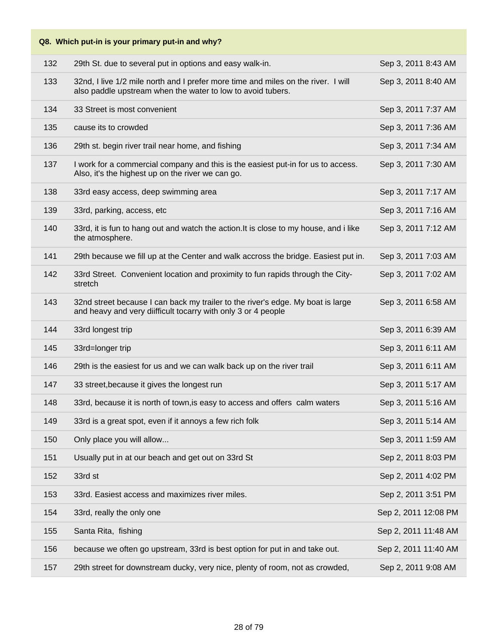| Q8. Which put-in is your primary put-in and why? |                                                                                                                                                  |                      |
|--------------------------------------------------|--------------------------------------------------------------------------------------------------------------------------------------------------|----------------------|
| 132                                              | 29th St. due to several put in options and easy walk-in.                                                                                         | Sep 3, 2011 8:43 AM  |
| 133                                              | 32nd, I live 1/2 mile north and I prefer more time and miles on the river. I will<br>also paddle upstream when the water to low to avoid tubers. | Sep 3, 2011 8:40 AM  |
| 134                                              | 33 Street is most convenient                                                                                                                     | Sep 3, 2011 7:37 AM  |
| 135                                              | cause its to crowded                                                                                                                             | Sep 3, 2011 7:36 AM  |
| 136                                              | 29th st. begin river trail near home, and fishing                                                                                                | Sep 3, 2011 7:34 AM  |
| 137                                              | I work for a commercial company and this is the easiest put-in for us to access.<br>Also, it's the highest up on the river we can go.            | Sep 3, 2011 7:30 AM  |
| 138                                              | 33rd easy access, deep swimming area                                                                                                             | Sep 3, 2011 7:17 AM  |
| 139                                              | 33rd, parking, access, etc                                                                                                                       | Sep 3, 2011 7:16 AM  |
| 140                                              | 33rd, it is fun to hang out and watch the action. It is close to my house, and i like<br>the atmosphere.                                         | Sep 3, 2011 7:12 AM  |
| 141                                              | 29th because we fill up at the Center and walk accross the bridge. Easiest put in.                                                               | Sep 3, 2011 7:03 AM  |
| 142                                              | 33rd Street. Convenient location and proximity to fun rapids through the City-<br>stretch                                                        | Sep 3, 2011 7:02 AM  |
| 143                                              | 32nd street because I can back my trailer to the river's edge. My boat is large<br>and heavy and very diifficult tocarry with only 3 or 4 people | Sep 3, 2011 6:58 AM  |
| 144                                              | 33rd longest trip                                                                                                                                | Sep 3, 2011 6:39 AM  |
| 145                                              | 33rd=longer trip                                                                                                                                 | Sep 3, 2011 6:11 AM  |
| 146                                              | 29th is the easiest for us and we can walk back up on the river trail                                                                            | Sep 3, 2011 6:11 AM  |
| 147                                              | 33 street, because it gives the longest run                                                                                                      | Sep 3, 2011 5:17 AM  |
| 148                                              | 33rd, because it is north of town, is easy to access and offers calm waters                                                                      | Sep 3, 2011 5:16 AM  |
| 149                                              | 33rd is a great spot, even if it annoys a few rich folk                                                                                          | Sep 3, 2011 5:14 AM  |
| 150                                              | Only place you will allow                                                                                                                        | Sep 3, 2011 1:59 AM  |
| 151                                              | Usually put in at our beach and get out on 33rd St                                                                                               | Sep 2, 2011 8:03 PM  |
| 152                                              | 33rd st                                                                                                                                          | Sep 2, 2011 4:02 PM  |
| 153                                              | 33rd. Easiest access and maximizes river miles.                                                                                                  | Sep 2, 2011 3:51 PM  |
| 154                                              | 33rd, really the only one                                                                                                                        | Sep 2, 2011 12:08 PM |
| 155                                              | Santa Rita, fishing                                                                                                                              | Sep 2, 2011 11:48 AM |
| 156                                              | because we often go upstream, 33rd is best option for put in and take out.                                                                       | Sep 2, 2011 11:40 AM |
| 157                                              | 29th street for downstream ducky, very nice, plenty of room, not as crowded,                                                                     | Sep 2, 2011 9:08 AM  |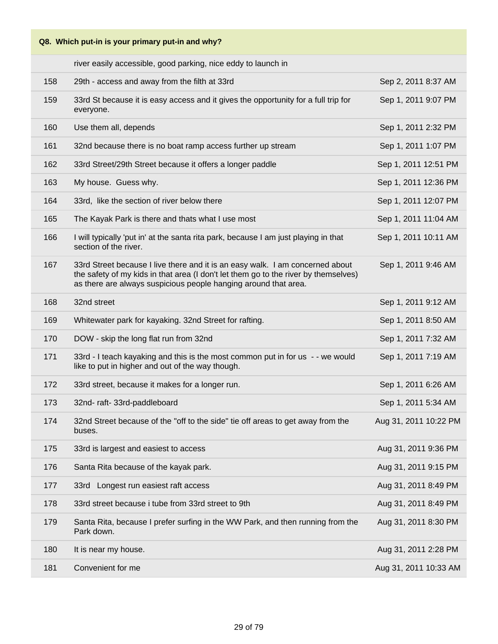river easily accessible, good parking, nice eddy to launch in

| 158 | 29th - access and away from the filth at 33rd                                                                                                                                                                                           | Sep 2, 2011 8:37 AM   |
|-----|-----------------------------------------------------------------------------------------------------------------------------------------------------------------------------------------------------------------------------------------|-----------------------|
| 159 | 33rd St because it is easy access and it gives the opportunity for a full trip for<br>everyone.                                                                                                                                         | Sep 1, 2011 9:07 PM   |
| 160 | Use them all, depends                                                                                                                                                                                                                   | Sep 1, 2011 2:32 PM   |
| 161 | 32nd because there is no boat ramp access further up stream                                                                                                                                                                             | Sep 1, 2011 1:07 PM   |
| 162 | 33rd Street/29th Street because it offers a longer paddle                                                                                                                                                                               | Sep 1, 2011 12:51 PM  |
| 163 | My house. Guess why.                                                                                                                                                                                                                    | Sep 1, 2011 12:36 PM  |
| 164 | 33rd, like the section of river below there                                                                                                                                                                                             | Sep 1, 2011 12:07 PM  |
| 165 | The Kayak Park is there and thats what I use most                                                                                                                                                                                       | Sep 1, 2011 11:04 AM  |
| 166 | I will typically 'put in' at the santa rita park, because I am just playing in that<br>section of the river.                                                                                                                            | Sep 1, 2011 10:11 AM  |
| 167 | 33rd Street because I live there and it is an easy walk. I am concerned about<br>the safety of my kids in that area (I don't let them go to the river by themselves)<br>as there are always suspicious people hanging around that area. | Sep 1, 2011 9:46 AM   |
| 168 | 32nd street                                                                                                                                                                                                                             | Sep 1, 2011 9:12 AM   |
| 169 | Whitewater park for kayaking. 32nd Street for rafting.                                                                                                                                                                                  | Sep 1, 2011 8:50 AM   |
| 170 | DOW - skip the long flat run from 32nd                                                                                                                                                                                                  | Sep 1, 2011 7:32 AM   |
| 171 | 33rd - I teach kayaking and this is the most common put in for us - - we would<br>like to put in higher and out of the way though.                                                                                                      | Sep 1, 2011 7:19 AM   |
| 172 | 33rd street, because it makes for a longer run.                                                                                                                                                                                         | Sep 1, 2011 6:26 AM   |
| 173 | 32nd- raft- 33rd-paddleboard                                                                                                                                                                                                            | Sep 1, 2011 5:34 AM   |
| 174 | 32nd Street because of the "off to the side" tie off areas to get away from the<br>buses.                                                                                                                                               | Aug 31, 2011 10:22 PM |
| 175 | 33rd is largest and easiest to access                                                                                                                                                                                                   | Aug 31, 2011 9:36 PM  |
| 176 | Santa Rita because of the kayak park.                                                                                                                                                                                                   | Aug 31, 2011 9:15 PM  |
| 177 | 33rd Longest run easiest raft access                                                                                                                                                                                                    | Aug 31, 2011 8:49 PM  |
| 178 | 33rd street because i tube from 33rd street to 9th                                                                                                                                                                                      | Aug 31, 2011 8:49 PM  |
| 179 | Santa Rita, because I prefer surfing in the WW Park, and then running from the<br>Park down.                                                                                                                                            | Aug 31, 2011 8:30 PM  |
| 180 | It is near my house.                                                                                                                                                                                                                    | Aug 31, 2011 2:28 PM  |
| 181 | Convenient for me                                                                                                                                                                                                                       | Aug 31, 2011 10:33 AM |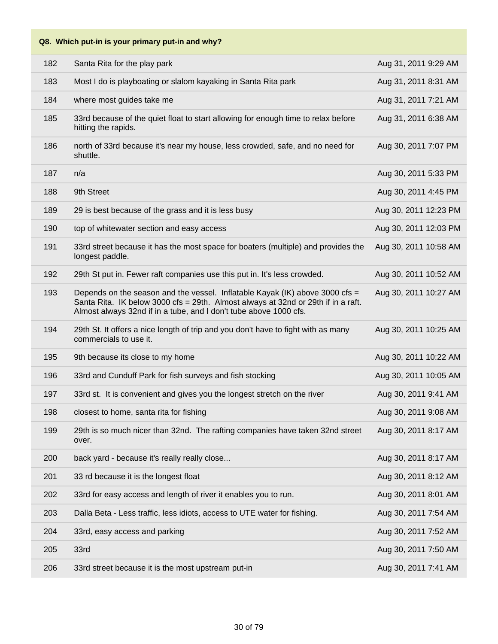| 182 | Santa Rita for the play park                                                                                                                                                                                                           | Aug 31, 2011 9:29 AM  |
|-----|----------------------------------------------------------------------------------------------------------------------------------------------------------------------------------------------------------------------------------------|-----------------------|
| 183 | Most I do is playboating or slalom kayaking in Santa Rita park                                                                                                                                                                         | Aug 31, 2011 8:31 AM  |
| 184 | where most guides take me                                                                                                                                                                                                              | Aug 31, 2011 7:21 AM  |
| 185 | 33rd because of the quiet float to start allowing for enough time to relax before<br>hitting the rapids.                                                                                                                               | Aug 31, 2011 6:38 AM  |
| 186 | north of 33rd because it's near my house, less crowded, safe, and no need for<br>shuttle.                                                                                                                                              | Aug 30, 2011 7:07 PM  |
| 187 | n/a                                                                                                                                                                                                                                    | Aug 30, 2011 5:33 PM  |
| 188 | 9th Street                                                                                                                                                                                                                             | Aug 30, 2011 4:45 PM  |
| 189 | 29 is best because of the grass and it is less busy                                                                                                                                                                                    | Aug 30, 2011 12:23 PM |
| 190 | top of whitewater section and easy access                                                                                                                                                                                              | Aug 30, 2011 12:03 PM |
| 191 | 33rd street because it has the most space for boaters (multiple) and provides the<br>longest paddle.                                                                                                                                   | Aug 30, 2011 10:58 AM |
| 192 | 29th St put in. Fewer raft companies use this put in. It's less crowded.                                                                                                                                                               | Aug 30, 2011 10:52 AM |
| 193 | Depends on the season and the vessel. Inflatable Kayak (IK) above 3000 cfs =<br>Santa Rita. IK below 3000 cfs = 29th. Almost always at 32nd or 29th if in a raft.<br>Almost always 32nd if in a tube, and I don't tube above 1000 cfs. | Aug 30, 2011 10:27 AM |
| 194 | 29th St. It offers a nice length of trip and you don't have to fight with as many<br>commercials to use it.                                                                                                                            | Aug 30, 2011 10:25 AM |
| 195 | 9th because its close to my home                                                                                                                                                                                                       | Aug 30, 2011 10:22 AM |
| 196 | 33rd and Cunduff Park for fish surveys and fish stocking                                                                                                                                                                               | Aug 30, 2011 10:05 AM |
| 197 | 33rd st. It is convenient and gives you the longest stretch on the river                                                                                                                                                               | Aug 30, 2011 9:41 AM  |
| 198 | closest to home, santa rita for fishing                                                                                                                                                                                                | Aug 30, 2011 9:08 AM  |
| 199 | 29th is so much nicer than 32nd. The rafting companies have taken 32nd street<br>over.                                                                                                                                                 | Aug 30, 2011 8:17 AM  |
| 200 | back yard - because it's really really close                                                                                                                                                                                           | Aug 30, 2011 8:17 AM  |
| 201 | 33 rd because it is the longest float                                                                                                                                                                                                  | Aug 30, 2011 8:12 AM  |
| 202 | 33rd for easy access and length of river it enables you to run.                                                                                                                                                                        | Aug 30, 2011 8:01 AM  |
| 203 | Dalla Beta - Less traffic, less idiots, access to UTE water for fishing.                                                                                                                                                               | Aug 30, 2011 7:54 AM  |
| 204 | 33rd, easy access and parking                                                                                                                                                                                                          | Aug 30, 2011 7:52 AM  |
| 205 | 33rd                                                                                                                                                                                                                                   | Aug 30, 2011 7:50 AM  |
| 206 | 33rd street because it is the most upstream put-in                                                                                                                                                                                     | Aug 30, 2011 7:41 AM  |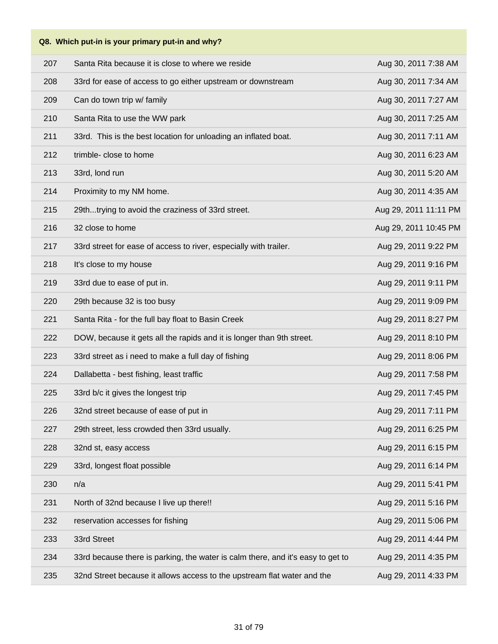|     | Q8. Which put-in is your primary put-in and why?                                |                       |
|-----|---------------------------------------------------------------------------------|-----------------------|
| 207 | Santa Rita because it is close to where we reside                               | Aug 30, 2011 7:38 AM  |
| 208 | 33rd for ease of access to go either upstream or downstream                     | Aug 30, 2011 7:34 AM  |
| 209 | Can do town trip w/ family                                                      | Aug 30, 2011 7:27 AM  |
| 210 | Santa Rita to use the WW park                                                   | Aug 30, 2011 7:25 AM  |
| 211 | 33rd. This is the best location for unloading an inflated boat.                 | Aug 30, 2011 7:11 AM  |
| 212 | trimble- close to home                                                          | Aug 30, 2011 6:23 AM  |
| 213 | 33rd, lond run                                                                  | Aug 30, 2011 5:20 AM  |
| 214 | Proximity to my NM home.                                                        | Aug 30, 2011 4:35 AM  |
| 215 | 29thtrying to avoid the craziness of 33rd street.                               | Aug 29, 2011 11:11 PM |
| 216 | 32 close to home                                                                | Aug 29, 2011 10:45 PM |
| 217 | 33rd street for ease of access to river, especially with trailer.               | Aug 29, 2011 9:22 PM  |
| 218 | It's close to my house                                                          | Aug 29, 2011 9:16 PM  |
| 219 | 33rd due to ease of put in.                                                     | Aug 29, 2011 9:11 PM  |
| 220 | 29th because 32 is too busy                                                     | Aug 29, 2011 9:09 PM  |
| 221 | Santa Rita - for the full bay float to Basin Creek                              | Aug 29, 2011 8:27 PM  |
| 222 | DOW, because it gets all the rapids and it is longer than 9th street.           | Aug 29, 2011 8:10 PM  |
| 223 | 33rd street as i need to make a full day of fishing                             | Aug 29, 2011 8:06 PM  |
| 224 | Dallabetta - best fishing, least traffic                                        | Aug 29, 2011 7:58 PM  |
| 225 | 33rd b/c it gives the longest trip                                              | Aug 29, 2011 7:45 PM  |
| 226 | 32nd street because of ease of put in                                           | Aug 29, 2011 7:11 PM  |
| 227 | 29th street, less crowded then 33rd usually.                                    | Aug 29, 2011 6:25 PM  |
| 228 | 32nd st, easy access                                                            | Aug 29, 2011 6:15 PM  |
| 229 | 33rd, longest float possible                                                    | Aug 29, 2011 6:14 PM  |
| 230 | n/a                                                                             | Aug 29, 2011 5:41 PM  |
| 231 | North of 32nd because I live up there!!                                         | Aug 29, 2011 5:16 PM  |
| 232 | reservation accesses for fishing                                                | Aug 29, 2011 5:06 PM  |
| 233 | 33rd Street                                                                     | Aug 29, 2011 4:44 PM  |
| 234 | 33rd because there is parking, the water is calm there, and it's easy to get to | Aug 29, 2011 4:35 PM  |
| 235 | 32nd Street because it allows access to the upstream flat water and the         | Aug 29, 2011 4:33 PM  |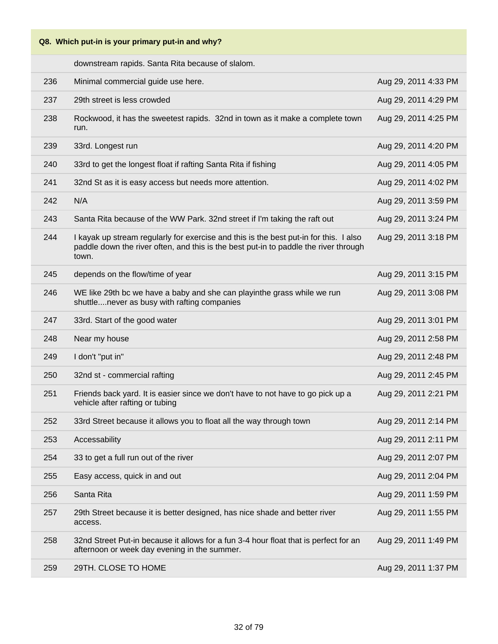downstream rapids. Santa Rita because of slalom.

| 236 | Minimal commercial guide use here.                                                                                                                                                     | Aug 29, 2011 4:33 PM |
|-----|----------------------------------------------------------------------------------------------------------------------------------------------------------------------------------------|----------------------|
| 237 | 29th street is less crowded                                                                                                                                                            | Aug 29, 2011 4:29 PM |
| 238 | Rockwood, it has the sweetest rapids. 32nd in town as it make a complete town<br>run.                                                                                                  | Aug 29, 2011 4:25 PM |
| 239 | 33rd. Longest run                                                                                                                                                                      | Aug 29, 2011 4:20 PM |
| 240 | 33rd to get the longest float if rafting Santa Rita if fishing                                                                                                                         | Aug 29, 2011 4:05 PM |
| 241 | 32nd St as it is easy access but needs more attention.                                                                                                                                 | Aug 29, 2011 4:02 PM |
| 242 | N/A                                                                                                                                                                                    | Aug 29, 2011 3:59 PM |
| 243 | Santa Rita because of the WW Park. 32nd street if I'm taking the raft out                                                                                                              | Aug 29, 2011 3:24 PM |
| 244 | I kayak up stream regularly for exercise and this is the best put-in for this. I also<br>paddle down the river often, and this is the best put-in to paddle the river through<br>town. | Aug 29, 2011 3:18 PM |
| 245 | depends on the flow/time of year                                                                                                                                                       | Aug 29, 2011 3:15 PM |
| 246 | WE like 29th bc we have a baby and she can playinthe grass while we run<br>shuttlenever as busy with rafting companies                                                                 | Aug 29, 2011 3:08 PM |
| 247 | 33rd. Start of the good water                                                                                                                                                          | Aug 29, 2011 3:01 PM |
| 248 | Near my house                                                                                                                                                                          | Aug 29, 2011 2:58 PM |
| 249 | I don't "put in"                                                                                                                                                                       | Aug 29, 2011 2:48 PM |
| 250 | 32nd st - commercial rafting                                                                                                                                                           | Aug 29, 2011 2:45 PM |
| 251 | Friends back yard. It is easier since we don't have to not have to go pick up a<br>vehicle after rafting or tubing                                                                     | Aug 29, 2011 2:21 PM |
| 252 | 33rd Street because it allows you to float all the way through town                                                                                                                    | Aug 29, 2011 2:14 PM |
| 253 | Accessability                                                                                                                                                                          | Aug 29, 2011 2:11 PM |
| 254 | 33 to get a full run out of the river                                                                                                                                                  | Aug 29, 2011 2:07 PM |
| 255 | Easy access, quick in and out                                                                                                                                                          | Aug 29, 2011 2:04 PM |
| 256 | Santa Rita                                                                                                                                                                             | Aug 29, 2011 1:59 PM |
| 257 | 29th Street because it is better designed, has nice shade and better river<br>access.                                                                                                  | Aug 29, 2011 1:55 PM |
| 258 | 32nd Street Put-in because it allows for a fun 3-4 hour float that is perfect for an<br>afternoon or week day evening in the summer.                                                   | Aug 29, 2011 1:49 PM |
| 259 | 29TH. CLOSE TO HOME                                                                                                                                                                    | Aug 29, 2011 1:37 PM |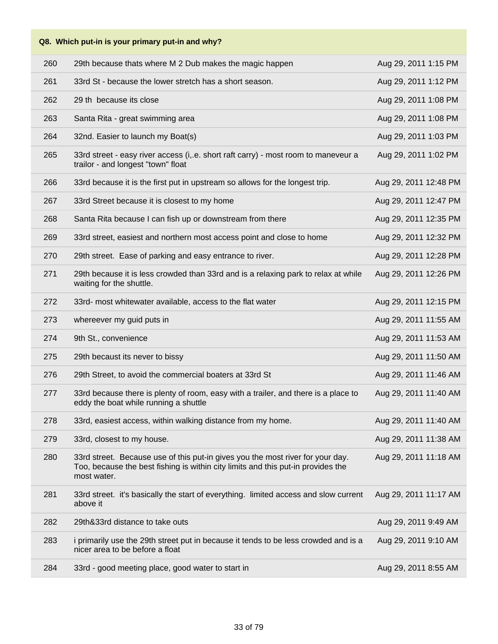| 260 | 29th because thats where M 2 Dub makes the magic happen                                                                                                                           | Aug 29, 2011 1:15 PM  |
|-----|-----------------------------------------------------------------------------------------------------------------------------------------------------------------------------------|-----------------------|
| 261 | 33rd St - because the lower stretch has a short season.                                                                                                                           | Aug 29, 2011 1:12 PM  |
| 262 | 29 th because its close                                                                                                                                                           | Aug 29, 2011 1:08 PM  |
| 263 | Santa Rita - great swimming area                                                                                                                                                  | Aug 29, 2011 1:08 PM  |
| 264 | 32nd. Easier to launch my Boat(s)                                                                                                                                                 | Aug 29, 2011 1:03 PM  |
| 265 | 33rd street - easy river access (i, e. short raft carry) - most room to maneveur a<br>trailor - and longest "town" float                                                          | Aug 29, 2011 1:02 PM  |
| 266 | 33rd because it is the first put in upstream so allows for the longest trip.                                                                                                      | Aug 29, 2011 12:48 PM |
| 267 | 33rd Street because it is closest to my home                                                                                                                                      | Aug 29, 2011 12:47 PM |
| 268 | Santa Rita because I can fish up or downstream from there                                                                                                                         | Aug 29, 2011 12:35 PM |
| 269 | 33rd street, easiest and northern most access point and close to home                                                                                                             | Aug 29, 2011 12:32 PM |
| 270 | 29th street. Ease of parking and easy entrance to river.                                                                                                                          | Aug 29, 2011 12:28 PM |
| 271 | 29th because it is less crowded than 33rd and is a relaxing park to relax at while<br>waiting for the shuttle.                                                                    | Aug 29, 2011 12:26 PM |
| 272 | 33rd- most whitewater available, access to the flat water                                                                                                                         | Aug 29, 2011 12:15 PM |
| 273 | whereever my guid puts in                                                                                                                                                         | Aug 29, 2011 11:55 AM |
| 274 | 9th St., convenience                                                                                                                                                              | Aug 29, 2011 11:53 AM |
| 275 | 29th becaust its never to bissy                                                                                                                                                   | Aug 29, 2011 11:50 AM |
|     |                                                                                                                                                                                   |                       |
| 276 | 29th Street, to avoid the commercial boaters at 33rd St                                                                                                                           | Aug 29, 2011 11:46 AM |
| 277 | 33rd because there is plenty of room, easy with a trailer, and there is a place to<br>eddy the boat while running a shuttle                                                       | Aug 29, 2011 11:40 AM |
| 278 | 33rd, easiest access, within walking distance from my home.                                                                                                                       | Aug 29, 2011 11:40 AM |
| 279 | 33rd, closest to my house.                                                                                                                                                        | Aug 29, 2011 11:38 AM |
| 280 | 33rd street. Because use of this put-in gives you the most river for your day.<br>Too, because the best fishing is within city limits and this put-in provides the<br>most water. | Aug 29, 2011 11:18 AM |
| 281 | 33rd street. it's basically the start of everything. limited access and slow current<br>above it                                                                                  | Aug 29, 2011 11:17 AM |
| 282 | 29th&33rd distance to take outs                                                                                                                                                   | Aug 29, 2011 9:49 AM  |
| 283 | i primarily use the 29th street put in because it tends to be less crowded and is a<br>nicer area to be before a float                                                            | Aug 29, 2011 9:10 AM  |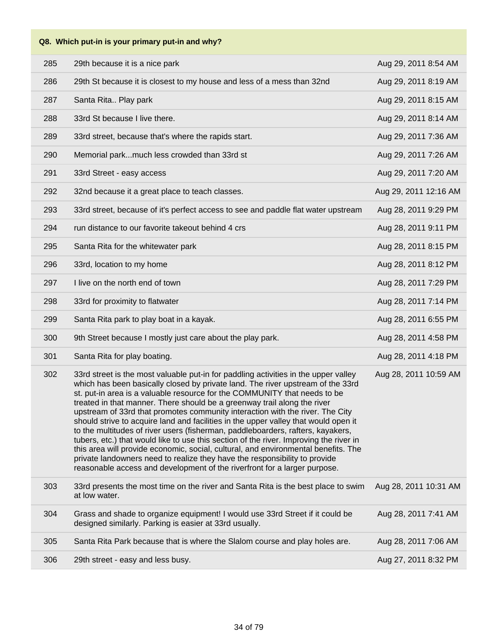**Q8. Which put-in is your primary put-in and why?** 285 29th because it is a nice park Aug 29, 2011 8:54 AM 286 29th St because it is closest to my house and less of a mess than 32nd Aug 29, 2011 8:19 AM

|     | Lui Oi Duddusu il is ciususi lu IIIv Tiudsu dhu iuss ur a muss inan JLHu                                                                                                                                                                                                                                                                                                                                                                                                                                                                                                                                                                                                                                                                                                                                                                                                                                                              | $Tuy$ $\omega$ , $\omega$ $\omega$ $\omega$ $\omega$ |
|-----|---------------------------------------------------------------------------------------------------------------------------------------------------------------------------------------------------------------------------------------------------------------------------------------------------------------------------------------------------------------------------------------------------------------------------------------------------------------------------------------------------------------------------------------------------------------------------------------------------------------------------------------------------------------------------------------------------------------------------------------------------------------------------------------------------------------------------------------------------------------------------------------------------------------------------------------|------------------------------------------------------|
| 287 | Santa Rita Play park                                                                                                                                                                                                                                                                                                                                                                                                                                                                                                                                                                                                                                                                                                                                                                                                                                                                                                                  | Aug 29, 2011 8:15 AM                                 |
| 288 | 33rd St because I live there.                                                                                                                                                                                                                                                                                                                                                                                                                                                                                                                                                                                                                                                                                                                                                                                                                                                                                                         | Aug 29, 2011 8:14 AM                                 |
| 289 | 33rd street, because that's where the rapids start.                                                                                                                                                                                                                                                                                                                                                                                                                                                                                                                                                                                                                                                                                                                                                                                                                                                                                   | Aug 29, 2011 7:36 AM                                 |
| 290 | Memorial parkmuch less crowded than 33rd st                                                                                                                                                                                                                                                                                                                                                                                                                                                                                                                                                                                                                                                                                                                                                                                                                                                                                           | Aug 29, 2011 7:26 AM                                 |
| 291 | 33rd Street - easy access                                                                                                                                                                                                                                                                                                                                                                                                                                                                                                                                                                                                                                                                                                                                                                                                                                                                                                             | Aug 29, 2011 7:20 AM                                 |
| 292 | 32nd because it a great place to teach classes.                                                                                                                                                                                                                                                                                                                                                                                                                                                                                                                                                                                                                                                                                                                                                                                                                                                                                       | Aug 29, 2011 12:16 AM                                |
| 293 | 33rd street, because of it's perfect access to see and paddle flat water upstream                                                                                                                                                                                                                                                                                                                                                                                                                                                                                                                                                                                                                                                                                                                                                                                                                                                     | Aug 28, 2011 9:29 PM                                 |
| 294 | run distance to our favorite takeout behind 4 crs                                                                                                                                                                                                                                                                                                                                                                                                                                                                                                                                                                                                                                                                                                                                                                                                                                                                                     | Aug 28, 2011 9:11 PM                                 |
| 295 | Santa Rita for the whitewater park                                                                                                                                                                                                                                                                                                                                                                                                                                                                                                                                                                                                                                                                                                                                                                                                                                                                                                    | Aug 28, 2011 8:15 PM                                 |
| 296 | 33rd, location to my home                                                                                                                                                                                                                                                                                                                                                                                                                                                                                                                                                                                                                                                                                                                                                                                                                                                                                                             | Aug 28, 2011 8:12 PM                                 |
| 297 | I live on the north end of town                                                                                                                                                                                                                                                                                                                                                                                                                                                                                                                                                                                                                                                                                                                                                                                                                                                                                                       | Aug 28, 2011 7:29 PM                                 |
| 298 | 33rd for proximity to flatwater                                                                                                                                                                                                                                                                                                                                                                                                                                                                                                                                                                                                                                                                                                                                                                                                                                                                                                       | Aug 28, 2011 7:14 PM                                 |
| 299 | Santa Rita park to play boat in a kayak.                                                                                                                                                                                                                                                                                                                                                                                                                                                                                                                                                                                                                                                                                                                                                                                                                                                                                              | Aug 28, 2011 6:55 PM                                 |
| 300 | 9th Street because I mostly just care about the play park.                                                                                                                                                                                                                                                                                                                                                                                                                                                                                                                                                                                                                                                                                                                                                                                                                                                                            | Aug 28, 2011 4:58 PM                                 |
| 301 | Santa Rita for play boating.                                                                                                                                                                                                                                                                                                                                                                                                                                                                                                                                                                                                                                                                                                                                                                                                                                                                                                          | Aug 28, 2011 4:18 PM                                 |
| 302 | 33rd street is the most valuable put-in for paddling activities in the upper valley<br>which has been basically closed by private land. The river upstream of the 33rd<br>st. put-in area is a valuable resource for the COMMUNITY that needs to be<br>treated in that manner. There should be a greenway trail along the river<br>upstream of 33rd that promotes community interaction with the river. The City<br>should strive to acquire land and facilities in the upper valley that would open it<br>to the multitudes of river users (fisherman, paddleboarders, rafters, kayakers,<br>tubers, etc.) that would like to use this section of the river. Improving the river in<br>this area will provide economic, social, cultural, and environmental benefits. The<br>private landowners need to realize they have the responsibility to provide<br>reasonable access and development of the riverfront for a larger purpose. | Aug 28, 2011 10:59 AM                                |
| 303 | 33rd presents the most time on the river and Santa Rita is the best place to swim<br>at low water.                                                                                                                                                                                                                                                                                                                                                                                                                                                                                                                                                                                                                                                                                                                                                                                                                                    | Aug 28, 2011 10:31 AM                                |
| 304 | Grass and shade to organize equipment! I would use 33rd Street if it could be<br>designed similarly. Parking is easier at 33rd usually.                                                                                                                                                                                                                                                                                                                                                                                                                                                                                                                                                                                                                                                                                                                                                                                               | Aug 28, 2011 7:41 AM                                 |
| 305 | Santa Rita Park because that is where the Slalom course and play holes are.                                                                                                                                                                                                                                                                                                                                                                                                                                                                                                                                                                                                                                                                                                                                                                                                                                                           | Aug 28, 2011 7:06 AM                                 |
| 306 | 29th street - easy and less busy.                                                                                                                                                                                                                                                                                                                                                                                                                                                                                                                                                                                                                                                                                                                                                                                                                                                                                                     | Aug 27, 2011 8:32 PM                                 |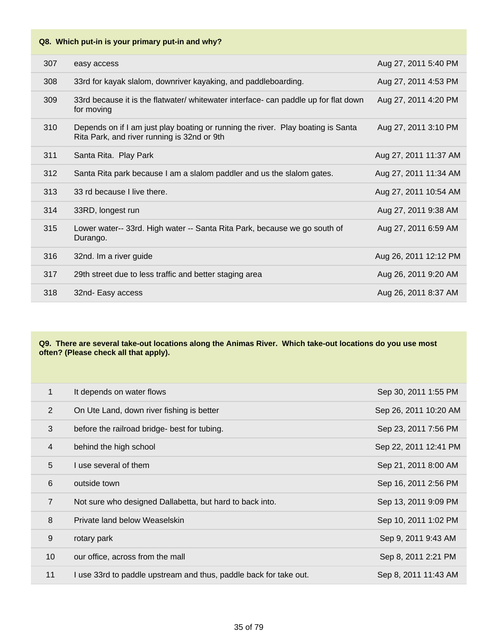| 307 | easy access                                                                                                                     | Aug 27, 2011 5:40 PM  |
|-----|---------------------------------------------------------------------------------------------------------------------------------|-----------------------|
| 308 | 33rd for kayak slalom, downriver kayaking, and paddleboarding.                                                                  | Aug 27, 2011 4:53 PM  |
| 309 | 33rd because it is the flatwater/ whitewater interface- can paddle up for flat down<br>for moving                               | Aug 27, 2011 4:20 PM  |
| 310 | Depends on if I am just play boating or running the river. Play boating is Santa<br>Rita Park, and river running is 32nd or 9th | Aug 27, 2011 3:10 PM  |
| 311 | Santa Rita. Play Park                                                                                                           | Aug 27, 2011 11:37 AM |
| 312 | Santa Rita park because I am a slalom paddler and us the slalom gates.                                                          | Aug 27, 2011 11:34 AM |
| 313 | 33 rd because I live there.                                                                                                     | Aug 27, 2011 10:54 AM |
| 314 | 33RD, longest run                                                                                                               | Aug 27, 2011 9:38 AM  |
| 315 | Lower water-- 33rd. High water -- Santa Rita Park, because we go south of<br>Durango.                                           | Aug 27, 2011 6:59 AM  |
| 316 | 32nd. Im a river guide                                                                                                          | Aug 26, 2011 12:12 PM |
| 317 | 29th street due to less traffic and better staging area                                                                         | Aug 26, 2011 9:20 AM  |
| 318 | 32nd- Easy access                                                                                                               | Aug 26, 2011 8:37 AM  |
|     |                                                                                                                                 |                       |

#### **Q9. There are several take-out locations along the Animas River. Which take-out locations do you use most often? (Please check all that apply).**

| 1               | It depends on water flows                                         | Sep 30, 2011 1:55 PM  |
|-----------------|-------------------------------------------------------------------|-----------------------|
| 2               | On Ute Land, down river fishing is better                         | Sep 26, 2011 10:20 AM |
| 3               | before the railroad bridge- best for tubing.                      | Sep 23, 2011 7:56 PM  |
| $\overline{4}$  | behind the high school                                            | Sep 22, 2011 12:41 PM |
| 5               | I use several of them                                             | Sep 21, 2011 8:00 AM  |
| 6               | outside town                                                      | Sep 16, 2011 2:56 PM  |
| $\overline{7}$  | Not sure who designed Dallabetta, but hard to back into.          | Sep 13, 2011 9:09 PM  |
| 8               | Private land below Weaselskin                                     | Sep 10, 2011 1:02 PM  |
| 9               | rotary park                                                       | Sep 9, 2011 9:43 AM   |
| 10 <sup>°</sup> | our office, across from the mall                                  | Sep 8, 2011 2:21 PM   |
| 11              | I use 33rd to paddle upstream and thus, paddle back for take out. | Sep 8, 2011 11:43 AM  |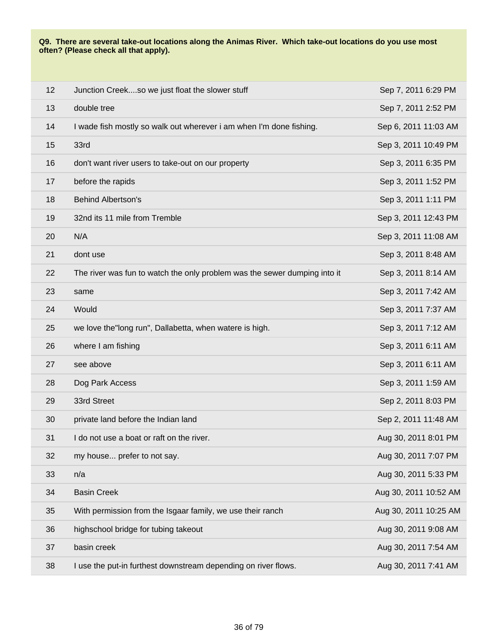#### **Q9. There are several take-out locations along the Animas River. Which take-out locations do you use most often? (Please check all that apply).**

| 12 | Junction Creekso we just float the slower stuff                           | Sep 7, 2011 6:29 PM   |
|----|---------------------------------------------------------------------------|-----------------------|
| 13 | double tree                                                               | Sep 7, 2011 2:52 PM   |
| 14 | I wade fish mostly so walk out wherever i am when I'm done fishing.       | Sep 6, 2011 11:03 AM  |
| 15 | 33rd                                                                      | Sep 3, 2011 10:49 PM  |
| 16 | don't want river users to take-out on our property                        | Sep 3, 2011 6:35 PM   |
| 17 | before the rapids                                                         | Sep 3, 2011 1:52 PM   |
| 18 | <b>Behind Albertson's</b>                                                 | Sep 3, 2011 1:11 PM   |
| 19 | 32nd its 11 mile from Tremble                                             | Sep 3, 2011 12:43 PM  |
| 20 | N/A                                                                       | Sep 3, 2011 11:08 AM  |
| 21 | dont use                                                                  | Sep 3, 2011 8:48 AM   |
| 22 | The river was fun to watch the only problem was the sewer dumping into it | Sep 3, 2011 8:14 AM   |
| 23 | same                                                                      | Sep 3, 2011 7:42 AM   |
| 24 | Would                                                                     | Sep 3, 2011 7:37 AM   |
| 25 | we love the long run", Dallabetta, when watere is high.                   | Sep 3, 2011 7:12 AM   |
| 26 | where I am fishing                                                        | Sep 3, 2011 6:11 AM   |
| 27 | see above                                                                 | Sep 3, 2011 6:11 AM   |
| 28 | Dog Park Access                                                           | Sep 3, 2011 1:59 AM   |
| 29 | 33rd Street                                                               | Sep 2, 2011 8:03 PM   |
| 30 | private land before the Indian land                                       | Sep 2, 2011 11:48 AM  |
| 31 | I do not use a boat or raft on the river.                                 | Aug 30, 2011 8:01 PM  |
| 32 | my house prefer to not say.                                               | Aug 30, 2011 7:07 PM  |
| 33 | n/a                                                                       | Aug 30, 2011 5:33 PM  |
| 34 | <b>Basin Creek</b>                                                        | Aug 30, 2011 10:52 AM |
| 35 | With permission from the Isgaar family, we use their ranch                | Aug 30, 2011 10:25 AM |
| 36 | highschool bridge for tubing takeout                                      | Aug 30, 2011 9:08 AM  |
| 37 | basin creek                                                               | Aug 30, 2011 7:54 AM  |
| 38 | I use the put-in furthest downstream depending on river flows.            | Aug 30, 2011 7:41 AM  |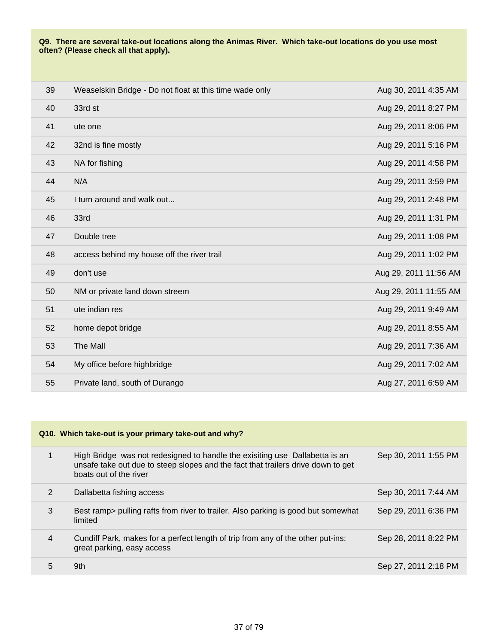#### **Q9. There are several take-out locations along the Animas River. Which take-out locations do you use most often? (Please check all that apply).**

| 39 | Weaselskin Bridge - Do not float at this time wade only | Aug 30, 2011 4:35 AM  |
|----|---------------------------------------------------------|-----------------------|
| 40 | 33rd st                                                 | Aug 29, 2011 8:27 PM  |
| 41 | ute one                                                 | Aug 29, 2011 8:06 PM  |
| 42 | 32nd is fine mostly                                     | Aug 29, 2011 5:16 PM  |
| 43 | NA for fishing                                          | Aug 29, 2011 4:58 PM  |
| 44 | N/A                                                     | Aug 29, 2011 3:59 PM  |
| 45 | I turn around and walk out                              | Aug 29, 2011 2:48 PM  |
| 46 | 33rd                                                    | Aug 29, 2011 1:31 PM  |
| 47 | Double tree                                             | Aug 29, 2011 1:08 PM  |
| 48 | access behind my house off the river trail              | Aug 29, 2011 1:02 PM  |
| 49 | don't use                                               | Aug 29, 2011 11:56 AM |
| 50 | NM or private land down streem                          | Aug 29, 2011 11:55 AM |
| 51 | ute indian res                                          | Aug 29, 2011 9:49 AM  |
| 52 | home depot bridge                                       | Aug 29, 2011 8:55 AM  |
| 53 | The Mall                                                | Aug 29, 2011 7:36 AM  |
| 54 | My office before highbridge                             | Aug 29, 2011 7:02 AM  |
| 55 | Private land, south of Durango                          | Aug 27, 2011 6:59 AM  |

| Q10. Which take-out is your primary take-out and why? |                                                                                                                                                                                           |                      |
|-------------------------------------------------------|-------------------------------------------------------------------------------------------------------------------------------------------------------------------------------------------|----------------------|
| $\mathbf{1}$                                          | High Bridge was not redesigned to handle the exisiting use Dallabetta is an<br>unsafe take out due to steep slopes and the fact that trailers drive down to get<br>boats out of the river | Sep 30, 2011 1:55 PM |
| 2                                                     | Dallabetta fishing access                                                                                                                                                                 | Sep 30, 2011 7:44 AM |
| 3                                                     | Best ramp> pulling rafts from river to trailer. Also parking is good but somewhat<br>limited                                                                                              | Sep 29, 2011 6:36 PM |
| 4                                                     | Cundiff Park, makes for a perfect length of trip from any of the other put-ins;<br>great parking, easy access                                                                             | Sep 28, 2011 8:22 PM |
| 5                                                     | 9th                                                                                                                                                                                       | Sep 27, 2011 2:18 PM |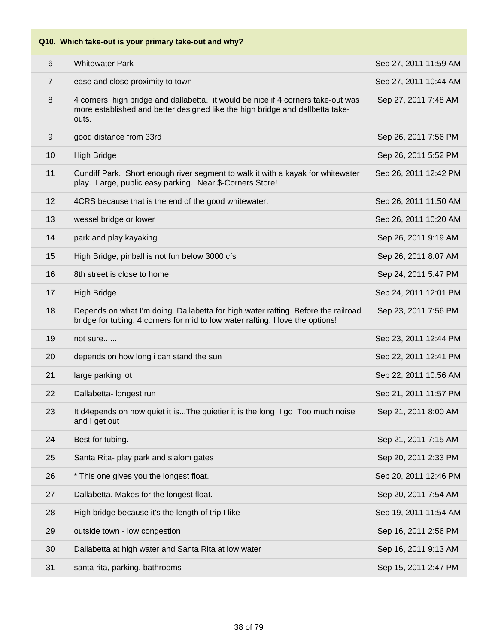| 6              | <b>Whitewater Park</b>                                                                                                                                                      | Sep 27, 2011 11:59 AM |
|----------------|-----------------------------------------------------------------------------------------------------------------------------------------------------------------------------|-----------------------|
| $\overline{7}$ | ease and close proximity to town                                                                                                                                            | Sep 27, 2011 10:44 AM |
| 8              | 4 corners, high bridge and dallabetta. it would be nice if 4 corners take-out was<br>more established and better designed like the high bridge and dallbetta take-<br>outs. | Sep 27, 2011 7:48 AM  |
| $9\,$          | good distance from 33rd                                                                                                                                                     | Sep 26, 2011 7:56 PM  |
| 10             | <b>High Bridge</b>                                                                                                                                                          | Sep 26, 2011 5:52 PM  |
| 11             | Cundiff Park. Short enough river segment to walk it with a kayak for whitewater<br>play. Large, public easy parking. Near \$-Corners Store!                                 | Sep 26, 2011 12:42 PM |
| 12             | 4CRS because that is the end of the good whitewater.                                                                                                                        | Sep 26, 2011 11:50 AM |
| 13             | wessel bridge or lower                                                                                                                                                      | Sep 26, 2011 10:20 AM |
| 14             | park and play kayaking                                                                                                                                                      | Sep 26, 2011 9:19 AM  |
| 15             | High Bridge, pinball is not fun below 3000 cfs                                                                                                                              | Sep 26, 2011 8:07 AM  |
| 16             | 8th street is close to home                                                                                                                                                 | Sep 24, 2011 5:47 PM  |
| 17             | <b>High Bridge</b>                                                                                                                                                          | Sep 24, 2011 12:01 PM |
| 18             | Depends on what I'm doing. Dallabetta for high water rafting. Before the railroad<br>bridge for tubing. 4 corners for mid to low water rafting. I love the options!         | Sep 23, 2011 7:56 PM  |
| 19             | not sure                                                                                                                                                                    | Sep 23, 2011 12:44 PM |
| 20             | depends on how long i can stand the sun                                                                                                                                     | Sep 22, 2011 12:41 PM |
| 21             | large parking lot                                                                                                                                                           | Sep 22, 2011 10:56 AM |
| 22             | Dallabetta- longest run                                                                                                                                                     | Sep 21, 2011 11:57 PM |
| 23             | It d4epends on how quiet it isThe quietier it is the long I go Too much noise<br>and I get out                                                                              | Sep 21, 2011 8:00 AM  |
| 24             | Best for tubing.                                                                                                                                                            | Sep 21, 2011 7:15 AM  |
| 25             | Santa Rita- play park and slalom gates                                                                                                                                      | Sep 20, 2011 2:33 PM  |
| 26             | * This one gives you the longest float.                                                                                                                                     | Sep 20, 2011 12:46 PM |
| 27             | Dallabetta. Makes for the longest float.                                                                                                                                    | Sep 20, 2011 7:54 AM  |
| 28             | High bridge because it's the length of trip I like                                                                                                                          | Sep 19, 2011 11:54 AM |
| 29             | outside town - low congestion                                                                                                                                               | Sep 16, 2011 2:56 PM  |
| 30             | Dallabetta at high water and Santa Rita at low water                                                                                                                        | Sep 16, 2011 9:13 AM  |
| 31             | santa rita, parking, bathrooms                                                                                                                                              | Sep 15, 2011 2:47 PM  |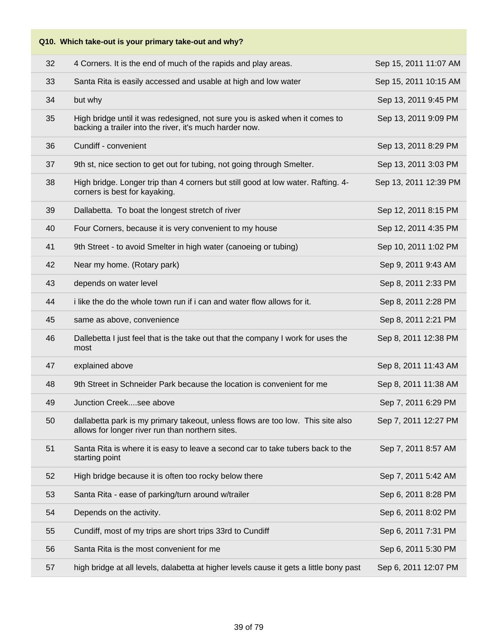**Q10. Which take-out is your primary take-out and why?**

| 32 | 4 Corners. It is the end of much of the rapids and play areas.                                                                         | Sep 15, 2011 11:07 AM |
|----|----------------------------------------------------------------------------------------------------------------------------------------|-----------------------|
| 33 | Santa Rita is easily accessed and usable at high and low water                                                                         | Sep 15, 2011 10:15 AM |
| 34 | but why                                                                                                                                | Sep 13, 2011 9:45 PM  |
| 35 | High bridge until it was redesigned, not sure you is asked when it comes to<br>backing a trailer into the river, it's much harder now. | Sep 13, 2011 9:09 PM  |
| 36 | Cundiff - convenient                                                                                                                   | Sep 13, 2011 8:29 PM  |
| 37 | 9th st, nice section to get out for tubing, not going through Smelter.                                                                 | Sep 13, 2011 3:03 PM  |
| 38 | High bridge. Longer trip than 4 corners but still good at low water. Rafting. 4-<br>corners is best for kayaking.                      | Sep 13, 2011 12:39 PM |
| 39 | Dallabetta. To boat the longest stretch of river                                                                                       | Sep 12, 2011 8:15 PM  |
| 40 | Four Corners, because it is very convenient to my house                                                                                | Sep 12, 2011 4:35 PM  |
| 41 | 9th Street - to avoid Smelter in high water (canoeing or tubing)                                                                       | Sep 10, 2011 1:02 PM  |
| 42 | Near my home. (Rotary park)                                                                                                            | Sep 9, 2011 9:43 AM   |
| 43 | depends on water level                                                                                                                 | Sep 8, 2011 2:33 PM   |
| 44 | i like the do the whole town run if i can and water flow allows for it.                                                                | Sep 8, 2011 2:28 PM   |
| 45 | same as above, convenience                                                                                                             | Sep 8, 2011 2:21 PM   |
| 46 | Dallebetta I just feel that is the take out that the company I work for uses the<br>most                                               | Sep 8, 2011 12:38 PM  |
| 47 | explained above                                                                                                                        | Sep 8, 2011 11:43 AM  |
| 48 | 9th Street in Schneider Park because the location is convenient for me                                                                 | Sep 8, 2011 11:38 AM  |
| 49 | Junction Creeksee above                                                                                                                | Sep 7, 2011 6:29 PM   |
| 50 | dallabetta park is my primary takeout, unless flows are too low. This site also<br>allows for longer river run than northern sites.    | Sep 7, 2011 12:27 PM  |
| 51 | Santa Rita is where it is easy to leave a second car to take tubers back to the<br>starting point                                      | Sep 7, 2011 8:57 AM   |
| 52 | High bridge because it is often too rocky below there                                                                                  | Sep 7, 2011 5:42 AM   |
| 53 | Santa Rita - ease of parking/turn around w/trailer                                                                                     | Sep 6, 2011 8:28 PM   |
| 54 | Depends on the activity.                                                                                                               | Sep 6, 2011 8:02 PM   |
| 55 | Cundiff, most of my trips are short trips 33rd to Cundiff                                                                              | Sep 6, 2011 7:31 PM   |
| 56 | Santa Rita is the most convenient for me                                                                                               | Sep 6, 2011 5:30 PM   |
| 57 | high bridge at all levels, dalabetta at higher levels cause it gets a little bony past                                                 | Sep 6, 2011 12:07 PM  |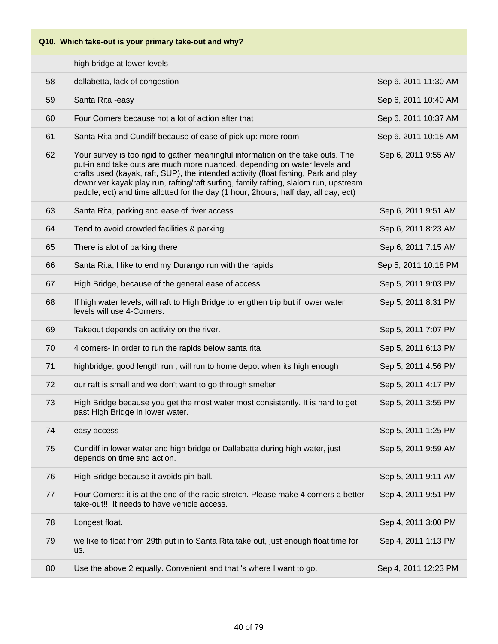|    | high bridge at lower levels                                                                                                                                                                                                                                                                                                                                                                                                         |                      |
|----|-------------------------------------------------------------------------------------------------------------------------------------------------------------------------------------------------------------------------------------------------------------------------------------------------------------------------------------------------------------------------------------------------------------------------------------|----------------------|
| 58 | dallabetta, lack of congestion                                                                                                                                                                                                                                                                                                                                                                                                      | Sep 6, 2011 11:30 AM |
| 59 | Santa Rita - easy                                                                                                                                                                                                                                                                                                                                                                                                                   | Sep 6, 2011 10:40 AM |
| 60 | Four Corners because not a lot of action after that                                                                                                                                                                                                                                                                                                                                                                                 | Sep 6, 2011 10:37 AM |
| 61 | Santa Rita and Cundiff because of ease of pick-up: more room                                                                                                                                                                                                                                                                                                                                                                        | Sep 6, 2011 10:18 AM |
| 62 | Your survey is too rigid to gather meaningful information on the take outs. The<br>put-in and take outs are much more nuanced, depending on water levels and<br>crafts used (kayak, raft, SUP), the intended activity (float fishing, Park and play,<br>downriver kayak play run, rafting/raft surfing, family rafting, slalom run, upstream<br>paddle, ect) and time allotted for the day (1 hour, 2hours, half day, all day, ect) | Sep 6, 2011 9:55 AM  |
| 63 | Santa Rita, parking and ease of river access                                                                                                                                                                                                                                                                                                                                                                                        | Sep 6, 2011 9:51 AM  |
| 64 | Tend to avoid crowded facilities & parking.                                                                                                                                                                                                                                                                                                                                                                                         | Sep 6, 2011 8:23 AM  |
| 65 | There is alot of parking there                                                                                                                                                                                                                                                                                                                                                                                                      | Sep 6, 2011 7:15 AM  |
| 66 | Santa Rita, I like to end my Durango run with the rapids                                                                                                                                                                                                                                                                                                                                                                            | Sep 5, 2011 10:18 PM |
| 67 | High Bridge, because of the general ease of access                                                                                                                                                                                                                                                                                                                                                                                  | Sep 5, 2011 9:03 PM  |
| 68 | If high water levels, will raft to High Bridge to lengthen trip but if lower water<br>levels will use 4-Corners.                                                                                                                                                                                                                                                                                                                    | Sep 5, 2011 8:31 PM  |
| 69 | Takeout depends on activity on the river.                                                                                                                                                                                                                                                                                                                                                                                           | Sep 5, 2011 7:07 PM  |
| 70 | 4 corners- in order to run the rapids below santa rita                                                                                                                                                                                                                                                                                                                                                                              | Sep 5, 2011 6:13 PM  |
|    |                                                                                                                                                                                                                                                                                                                                                                                                                                     |                      |
| 71 | highbridge, good length run, will run to home depot when its high enough                                                                                                                                                                                                                                                                                                                                                            | Sep 5, 2011 4:56 PM  |
| 72 | our raft is small and we don't want to go through smelter                                                                                                                                                                                                                                                                                                                                                                           | Sep 5, 2011 4:17 PM  |
| 73 | High Bridge because you get the most water most consistently. It is hard to get<br>past High Bridge in lower water.                                                                                                                                                                                                                                                                                                                 | Sep 5, 2011 3:55 PM  |
| 74 | easy access                                                                                                                                                                                                                                                                                                                                                                                                                         | Sep 5, 2011 1:25 PM  |
| 75 | Cundiff in lower water and high bridge or Dallabetta during high water, just<br>depends on time and action.                                                                                                                                                                                                                                                                                                                         | Sep 5, 2011 9:59 AM  |
| 76 | High Bridge because it avoids pin-ball.                                                                                                                                                                                                                                                                                                                                                                                             | Sep 5, 2011 9:11 AM  |
| 77 | Four Corners: it is at the end of the rapid stretch. Please make 4 corners a better<br>take-out!!! It needs to have vehicle access.                                                                                                                                                                                                                                                                                                 | Sep 4, 2011 9:51 PM  |
| 78 | Longest float.                                                                                                                                                                                                                                                                                                                                                                                                                      | Sep 4, 2011 3:00 PM  |
| 79 | we like to float from 29th put in to Santa Rita take out, just enough float time for<br>us.                                                                                                                                                                                                                                                                                                                                         | Sep 4, 2011 1:13 PM  |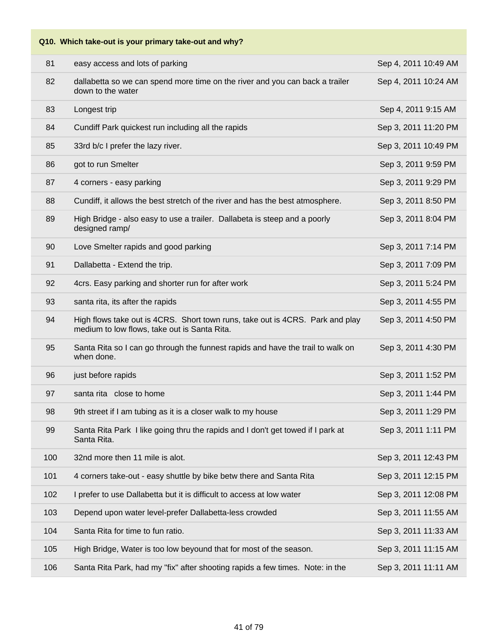# **Q10. Which take-out is your primary take-out and why?** 81 easy access and lots of parking Sep 4, 2011 10:49 AM 82 dallabetta so we can spend more time on the river and you can back a trailer down to the water Sep 4, 2011 10:24 AM 83 Longest trip Sep 4, 2011 9:15 AM 84 Cundiff Park quickest run including all the rapids Sep 3, 2011 11:20 PM 85 33rd b/c I prefer the lazy river. Sep 3, 2011 10:49 PM 86 got to run Smelter Sep 3, 2011 9:59 PM 87 4 corners - easy parking Sep 3, 2011 9:29 PM 88 Cundiff, it allows the best stretch of the river and has the best atmosphere. Sep 3, 2011 8:50 PM 89 High Bridge - also easy to use a trailer. Dallabeta is steep and a poorly designed ramp/ Sep 3, 2011 8:04 PM 90 Love Smelter rapids and good parking Sep 3, 2011 7:14 PM 91 Dallabetta - Extend the trip. Sep 3, 2011 7:09 PM 92 4crs. Easy parking and shorter run for after work Sep 3, 2011 5:24 PM 93 santa rita, its after the rapids Sep 3, 2011 4:55 PM 94 High flows take out is 4CRS. Short town runs, take out is 4CRS. Park and play medium to low flows, take out is Santa Rita. Sep 3, 2011 4:50 PM 95 Santa Rita so I can go through the funnest rapids and have the trail to walk on when done. Sep 3, 2011 4:30 PM 96 just before rapids **Sep 3, 2011 1:52 PM** 97 santa rita close to home Sep 3, 2011 1:44 PM 98 9th street if I am tubing as it is a closer walk to my house Sep 3, 2011 1:29 PM 99 Santa Rita Park I like going thru the rapids and I don't get towed if I park at Santa Rita. Sep 3, 2011 1:11 PM 100 32nd more then 11 mile is alot. Sep 3, 2011 12:43 PM 101 4 corners take-out - easy shuttle by bike betw there and Santa Rita Sep 3, 2011 12:15 PM 102 I prefer to use Dallabetta but it is difficult to access at low water Sep 3, 2011 12:08 PM 103 Depend upon water level-prefer Dallabetta-less crowded Sep 3, 2011 11:55 AM 104 Santa Rita for time to fun ratio. Sep 3, 2011 11:33 AM 105 High Bridge, Water is too low beyound that for most of the season. Sep 3, 2011 11:15 AM 106 Santa Rita Park, had my "fix" after shooting rapids a few times. Note: in the Sep 3, 2011 11:11 AM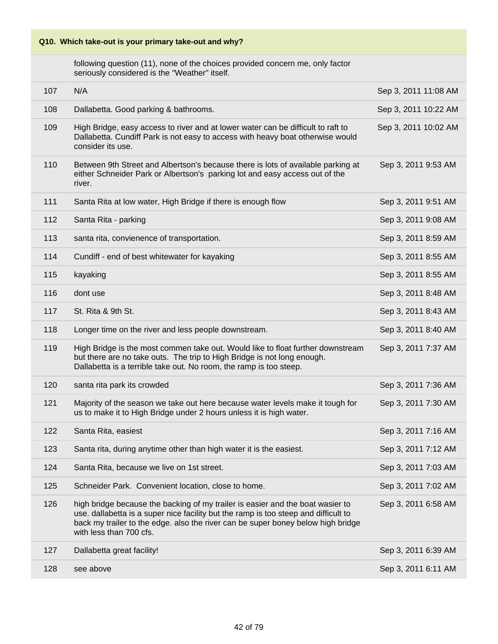following question (11), none of the choices provided concern me, only factor seriously considered is the "Weather" itself.

| 107 | N/A                                                                                                                                                                                                                                                                                  | Sep 3, 2011 11:08 AM |
|-----|--------------------------------------------------------------------------------------------------------------------------------------------------------------------------------------------------------------------------------------------------------------------------------------|----------------------|
| 108 | Dallabetta. Good parking & bathrooms.                                                                                                                                                                                                                                                | Sep 3, 2011 10:22 AM |
| 109 | High Bridge, easy access to river and at lower water can be difficult to raft to<br>Dallabetta. Cundiff Park is not easy to access with heavy boat otherwise would<br>consider its use.                                                                                              | Sep 3, 2011 10:02 AM |
| 110 | Between 9th Street and Albertson's because there is lots of available parking at<br>either Schneider Park or Albertson's parking lot and easy access out of the<br>river.                                                                                                            | Sep 3, 2011 9:53 AM  |
| 111 | Santa Rita at low water, High Bridge if there is enough flow                                                                                                                                                                                                                         | Sep 3, 2011 9:51 AM  |
| 112 | Santa Rita - parking                                                                                                                                                                                                                                                                 | Sep 3, 2011 9:08 AM  |
| 113 | santa rita, convienence of transportation.                                                                                                                                                                                                                                           | Sep 3, 2011 8:59 AM  |
| 114 | Cundiff - end of best whitewater for kayaking                                                                                                                                                                                                                                        | Sep 3, 2011 8:55 AM  |
| 115 | kayaking                                                                                                                                                                                                                                                                             | Sep 3, 2011 8:55 AM  |
| 116 | dont use                                                                                                                                                                                                                                                                             | Sep 3, 2011 8:48 AM  |
| 117 | St. Rita & 9th St.                                                                                                                                                                                                                                                                   | Sep 3, 2011 8:43 AM  |
| 118 | Longer time on the river and less people downstream.                                                                                                                                                                                                                                 | Sep 3, 2011 8:40 AM  |
| 119 | High Bridge is the most commen take out. Would like to float further downstream<br>but there are no take outs. The trip to High Bridge is not long enough.<br>Dallabetta is a terrible take out. No room, the ramp is too steep.                                                     | Sep 3, 2011 7:37 AM  |
| 120 | santa rita park its crowded                                                                                                                                                                                                                                                          | Sep 3, 2011 7:36 AM  |
| 121 | Majority of the season we take out here because water levels make it tough for<br>us to make it to High Bridge under 2 hours unless it is high water.                                                                                                                                | Sep 3, 2011 7:30 AM  |
| 122 | Santa Rita, easiest                                                                                                                                                                                                                                                                  | Sep 3, 2011 7:16 AM  |
| 123 | Santa rita, during anytime other than high water it is the easiest.                                                                                                                                                                                                                  | Sep 3, 2011 7:12 AM  |
| 124 | Santa Rita, because we live on 1st street.                                                                                                                                                                                                                                           | Sep 3, 2011 7:03 AM  |
| 125 | Schneider Park. Convenient location, close to home.                                                                                                                                                                                                                                  | Sep 3, 2011 7:02 AM  |
| 126 | high bridge because the backing of my trailer is easier and the boat wasier to<br>use. dallabetta is a super nice facility but the ramp is too steep and difficult to<br>back my trailer to the edge. also the river can be super boney below high bridge<br>with less than 700 cfs. | Sep 3, 2011 6:58 AM  |
| 127 | Dallabetta great facility!                                                                                                                                                                                                                                                           | Sep 3, 2011 6:39 AM  |
| 128 | see above                                                                                                                                                                                                                                                                            | Sep 3, 2011 6:11 AM  |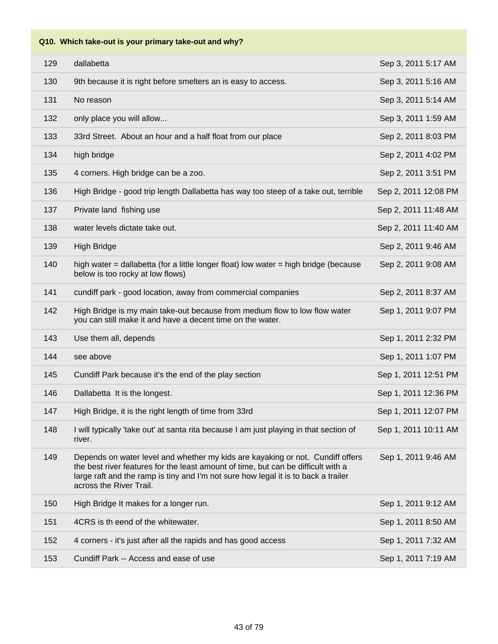| 129 | dallabetta                                                                                                                                                                                                                                                                           | Sep 3, 2011 5:17 AM  |
|-----|--------------------------------------------------------------------------------------------------------------------------------------------------------------------------------------------------------------------------------------------------------------------------------------|----------------------|
| 130 | 9th because it is right before smelters an is easy to access.                                                                                                                                                                                                                        | Sep 3, 2011 5:16 AM  |
| 131 | No reason                                                                                                                                                                                                                                                                            | Sep 3, 2011 5:14 AM  |
| 132 | only place you will allow                                                                                                                                                                                                                                                            | Sep 3, 2011 1:59 AM  |
| 133 | 33rd Street. About an hour and a half float from our place                                                                                                                                                                                                                           | Sep 2, 2011 8:03 PM  |
| 134 | high bridge                                                                                                                                                                                                                                                                          | Sep 2, 2011 4:02 PM  |
| 135 | 4 corners. High bridge can be a zoo.                                                                                                                                                                                                                                                 | Sep 2, 2011 3:51 PM  |
| 136 | High Bridge - good trip length Dallabetta has way too steep of a take out, terrible                                                                                                                                                                                                  | Sep 2, 2011 12:08 PM |
| 137 | Private land fishing use                                                                                                                                                                                                                                                             | Sep 2, 2011 11:48 AM |
| 138 | water levels dictate take out.                                                                                                                                                                                                                                                       | Sep 2, 2011 11:40 AM |
| 139 | <b>High Bridge</b>                                                                                                                                                                                                                                                                   | Sep 2, 2011 9:46 AM  |
| 140 | high water $=$ dallabetta (for a little longer float) low water $=$ high bridge (because<br>below is too rocky at low flows)                                                                                                                                                         | Sep 2, 2011 9:08 AM  |
| 141 | cundiff park - good location, away from commercial companies                                                                                                                                                                                                                         | Sep 2, 2011 8:37 AM  |
| 142 | High Bridge is my main take-out because from medium flow to low flow water<br>you can still make it and have a decent time on the water.                                                                                                                                             | Sep 1, 2011 9:07 PM  |
| 143 | Use them all, depends                                                                                                                                                                                                                                                                | Sep 1, 2011 2:32 PM  |
| 144 | see above                                                                                                                                                                                                                                                                            | Sep 1, 2011 1:07 PM  |
| 145 | Cundiff Park because it's the end of the play section                                                                                                                                                                                                                                | Sep 1, 2011 12:51 PM |
| 146 | Dallabetta It is the longest.                                                                                                                                                                                                                                                        | Sep 1, 2011 12:36 PM |
| 147 | High Bridge, it is the right length of time from 33rd                                                                                                                                                                                                                                | Sep 1, 2011 12:07 PM |
| 148 | I will typically 'take out' at santa rita because I am just playing in that section of<br>river.                                                                                                                                                                                     | Sep 1, 2011 10:11 AM |
| 149 | Depends on water level and whether my kids are kayaking or not. Cundiff offers<br>the best river features for the least amount of time, but can be difficult with a<br>large raft and the ramp is tiny and I'm not sure how legal it is to back a trailer<br>across the River Trail. | Sep 1, 2011 9:46 AM  |
| 150 | High Bridge It makes for a longer run.                                                                                                                                                                                                                                               | Sep 1, 2011 9:12 AM  |
| 151 | 4CRS is th eend of the whitewater.                                                                                                                                                                                                                                                   | Sep 1, 2011 8:50 AM  |
| 152 | 4 corners - it's just after all the rapids and has good access                                                                                                                                                                                                                       | Sep 1, 2011 7:32 AM  |
| 153 | Cundiff Park -- Access and ease of use                                                                                                                                                                                                                                               | Sep 1, 2011 7:19 AM  |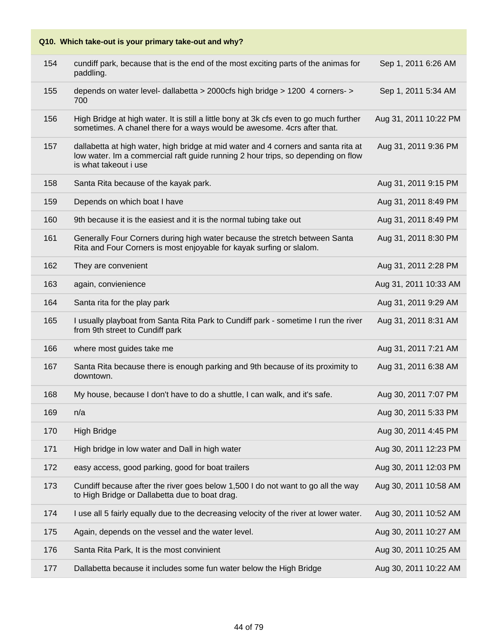|     | Q10. Which take-out is your primary take-out and why?                                                                                                                                           |                       |
|-----|-------------------------------------------------------------------------------------------------------------------------------------------------------------------------------------------------|-----------------------|
| 154 | cundiff park, because that is the end of the most exciting parts of the animas for<br>paddling.                                                                                                 | Sep 1, 2011 6:26 AM   |
| 155 | depends on water level- dallabetta > 2000cfs high bridge > 1200 4 corners- ><br>700                                                                                                             | Sep 1, 2011 5:34 AM   |
| 156 | High Bridge at high water. It is still a little bony at 3k cfs even to go much further<br>sometimes. A chanel there for a ways would be awesome. 4crs after that.                               | Aug 31, 2011 10:22 PM |
| 157 | dallabetta at high water, high bridge at mid water and 4 corners and santa rita at<br>low water. Im a commercial raft guide running 2 hour trips, so depending on flow<br>is what takeout i use | Aug 31, 2011 9:36 PM  |
| 158 | Santa Rita because of the kayak park.                                                                                                                                                           | Aug 31, 2011 9:15 PM  |
| 159 | Depends on which boat I have                                                                                                                                                                    | Aug 31, 2011 8:49 PM  |
| 160 | 9th because it is the easiest and it is the normal tubing take out                                                                                                                              | Aug 31, 2011 8:49 PM  |
| 161 | Generally Four Corners during high water because the stretch between Santa<br>Rita and Four Corners is most enjoyable for kayak surfing or slalom.                                              | Aug 31, 2011 8:30 PM  |
| 162 | They are convenient                                                                                                                                                                             | Aug 31, 2011 2:28 PM  |
| 163 | again, convienience                                                                                                                                                                             | Aug 31, 2011 10:33 AM |
| 164 | Santa rita for the play park                                                                                                                                                                    | Aug 31, 2011 9:29 AM  |
| 165 | I usually playboat from Santa Rita Park to Cundiff park - sometime I run the river<br>from 9th street to Cundiff park                                                                           | Aug 31, 2011 8:31 AM  |
| 166 | where most guides take me                                                                                                                                                                       | Aug 31, 2011 7:21 AM  |
| 167 | Santa Rita because there is enough parking and 9th because of its proximity to<br>downtown.                                                                                                     | Aug 31, 2011 6:38 AM  |
| 168 | My house, because I don't have to do a shuttle, I can walk, and it's safe.                                                                                                                      | Aug 30, 2011 7:07 PM  |
| 169 | n/a                                                                                                                                                                                             | Aug 30, 2011 5:33 PM  |
| 170 | <b>High Bridge</b>                                                                                                                                                                              | Aug 30, 2011 4:45 PM  |
| 171 | High bridge in low water and Dall in high water                                                                                                                                                 | Aug 30, 2011 12:23 PM |
| 172 | easy access, good parking, good for boat trailers                                                                                                                                               | Aug 30, 2011 12:03 PM |
| 173 | Cundiff because after the river goes below 1,500 I do not want to go all the way<br>to High Bridge or Dallabetta due to boat drag.                                                              | Aug 30, 2011 10:58 AM |
| 174 | I use all 5 fairly equally due to the decreasing velocity of the river at lower water.                                                                                                          | Aug 30, 2011 10:52 AM |
| 175 | Again, depends on the vessel and the water level.                                                                                                                                               | Aug 30, 2011 10:27 AM |
| 176 | Santa Rita Park, It is the most convinient                                                                                                                                                      | Aug 30, 2011 10:25 AM |
| 177 | Dallabetta because it includes some fun water below the High Bridge                                                                                                                             | Aug 30, 2011 10:22 AM |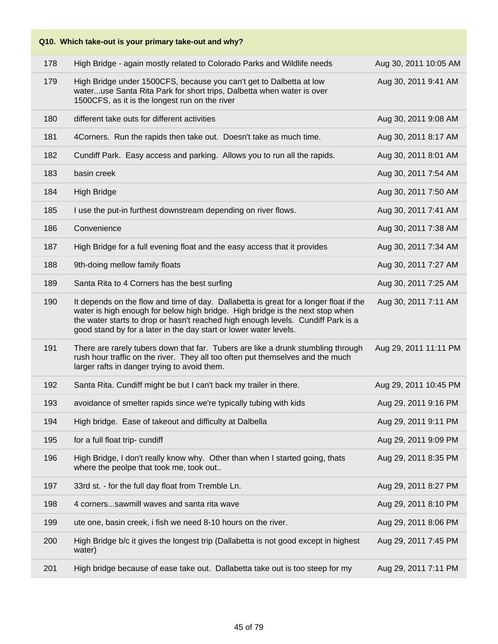| Q10. Which take-out is your primary take-out and why? |                                                                                                                                                                                                                                                                                                                                 |                       |  |
|-------------------------------------------------------|---------------------------------------------------------------------------------------------------------------------------------------------------------------------------------------------------------------------------------------------------------------------------------------------------------------------------------|-----------------------|--|
| 178                                                   | High Bridge - again mostly related to Colorado Parks and Wildlife needs                                                                                                                                                                                                                                                         | Aug 30, 2011 10:05 AM |  |
| 179                                                   | High Bridge under 1500CFS, because you can't get to Dalbetta at low<br>wateruse Santa Rita Park for short trips, Dalbetta when water is over<br>1500CFS, as it is the longest run on the river                                                                                                                                  | Aug 30, 2011 9:41 AM  |  |
| 180                                                   | different take outs for different activities                                                                                                                                                                                                                                                                                    | Aug 30, 2011 9:08 AM  |  |
| 181                                                   | 4Corners. Run the rapids then take out. Doesn't take as much time.                                                                                                                                                                                                                                                              | Aug 30, 2011 8:17 AM  |  |
| 182                                                   | Cundiff Park. Easy access and parking. Allows you to run all the rapids.                                                                                                                                                                                                                                                        | Aug 30, 2011 8:01 AM  |  |
| 183                                                   | basin creek                                                                                                                                                                                                                                                                                                                     | Aug 30, 2011 7:54 AM  |  |
| 184                                                   | <b>High Bridge</b>                                                                                                                                                                                                                                                                                                              | Aug 30, 2011 7:50 AM  |  |
| 185                                                   | I use the put-in furthest downstream depending on river flows.                                                                                                                                                                                                                                                                  | Aug 30, 2011 7:41 AM  |  |
| 186                                                   | Convenience                                                                                                                                                                                                                                                                                                                     | Aug 30, 2011 7:38 AM  |  |
| 187                                                   | High Bridge for a full evening float and the easy access that it provides                                                                                                                                                                                                                                                       | Aug 30, 2011 7:34 AM  |  |
| 188                                                   | 9th-doing mellow family floats                                                                                                                                                                                                                                                                                                  | Aug 30, 2011 7:27 AM  |  |
| 189                                                   | Santa Rita to 4 Corners has the best surfing                                                                                                                                                                                                                                                                                    | Aug 30, 2011 7:25 AM  |  |
| 190                                                   | It depends on the flow and time of day. Dallabetta is great for a longer float if the<br>water is high enough for below high bridge. High bridge is the next stop when<br>the water starts to drop or hasn't reached high enough levels. Cundiff Park is a<br>good stand by for a later in the day start or lower water levels. | Aug 30, 2011 7:11 AM  |  |
| 191                                                   | There are rarely tubers down that far. Tubers are like a drunk stumbling through<br>rush hour traffic on the river. They all too often put themselves and the much<br>larger rafts in danger trying to avoid them.                                                                                                              | Aug 29, 2011 11:11 PM |  |
| 192                                                   | Santa Rita. Cundiff might be but I can't back my trailer in there.                                                                                                                                                                                                                                                              | Aug 29, 2011 10:45 PM |  |
| 193                                                   | avoidance of smelter rapids since we're typically tubing with kids                                                                                                                                                                                                                                                              | Aug 29, 2011 9:16 PM  |  |
| 194                                                   | High bridge. Ease of takeout and difficulty at Dalbella                                                                                                                                                                                                                                                                         | Aug 29, 2011 9:11 PM  |  |
| 195                                                   | for a full float trip- cundiff                                                                                                                                                                                                                                                                                                  | Aug 29, 2011 9:09 PM  |  |
| 196                                                   | High Bridge, I don't really know why. Other than when I started going, thats<br>where the peolpe that took me, took out                                                                                                                                                                                                         | Aug 29, 2011 8:35 PM  |  |
| 197                                                   | 33rd st. - for the full day float from Tremble Ln.                                                                                                                                                                                                                                                                              | Aug 29, 2011 8:27 PM  |  |
| 198                                                   | 4 cornerssawmill waves and santa rita wave                                                                                                                                                                                                                                                                                      | Aug 29, 2011 8:10 PM  |  |
| 199                                                   | ute one, basin creek, i fish we need 8-10 hours on the river.                                                                                                                                                                                                                                                                   | Aug 29, 2011 8:06 PM  |  |
| 200                                                   | High Bridge b/c it gives the longest trip (Dallabetta is not good except in highest<br>water)                                                                                                                                                                                                                                   | Aug 29, 2011 7:45 PM  |  |
| 201                                                   | High bridge because of ease take out. Dallabetta take out is too steep for my                                                                                                                                                                                                                                                   | Aug 29, 2011 7:11 PM  |  |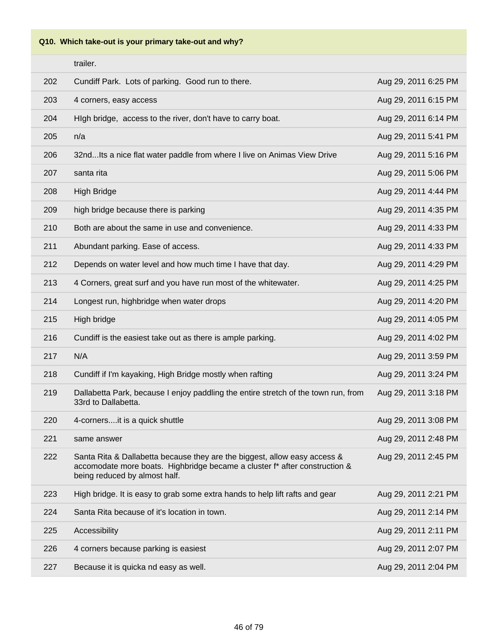**Q10. Which take-out is your primary take-out and why?**

|     | trailer.                                                                                                                                                                                 |                      |
|-----|------------------------------------------------------------------------------------------------------------------------------------------------------------------------------------------|----------------------|
| 202 | Cundiff Park. Lots of parking. Good run to there.                                                                                                                                        | Aug 29, 2011 6:25 PM |
| 203 | 4 corners, easy access                                                                                                                                                                   | Aug 29, 2011 6:15 PM |
| 204 | High bridge, access to the river, don't have to carry boat.                                                                                                                              | Aug 29, 2011 6:14 PM |
| 205 | n/a                                                                                                                                                                                      | Aug 29, 2011 5:41 PM |
| 206 | 32ndIts a nice flat water paddle from where I live on Animas View Drive                                                                                                                  | Aug 29, 2011 5:16 PM |
| 207 | santa rita                                                                                                                                                                               | Aug 29, 2011 5:06 PM |
| 208 | <b>High Bridge</b>                                                                                                                                                                       | Aug 29, 2011 4:44 PM |
| 209 | high bridge because there is parking                                                                                                                                                     | Aug 29, 2011 4:35 PM |
| 210 | Both are about the same in use and convenience.                                                                                                                                          | Aug 29, 2011 4:33 PM |
| 211 | Abundant parking. Ease of access.                                                                                                                                                        | Aug 29, 2011 4:33 PM |
| 212 | Depends on water level and how much time I have that day.                                                                                                                                | Aug 29, 2011 4:29 PM |
| 213 | 4 Corners, great surf and you have run most of the whitewater.                                                                                                                           | Aug 29, 2011 4:25 PM |
| 214 | Longest run, highbridge when water drops                                                                                                                                                 | Aug 29, 2011 4:20 PM |
| 215 | High bridge                                                                                                                                                                              | Aug 29, 2011 4:05 PM |
| 216 | Cundiff is the easiest take out as there is ample parking.                                                                                                                               | Aug 29, 2011 4:02 PM |
| 217 | N/A                                                                                                                                                                                      | Aug 29, 2011 3:59 PM |
| 218 | Cundiff if I'm kayaking, High Bridge mostly when rafting                                                                                                                                 | Aug 29, 2011 3:24 PM |
| 219 | Dallabetta Park, because I enjoy paddling the entire stretch of the town run, from<br>33rd to Dallabetta.                                                                                | Aug 29, 2011 3:18 PM |
| 220 | 4-corners it is a quick shuttle                                                                                                                                                          | Aug 29, 2011 3:08 PM |
| 221 | same answer                                                                                                                                                                              | Aug 29, 2011 2:48 PM |
| 222 | Santa Rita & Dallabetta because they are the biggest, allow easy access &<br>accomodate more boats. Highbridge became a cluster f* after construction &<br>being reduced by almost half. | Aug 29, 2011 2:45 PM |
| 223 | High bridge. It is easy to grab some extra hands to help lift rafts and gear                                                                                                             | Aug 29, 2011 2:21 PM |
| 224 | Santa Rita because of it's location in town.                                                                                                                                             | Aug 29, 2011 2:14 PM |
| 225 | Accessibility                                                                                                                                                                            | Aug 29, 2011 2:11 PM |
| 226 | 4 corners because parking is easiest                                                                                                                                                     | Aug 29, 2011 2:07 PM |
| 227 | Because it is quicka nd easy as well.                                                                                                                                                    | Aug 29, 2011 2:04 PM |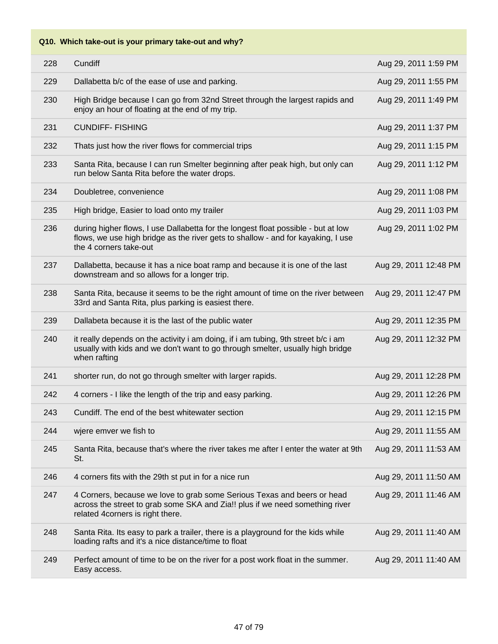| 228 | Cundiff                                                                                                                                                                                         | Aug 29, 2011 1:59 PM  |
|-----|-------------------------------------------------------------------------------------------------------------------------------------------------------------------------------------------------|-----------------------|
| 229 | Dallabetta b/c of the ease of use and parking.                                                                                                                                                  | Aug 29, 2011 1:55 PM  |
| 230 | High Bridge because I can go from 32nd Street through the largest rapids and<br>enjoy an hour of floating at the end of my trip.                                                                | Aug 29, 2011 1:49 PM  |
| 231 | <b>CUNDIFF-FISHING</b>                                                                                                                                                                          | Aug 29, 2011 1:37 PM  |
| 232 | Thats just how the river flows for commercial trips                                                                                                                                             | Aug 29, 2011 1:15 PM  |
| 233 | Santa Rita, because I can run Smelter beginning after peak high, but only can<br>run below Santa Rita before the water drops.                                                                   | Aug 29, 2011 1:12 PM  |
| 234 | Doubletree, convenience                                                                                                                                                                         | Aug 29, 2011 1:08 PM  |
| 235 | High bridge, Easier to load onto my trailer                                                                                                                                                     | Aug 29, 2011 1:03 PM  |
| 236 | during higher flows, I use Dallabetta for the longest float possible - but at low<br>flows, we use high bridge as the river gets to shallow - and for kayaking, I use<br>the 4 corners take-out | Aug 29, 2011 1:02 PM  |
| 237 | Dallabetta, because it has a nice boat ramp and because it is one of the last<br>downstream and so allows for a longer trip.                                                                    | Aug 29, 2011 12:48 PM |
| 238 | Santa Rita, because it seems to be the right amount of time on the river between<br>33rd and Santa Rita, plus parking is easiest there.                                                         | Aug 29, 2011 12:47 PM |
| 239 | Dallabeta because it is the last of the public water                                                                                                                                            | Aug 29, 2011 12:35 PM |
| 240 | it really depends on the activity i am doing, if i am tubing, 9th street b/c i am<br>usually with kids and we don't want to go through smelter, usually high bridge<br>when rafting             | Aug 29, 2011 12:32 PM |
| 241 | shorter run, do not go through smelter with larger rapids.                                                                                                                                      | Aug 29, 2011 12:28 PM |
| 242 | 4 corners - I like the length of the trip and easy parking.                                                                                                                                     | Aug 29, 2011 12:26 PM |
| 243 | Cundiff. The end of the best whitewater section                                                                                                                                                 | Aug 29, 2011 12:15 PM |
| 244 | wjere emver we fish to                                                                                                                                                                          | Aug 29, 2011 11:55 AM |
| 245 | Santa Rita, because that's where the river takes me after I enter the water at 9th<br>St.                                                                                                       | Aug 29, 2011 11:53 AM |
| 246 | 4 corners fits with the 29th st put in for a nice run                                                                                                                                           | Aug 29, 2011 11:50 AM |
| 247 | 4 Corners, because we love to grab some Serious Texas and beers or head<br>across the street to grab some SKA and Zia!! plus if we need something river<br>related 4corners is right there.     | Aug 29, 2011 11:46 AM |
| 248 | Santa Rita. Its easy to park a trailer, there is a playground for the kids while<br>loading rafts and it's a nice distance/time to float                                                        | Aug 29, 2011 11:40 AM |
| 249 | Perfect amount of time to be on the river for a post work float in the summer.<br>Easy access.                                                                                                  | Aug 29, 2011 11:40 AM |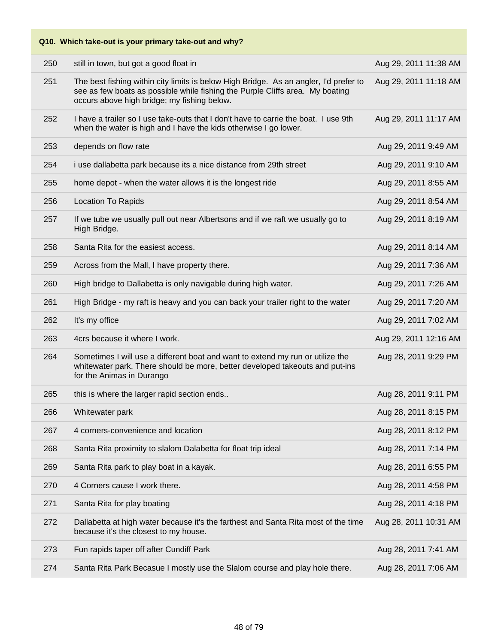|     | Q10. Which take-out is your primary take-out and why?                                                                                                                                                                 |                       |
|-----|-----------------------------------------------------------------------------------------------------------------------------------------------------------------------------------------------------------------------|-----------------------|
| 250 | still in town, but got a good float in                                                                                                                                                                                | Aug 29, 2011 11:38 AM |
| 251 | The best fishing within city limits is below High Bridge. As an angler, I'd prefer to<br>see as few boats as possible while fishing the Purple Cliffs area. My boating<br>occurs above high bridge; my fishing below. | Aug 29, 2011 11:18 AM |
| 252 | I have a trailer so I use take-outs that I don't have to carrie the boat. I use 9th<br>when the water is high and I have the kids otherwise I go lower.                                                               | Aug 29, 2011 11:17 AM |
| 253 | depends on flow rate                                                                                                                                                                                                  | Aug 29, 2011 9:49 AM  |
| 254 | i use dallabetta park because its a nice distance from 29th street                                                                                                                                                    | Aug 29, 2011 9:10 AM  |
| 255 | home depot - when the water allows it is the longest ride                                                                                                                                                             | Aug 29, 2011 8:55 AM  |
| 256 | <b>Location To Rapids</b>                                                                                                                                                                                             | Aug 29, 2011 8:54 AM  |
| 257 | If we tube we usually pull out near Albertsons and if we raft we usually go to<br>High Bridge.                                                                                                                        | Aug 29, 2011 8:19 AM  |
| 258 | Santa Rita for the easiest access.                                                                                                                                                                                    | Aug 29, 2011 8:14 AM  |
| 259 | Across from the Mall, I have property there.                                                                                                                                                                          | Aug 29, 2011 7:36 AM  |
| 260 | High bridge to Dallabetta is only navigable during high water.                                                                                                                                                        | Aug 29, 2011 7:26 AM  |
| 261 | High Bridge - my raft is heavy and you can back your trailer right to the water                                                                                                                                       | Aug 29, 2011 7:20 AM  |
| 262 | It's my office                                                                                                                                                                                                        | Aug 29, 2011 7:02 AM  |
| 263 | 4crs because it where I work.                                                                                                                                                                                         | Aug 29, 2011 12:16 AM |
| 264 | Sometimes I will use a different boat and want to extend my run or utilize the<br>whitewater park. There should be more, better developed takeouts and put-ins<br>for the Animas in Durango                           | Aug 28, 2011 9:29 PM  |
| 265 | this is where the larger rapid section ends                                                                                                                                                                           | Aug 28, 2011 9:11 PM  |
| 266 | Whitewater park                                                                                                                                                                                                       | Aug 28, 2011 8:15 PM  |
| 267 | 4 corners-convenience and location                                                                                                                                                                                    | Aug 28, 2011 8:12 PM  |
| 268 | Santa Rita proximity to slalom Dalabetta for float trip ideal                                                                                                                                                         | Aug 28, 2011 7:14 PM  |
| 269 | Santa Rita park to play boat in a kayak.                                                                                                                                                                              | Aug 28, 2011 6:55 PM  |
| 270 | 4 Corners cause I work there.                                                                                                                                                                                         | Aug 28, 2011 4:58 PM  |
| 271 | Santa Rita for play boating                                                                                                                                                                                           | Aug 28, 2011 4:18 PM  |
| 272 | Dallabetta at high water because it's the farthest and Santa Rita most of the time<br>because it's the closest to my house.                                                                                           | Aug 28, 2011 10:31 AM |
| 273 | Fun rapids taper off after Cundiff Park                                                                                                                                                                               | Aug 28, 2011 7:41 AM  |
| 274 | Santa Rita Park Becasue I mostly use the Slalom course and play hole there.                                                                                                                                           | Aug 28, 2011 7:06 AM  |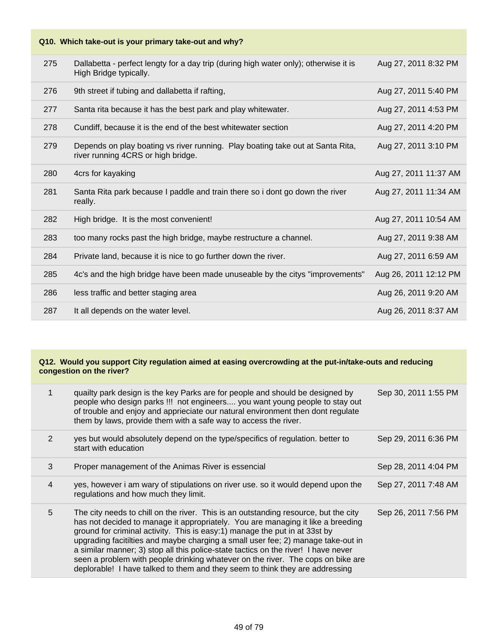| 275 | Dallabetta - perfect lengty for a day trip (during high water only); otherwise it is<br>High Bridge typically.       | Aug 27, 2011 8:32 PM  |
|-----|----------------------------------------------------------------------------------------------------------------------|-----------------------|
| 276 | 9th street if tubing and dallabetta if rafting,                                                                      | Aug 27, 2011 5:40 PM  |
| 277 | Santa rita because it has the best park and play whitewater.                                                         | Aug 27, 2011 4:53 PM  |
| 278 | Cundiff, because it is the end of the best whitewater section                                                        | Aug 27, 2011 4:20 PM  |
| 279 | Depends on play boating vs river running. Play boating take out at Santa Rita,<br>river running 4CRS or high bridge. | Aug 27, 2011 3:10 PM  |
| 280 | 4crs for kayaking                                                                                                    | Aug 27, 2011 11:37 AM |
| 281 | Santa Rita park because I paddle and train there so i dont go down the river<br>really.                              | Aug 27, 2011 11:34 AM |
| 282 | High bridge. It is the most convenient!                                                                              | Aug 27, 2011 10:54 AM |
| 283 | too many rocks past the high bridge, maybe restructure a channel.                                                    | Aug 27, 2011 9:38 AM  |
| 284 | Private land, because it is nice to go further down the river.                                                       | Aug 27, 2011 6:59 AM  |
| 285 | 4c's and the high bridge have been made unuseable by the citys "improvements"                                        | Aug 26, 2011 12:12 PM |
| 286 | less traffic and better staging area                                                                                 | Aug 26, 2011 9:20 AM  |
| 287 | It all depends on the water level.                                                                                   | Aug 26, 2011 8:37 AM  |

| 1 | quailty park design is the key Parks are for people and should be designed by<br>people who design parks !!! not engineers you want young people to stay out<br>of trouble and enjoy and apprieciate our natural environment then dont regulate<br>them by laws, provide them with a safe way to access the river.                                                                                                                                                                                                                                                                                | Sep 30, 2011 1:55 PM |
|---|---------------------------------------------------------------------------------------------------------------------------------------------------------------------------------------------------------------------------------------------------------------------------------------------------------------------------------------------------------------------------------------------------------------------------------------------------------------------------------------------------------------------------------------------------------------------------------------------------|----------------------|
| 2 | yes but would absolutely depend on the type/specifics of regulation. better to<br>start with education                                                                                                                                                                                                                                                                                                                                                                                                                                                                                            | Sep 29, 2011 6:36 PM |
| 3 | Proper management of the Animas River is essencial                                                                                                                                                                                                                                                                                                                                                                                                                                                                                                                                                | Sep 28, 2011 4:04 PM |
| 4 | yes, however i am wary of stipulations on river use. so it would depend upon the<br>regulations and how much they limit.                                                                                                                                                                                                                                                                                                                                                                                                                                                                          | Sep 27, 2011 7:48 AM |
| 5 | The city needs to chill on the river. This is an outstanding resource, but the city<br>has not decided to manage it appropriately. You are managing it like a breeding<br>ground for criminal activity. This is easy:1) manage the put in at 33st by<br>upgrading facitilties and maybe charging a small user fee; 2) manage take-out in<br>a similar manner; 3) stop all this police-state tactics on the river! I have never<br>seen a problem with people drinking whatever on the river. The cops on bike are<br>deplorable! I have talked to them and they seem to think they are addressing | Sep 26, 2011 7:56 PM |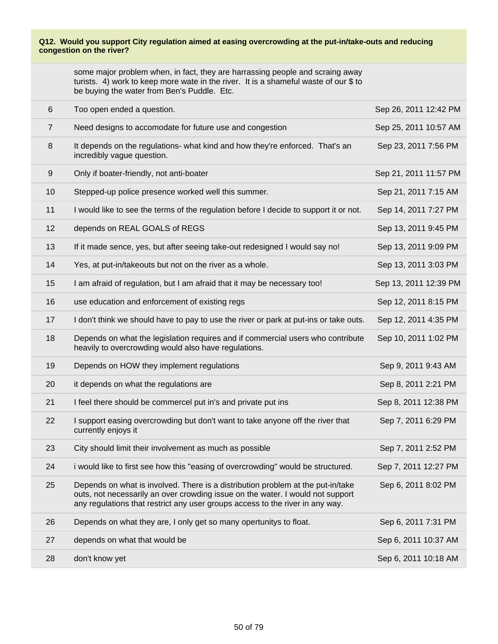some major problem when, in fact, they are harrassing people and scraing away turists. 4) work to keep more wate in the river. It is a shameful waste of our \$ to be buying the water from Ben's Puddle. Etc.

| $6\,$          | Too open ended a question.                                                                                                                                                                                                                         | Sep 26, 2011 12:42 PM |
|----------------|----------------------------------------------------------------------------------------------------------------------------------------------------------------------------------------------------------------------------------------------------|-----------------------|
| $\overline{7}$ | Need designs to accomodate for future use and congestion                                                                                                                                                                                           | Sep 25, 2011 10:57 AM |
| 8              | It depends on the regulations- what kind and how they're enforced. That's an<br>incredibly vague question.                                                                                                                                         | Sep 23, 2011 7:56 PM  |
| 9              | Only if boater-friendly, not anti-boater                                                                                                                                                                                                           | Sep 21, 2011 11:57 PM |
| 10             | Stepped-up police presence worked well this summer.                                                                                                                                                                                                | Sep 21, 2011 7:15 AM  |
| 11             | I would like to see the terms of the regulation before I decide to support it or not.                                                                                                                                                              | Sep 14, 2011 7:27 PM  |
| 12             | depends on REAL GOALS of REGS                                                                                                                                                                                                                      | Sep 13, 2011 9:45 PM  |
| 13             | If it made sence, yes, but after seeing take-out redesigned I would say no!                                                                                                                                                                        | Sep 13, 2011 9:09 PM  |
| 14             | Yes, at put-in/takeouts but not on the river as a whole.                                                                                                                                                                                           | Sep 13, 2011 3:03 PM  |
| 15             | I am afraid of regulation, but I am afraid that it may be necessary too!                                                                                                                                                                           | Sep 13, 2011 12:39 PM |
| 16             | use education and enforcement of existing regs                                                                                                                                                                                                     | Sep 12, 2011 8:15 PM  |
| 17             | I don't think we should have to pay to use the river or park at put-ins or take outs.                                                                                                                                                              | Sep 12, 2011 4:35 PM  |
| 18             | Depends on what the legislation requires and if commercial users who contribute<br>heavily to overcrowding would also have regulations.                                                                                                            | Sep 10, 2011 1:02 PM  |
| 19             | Depends on HOW they implement regulations                                                                                                                                                                                                          | Sep 9, 2011 9:43 AM   |
| 20             | it depends on what the regulations are                                                                                                                                                                                                             | Sep 8, 2011 2:21 PM   |
| 21             | I feel there should be commercel put in's and private put ins                                                                                                                                                                                      | Sep 8, 2011 12:38 PM  |
| 22             | I support easing overcrowding but don't want to take anyone off the river that<br>currently enjoys it                                                                                                                                              | Sep 7, 2011 6:29 PM   |
| 23             | City should limit their involvement as much as possible                                                                                                                                                                                            | Sep 7, 2011 2:52 PM   |
| 24             | i would like to first see how this "easing of overcrowding" would be structured.                                                                                                                                                                   | Sep 7, 2011 12:27 PM  |
| 25             | Depends on what is involved. There is a distribution problem at the put-in/take<br>outs, not necessarily an over crowding issue on the water. I would not support<br>any regulations that restrict any user groups access to the river in any way. | Sep 6, 2011 8:02 PM   |
| 26             | Depends on what they are, I only get so many opertunitys to float.                                                                                                                                                                                 | Sep 6, 2011 7:31 PM   |
| 27             | depends on what that would be                                                                                                                                                                                                                      | Sep 6, 2011 10:37 AM  |
| 28             | don't know yet                                                                                                                                                                                                                                     | Sep 6, 2011 10:18 AM  |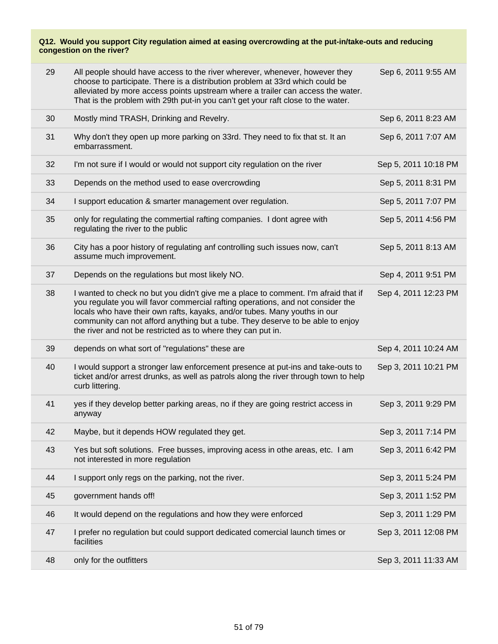| 29 | All people should have access to the river wherever, whenever, however they<br>choose to participate. There is a distribution problem at 33rd which could be<br>alleviated by more access points upstream where a trailer can access the water.<br>That is the problem with 29th put-in you can't get your raft close to the water.                                                                  | Sep 6, 2011 9:55 AM  |
|----|------------------------------------------------------------------------------------------------------------------------------------------------------------------------------------------------------------------------------------------------------------------------------------------------------------------------------------------------------------------------------------------------------|----------------------|
| 30 | Mostly mind TRASH, Drinking and Revelry.                                                                                                                                                                                                                                                                                                                                                             | Sep 6, 2011 8:23 AM  |
| 31 | Why don't they open up more parking on 33rd. They need to fix that st. It an<br>embarrassment.                                                                                                                                                                                                                                                                                                       | Sep 6, 2011 7:07 AM  |
| 32 | I'm not sure if I would or would not support city regulation on the river                                                                                                                                                                                                                                                                                                                            | Sep 5, 2011 10:18 PM |
| 33 | Depends on the method used to ease overcrowding                                                                                                                                                                                                                                                                                                                                                      | Sep 5, 2011 8:31 PM  |
| 34 | I support education & smarter management over regulation.                                                                                                                                                                                                                                                                                                                                            | Sep 5, 2011 7:07 PM  |
| 35 | only for regulating the commertial rafting companies. I dont agree with<br>regulating the river to the public                                                                                                                                                                                                                                                                                        | Sep 5, 2011 4:56 PM  |
| 36 | City has a poor history of regulating anf controlling such issues now, can't<br>assume much improvement.                                                                                                                                                                                                                                                                                             | Sep 5, 2011 8:13 AM  |
| 37 | Depends on the regulations but most likely NO.                                                                                                                                                                                                                                                                                                                                                       | Sep 4, 2011 9:51 PM  |
| 38 | I wanted to check no but you didn't give me a place to comment. I'm afraid that if<br>you regulate you will favor commercial rafting operations, and not consider the<br>locals who have their own rafts, kayaks, and/or tubes. Many youths in our<br>community can not afford anything but a tube. They deserve to be able to enjoy<br>the river and not be restricted as to where they can put in. | Sep 4, 2011 12:23 PM |
| 39 | depends on what sort of "regulations" these are                                                                                                                                                                                                                                                                                                                                                      | Sep 4, 2011 10:24 AM |
| 40 | I would support a stronger law enforcement presence at put-ins and take-outs to<br>ticket and/or arrest drunks, as well as patrols along the river through town to help<br>curb littering.                                                                                                                                                                                                           | Sep 3, 2011 10:21 PM |
| 41 | yes if they develop better parking areas, no if they are going restrict access in<br>anyway                                                                                                                                                                                                                                                                                                          | Sep 3, 2011 9:29 PM  |
| 42 | Maybe, but it depends HOW regulated they get.                                                                                                                                                                                                                                                                                                                                                        | Sep 3, 2011 7:14 PM  |
| 43 | Yes but soft solutions. Free busses, improving acess in othe areas, etc. I am<br>not interested in more regulation                                                                                                                                                                                                                                                                                   | Sep 3, 2011 6:42 PM  |
| 44 | I support only regs on the parking, not the river.                                                                                                                                                                                                                                                                                                                                                   | Sep 3, 2011 5:24 PM  |
| 45 | government hands off!                                                                                                                                                                                                                                                                                                                                                                                | Sep 3, 2011 1:52 PM  |
| 46 | It would depend on the regulations and how they were enforced                                                                                                                                                                                                                                                                                                                                        | Sep 3, 2011 1:29 PM  |
| 47 | I prefer no regulation but could support dedicated comercial launch times or<br>facilities                                                                                                                                                                                                                                                                                                           | Sep 3, 2011 12:08 PM |
| 48 | only for the outfitters                                                                                                                                                                                                                                                                                                                                                                              | Sep 3, 2011 11:33 AM |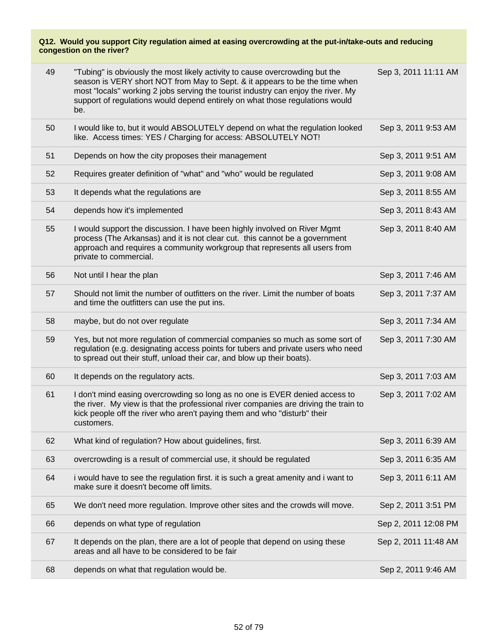| 49 | "Tubing" is obviously the most likely activity to cause overcrowding but the<br>season is VERY short NOT from May to Sept. & it appears to be the time when<br>most "locals" working 2 jobs serving the tourist industry can enjoy the river. My<br>support of regulations would depend entirely on what those regulations would<br>be. | Sep 3, 2011 11:11 AM |
|----|-----------------------------------------------------------------------------------------------------------------------------------------------------------------------------------------------------------------------------------------------------------------------------------------------------------------------------------------|----------------------|
| 50 | I would like to, but it would ABSOLUTELY depend on what the regulation looked<br>like. Access times: YES / Charging for access: ABSOLUTELY NOT!                                                                                                                                                                                         | Sep 3, 2011 9:53 AM  |
| 51 | Depends on how the city proposes their management                                                                                                                                                                                                                                                                                       | Sep 3, 2011 9:51 AM  |
| 52 | Requires greater definition of "what" and "who" would be regulated                                                                                                                                                                                                                                                                      | Sep 3, 2011 9:08 AM  |
| 53 | It depends what the regulations are                                                                                                                                                                                                                                                                                                     | Sep 3, 2011 8:55 AM  |
| 54 | depends how it's implemented                                                                                                                                                                                                                                                                                                            | Sep 3, 2011 8:43 AM  |
| 55 | I would support the discussion. I have been highly involved on River Mgmt<br>process (The Arkansas) and it is not clear cut. this cannot be a government<br>approach and requires a community workgroup that represents all users from<br>private to commercial.                                                                        | Sep 3, 2011 8:40 AM  |
| 56 | Not until I hear the plan                                                                                                                                                                                                                                                                                                               | Sep 3, 2011 7:46 AM  |
| 57 | Should not limit the number of outfitters on the river. Limit the number of boats<br>and time the outfitters can use the put ins.                                                                                                                                                                                                       | Sep 3, 2011 7:37 AM  |
| 58 | maybe, but do not over regulate                                                                                                                                                                                                                                                                                                         | Sep 3, 2011 7:34 AM  |
| 59 | Yes, but not more regulation of commercial companies so much as some sort of<br>regulation (e.g. designating access points for tubers and private users who need<br>to spread out their stuff, unload their car, and blow up their boats).                                                                                              | Sep 3, 2011 7:30 AM  |
| 60 | It depends on the regulatory acts.                                                                                                                                                                                                                                                                                                      | Sep 3, 2011 7:03 AM  |
| 61 | I don't mind easing overcrowding so long as no one is EVER denied access to<br>the river. My view is that the professional river companies are driving the train to<br>kick people off the river who aren't paying them and who "disturb" their<br>customers.                                                                           | Sep 3, 2011 7:02 AM  |
| 62 | What kind of regulation? How about guidelines, first.                                                                                                                                                                                                                                                                                   | Sep 3, 2011 6:39 AM  |
| 63 | overcrowding is a result of commercial use, it should be regulated                                                                                                                                                                                                                                                                      | Sep 3, 2011 6:35 AM  |
| 64 | i would have to see the regulation first. it is such a great amenity and i want to<br>make sure it doesn't become off limits.                                                                                                                                                                                                           | Sep 3, 2011 6:11 AM  |
| 65 | We don't need more regulation. Improve other sites and the crowds will move.                                                                                                                                                                                                                                                            | Sep 2, 2011 3:51 PM  |
| 66 | depends on what type of regulation                                                                                                                                                                                                                                                                                                      | Sep 2, 2011 12:08 PM |
| 67 | It depends on the plan, there are a lot of people that depend on using these<br>areas and all have to be considered to be fair                                                                                                                                                                                                          | Sep 2, 2011 11:48 AM |
| 68 | depends on what that regulation would be.                                                                                                                                                                                                                                                                                               | Sep 2, 2011 9:46 AM  |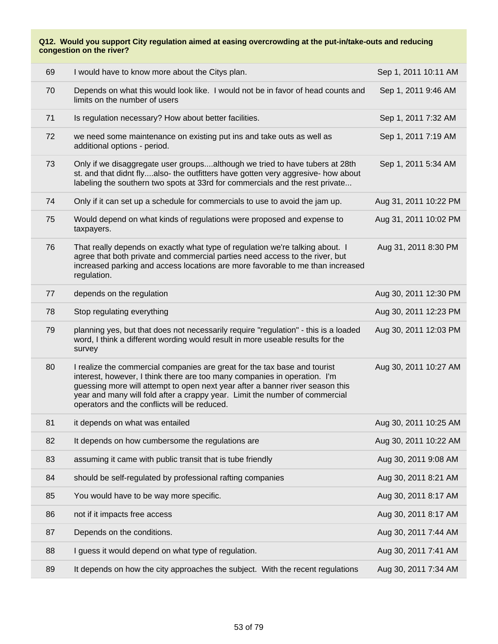| 69 | I would have to know more about the Citys plan.                                                                                                                                                                                                                                                                                                                        | Sep 1, 2011 10:11 AM  |
|----|------------------------------------------------------------------------------------------------------------------------------------------------------------------------------------------------------------------------------------------------------------------------------------------------------------------------------------------------------------------------|-----------------------|
| 70 | Depends on what this would look like. I would not be in favor of head counts and<br>limits on the number of users                                                                                                                                                                                                                                                      | Sep 1, 2011 9:46 AM   |
| 71 | Is regulation necessary? How about better facilities.                                                                                                                                                                                                                                                                                                                  | Sep 1, 2011 7:32 AM   |
| 72 | we need some maintenance on existing put ins and take outs as well as<br>additional options - period.                                                                                                                                                                                                                                                                  | Sep 1, 2011 7:19 AM   |
| 73 | Only if we disaggregate user groupsalthough we tried to have tubers at 28th<br>st. and that didnt flyalso- the outfitters have gotten very aggresive- how about<br>labeling the southern two spots at 33rd for commercials and the rest private                                                                                                                        | Sep 1, 2011 5:34 AM   |
| 74 | Only if it can set up a schedule for commercials to use to avoid the jam up.                                                                                                                                                                                                                                                                                           | Aug 31, 2011 10:22 PM |
| 75 | Would depend on what kinds of regulations were proposed and expense to<br>taxpayers.                                                                                                                                                                                                                                                                                   | Aug 31, 2011 10:02 PM |
| 76 | That really depends on exactly what type of regulation we're talking about. I<br>agree that both private and commercial parties need access to the river, but<br>increased parking and access locations are more favorable to me than increased<br>regulation.                                                                                                         | Aug 31, 2011 8:30 PM  |
| 77 | depends on the regulation                                                                                                                                                                                                                                                                                                                                              | Aug 30, 2011 12:30 PM |
| 78 | Stop regulating everything                                                                                                                                                                                                                                                                                                                                             | Aug 30, 2011 12:23 PM |
| 79 | planning yes, but that does not necessarily require "regulation" - this is a loaded<br>word, I think a different wording would result in more useable results for the<br>survey                                                                                                                                                                                        | Aug 30, 2011 12:03 PM |
| 80 | I realize the commercial companies are great for the tax base and tourist<br>interest, however, I think there are too many companies in operation. I'm<br>guessing more will attempt to open next year after a banner river season this<br>year and many will fold after a crappy year. Limit the number of commercial<br>operators and the conflicts will be reduced. | Aug 30, 2011 10:27 AM |
| 81 | it depends on what was entailed                                                                                                                                                                                                                                                                                                                                        | Aug 30, 2011 10:25 AM |
| 82 | It depends on how cumbersome the regulations are                                                                                                                                                                                                                                                                                                                       | Aug 30, 2011 10:22 AM |
| 83 | assuming it came with public transit that is tube friendly                                                                                                                                                                                                                                                                                                             | Aug 30, 2011 9:08 AM  |
| 84 | should be self-regulated by professional rafting companies                                                                                                                                                                                                                                                                                                             | Aug 30, 2011 8:21 AM  |
| 85 | You would have to be way more specific.                                                                                                                                                                                                                                                                                                                                | Aug 30, 2011 8:17 AM  |
| 86 | not if it impacts free access                                                                                                                                                                                                                                                                                                                                          | Aug 30, 2011 8:17 AM  |
| 87 | Depends on the conditions.                                                                                                                                                                                                                                                                                                                                             | Aug 30, 2011 7:44 AM  |
| 88 | I guess it would depend on what type of regulation.                                                                                                                                                                                                                                                                                                                    | Aug 30, 2011 7:41 AM  |
| 89 | It depends on how the city approaches the subject. With the recent regulations                                                                                                                                                                                                                                                                                         | Aug 30, 2011 7:34 AM  |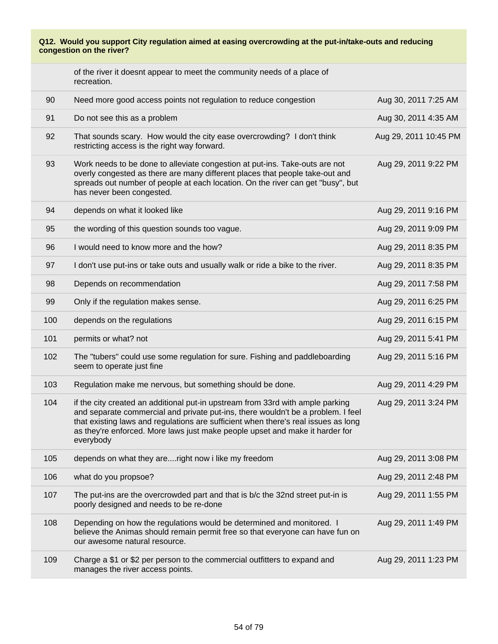|     | of the river it doesnt appear to meet the community needs of a place of<br>recreation.                                                                                                                                                                                                                                                                |                       |
|-----|-------------------------------------------------------------------------------------------------------------------------------------------------------------------------------------------------------------------------------------------------------------------------------------------------------------------------------------------------------|-----------------------|
| 90  | Need more good access points not regulation to reduce congestion                                                                                                                                                                                                                                                                                      | Aug 30, 2011 7:25 AM  |
| 91  | Do not see this as a problem                                                                                                                                                                                                                                                                                                                          | Aug 30, 2011 4:35 AM  |
| 92  | That sounds scary. How would the city ease overcrowding? I don't think<br>restricting access is the right way forward.                                                                                                                                                                                                                                | Aug 29, 2011 10:45 PM |
| 93  | Work needs to be done to alleviate congestion at put-ins. Take-outs are not<br>overly congested as there are many different places that people take-out and<br>spreads out number of people at each location. On the river can get "busy", but<br>has never been congested.                                                                           | Aug 29, 2011 9:22 PM  |
| 94  | depends on what it looked like                                                                                                                                                                                                                                                                                                                        | Aug 29, 2011 9:16 PM  |
| 95  | the wording of this question sounds too vague.                                                                                                                                                                                                                                                                                                        | Aug 29, 2011 9:09 PM  |
| 96  | I would need to know more and the how?                                                                                                                                                                                                                                                                                                                | Aug 29, 2011 8:35 PM  |
| 97  | I don't use put-ins or take outs and usually walk or ride a bike to the river.                                                                                                                                                                                                                                                                        | Aug 29, 2011 8:35 PM  |
| 98  | Depends on recommendation                                                                                                                                                                                                                                                                                                                             | Aug 29, 2011 7:58 PM  |
| 99  | Only if the regulation makes sense.                                                                                                                                                                                                                                                                                                                   | Aug 29, 2011 6:25 PM  |
| 100 | depends on the regulations                                                                                                                                                                                                                                                                                                                            | Aug 29, 2011 6:15 PM  |
| 101 | permits or what? not                                                                                                                                                                                                                                                                                                                                  | Aug 29, 2011 5:41 PM  |
| 102 | The "tubers" could use some regulation for sure. Fishing and paddleboarding<br>seem to operate just fine                                                                                                                                                                                                                                              | Aug 29, 2011 5:16 PM  |
| 103 | Regulation make me nervous, but something should be done.                                                                                                                                                                                                                                                                                             | Aug 29, 2011 4:29 PM  |
| 104 | if the city created an additional put-in upstream from 33rd with ample parking<br>and separate commercial and private put-ins, there wouldn't be a problem. I feel<br>that existing laws and regulations are sufficient when there's real issues as long<br>as they're enforced. More laws just make people upset and make it harder for<br>everybody | Aug 29, 2011 3:24 PM  |
| 105 | depends on what they areright now i like my freedom                                                                                                                                                                                                                                                                                                   | Aug 29, 2011 3:08 PM  |
| 106 | what do you propsoe?                                                                                                                                                                                                                                                                                                                                  | Aug 29, 2011 2:48 PM  |
| 107 | The put-ins are the overcrowded part and that is b/c the 32nd street put-in is<br>poorly designed and needs to be re-done                                                                                                                                                                                                                             | Aug 29, 2011 1:55 PM  |
| 108 | Depending on how the regulations would be determined and monitored. I<br>believe the Animas should remain permit free so that everyone can have fun on<br>our awesome natural resource.                                                                                                                                                               | Aug 29, 2011 1:49 PM  |
| 109 | Charge a \$1 or \$2 per person to the commercial outfitters to expand and<br>manages the river access points.                                                                                                                                                                                                                                         | Aug 29, 2011 1:23 PM  |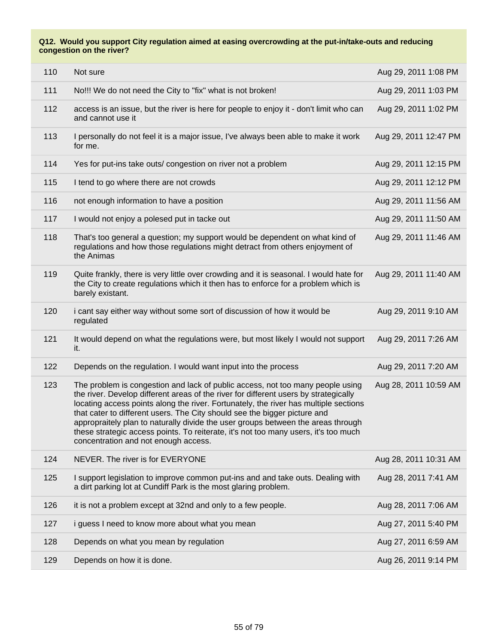| 110 | Not sure                                                                                                                                                                                                                                                                                                                                                                                                                                                                                                                                                       | Aug 29, 2011 1:08 PM  |
|-----|----------------------------------------------------------------------------------------------------------------------------------------------------------------------------------------------------------------------------------------------------------------------------------------------------------------------------------------------------------------------------------------------------------------------------------------------------------------------------------------------------------------------------------------------------------------|-----------------------|
| 111 | No!!! We do not need the City to "fix" what is not broken!                                                                                                                                                                                                                                                                                                                                                                                                                                                                                                     | Aug 29, 2011 1:03 PM  |
| 112 | access is an issue, but the river is here for people to enjoy it - don't limit who can<br>and cannot use it                                                                                                                                                                                                                                                                                                                                                                                                                                                    | Aug 29, 2011 1:02 PM  |
| 113 | I personally do not feel it is a major issue, I've always been able to make it work<br>for me.                                                                                                                                                                                                                                                                                                                                                                                                                                                                 | Aug 29, 2011 12:47 PM |
| 114 | Yes for put-ins take outs/ congestion on river not a problem                                                                                                                                                                                                                                                                                                                                                                                                                                                                                                   | Aug 29, 2011 12:15 PM |
| 115 | I tend to go where there are not crowds                                                                                                                                                                                                                                                                                                                                                                                                                                                                                                                        | Aug 29, 2011 12:12 PM |
| 116 | not enough information to have a position                                                                                                                                                                                                                                                                                                                                                                                                                                                                                                                      | Aug 29, 2011 11:56 AM |
| 117 | I would not enjoy a polesed put in tacke out                                                                                                                                                                                                                                                                                                                                                                                                                                                                                                                   | Aug 29, 2011 11:50 AM |
| 118 | That's too general a question; my support would be dependent on what kind of<br>regulations and how those regulations might detract from others enjoyment of<br>the Animas                                                                                                                                                                                                                                                                                                                                                                                     | Aug 29, 2011 11:46 AM |
| 119 | Quite frankly, there is very little over crowding and it is seasonal. I would hate for<br>the City to create regulations which it then has to enforce for a problem which is<br>barely existant.                                                                                                                                                                                                                                                                                                                                                               | Aug 29, 2011 11:40 AM |
| 120 | i cant say either way without some sort of discussion of how it would be<br>regulated                                                                                                                                                                                                                                                                                                                                                                                                                                                                          | Aug 29, 2011 9:10 AM  |
| 121 | It would depend on what the regulations were, but most likely I would not support<br>it.                                                                                                                                                                                                                                                                                                                                                                                                                                                                       | Aug 29, 2011 7:26 AM  |
| 122 | Depends on the regulation. I would want input into the process                                                                                                                                                                                                                                                                                                                                                                                                                                                                                                 | Aug 29, 2011 7:20 AM  |
| 123 | The problem is congestion and lack of public access, not too many people using<br>the river. Develop different areas of the river for different users by strategically<br>locating access points along the river. Fortunately, the river has multiple sections<br>that cater to different users. The City should see the bigger picture and<br>appropraitely plan to naturally divide the user groups between the areas through<br>these strategic access points. To reiterate, it's not too many users, it's too much<br>concentration and not enough access. | Aug 28, 2011 10:59 AM |
| 124 | NEVER. The river is for EVERYONE                                                                                                                                                                                                                                                                                                                                                                                                                                                                                                                               | Aug 28, 2011 10:31 AM |
| 125 | I support legislation to improve common put-ins and and take outs. Dealing with<br>a dirt parking lot at Cundiff Park is the most glaring problem.                                                                                                                                                                                                                                                                                                                                                                                                             | Aug 28, 2011 7:41 AM  |
| 126 | it is not a problem except at 32nd and only to a few people.                                                                                                                                                                                                                                                                                                                                                                                                                                                                                                   | Aug 28, 2011 7:06 AM  |
| 127 | i guess I need to know more about what you mean                                                                                                                                                                                                                                                                                                                                                                                                                                                                                                                | Aug 27, 2011 5:40 PM  |
| 128 | Depends on what you mean by regulation                                                                                                                                                                                                                                                                                                                                                                                                                                                                                                                         | Aug 27, 2011 6:59 AM  |
| 129 | Depends on how it is done.                                                                                                                                                                                                                                                                                                                                                                                                                                                                                                                                     | Aug 26, 2011 9:14 PM  |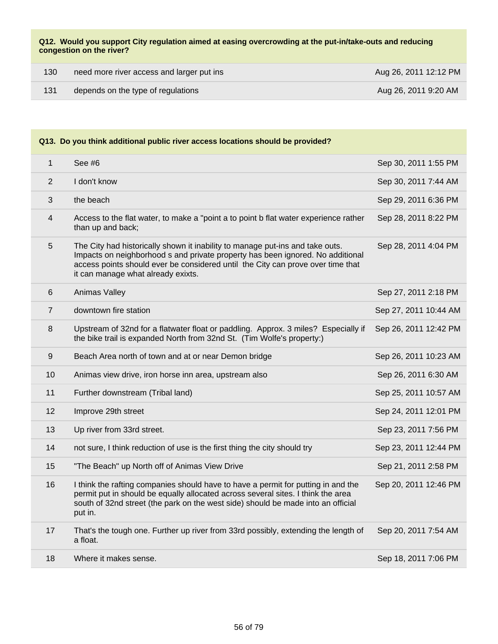| 130 | need more river access and larger put ins | Aug 26, 2011 12:12 PM |
|-----|-------------------------------------------|-----------------------|
| 131 | depends on the type of regulations        | Aug 26, 2011 9:20 AM  |

| $\mathbf{1}$     | See #6                                                                                                                                                                                                                                                                                   | Sep 30, 2011 1:55 PM  |
|------------------|------------------------------------------------------------------------------------------------------------------------------------------------------------------------------------------------------------------------------------------------------------------------------------------|-----------------------|
| 2                | I don't know                                                                                                                                                                                                                                                                             | Sep 30, 2011 7:44 AM  |
| 3                | the beach                                                                                                                                                                                                                                                                                | Sep 29, 2011 6:36 PM  |
| 4                | Access to the flat water, to make a "point a to point b flat water experience rather<br>than up and back;                                                                                                                                                                                | Sep 28, 2011 8:22 PM  |
| 5                | The City had historically shown it inability to manage put-ins and take outs.<br>Impacts on neighborhood s and private property has been ignored. No additional<br>access points should ever be considered until the City can prove over time that<br>it can manage what already exixts. | Sep 28, 2011 4:04 PM  |
| 6                | Animas Valley                                                                                                                                                                                                                                                                            | Sep 27, 2011 2:18 PM  |
| $\overline{7}$   | downtown fire station                                                                                                                                                                                                                                                                    | Sep 27, 2011 10:44 AM |
| 8                | Upstream of 32nd for a flatwater float or paddling. Approx. 3 miles? Especially if<br>the bike trail is expanded North from 32nd St. (Tim Wolfe's property:)                                                                                                                             | Sep 26, 2011 12:42 PM |
| $\boldsymbol{9}$ | Beach Area north of town and at or near Demon bridge                                                                                                                                                                                                                                     | Sep 26, 2011 10:23 AM |
| 10               | Animas view drive, iron horse inn area, upstream also                                                                                                                                                                                                                                    | Sep 26, 2011 6:30 AM  |
| 11               | Further downstream (Tribal land)                                                                                                                                                                                                                                                         | Sep 25, 2011 10:57 AM |
| 12               | Improve 29th street                                                                                                                                                                                                                                                                      | Sep 24, 2011 12:01 PM |
| 13               | Up river from 33rd street.                                                                                                                                                                                                                                                               | Sep 23, 2011 7:56 PM  |
| 14               | not sure, I think reduction of use is the first thing the city should try                                                                                                                                                                                                                | Sep 23, 2011 12:44 PM |
| 15               | "The Beach" up North off of Animas View Drive                                                                                                                                                                                                                                            | Sep 21, 2011 2:58 PM  |
| 16               | I think the rafting companies should have to have a permit for putting in and the<br>permit put in should be equally allocated across several sites. I think the area<br>south of 32nd street (the park on the west side) should be made into an official<br>put in.                     | Sep 20, 2011 12:46 PM |
| 17               | That's the tough one. Further up river from 33rd possibly, extending the length of<br>a float.                                                                                                                                                                                           | Sep 20, 2011 7:54 AM  |
| 18               | Where it makes sense.                                                                                                                                                                                                                                                                    | Sep 18, 2011 7:06 PM  |
|                  |                                                                                                                                                                                                                                                                                          |                       |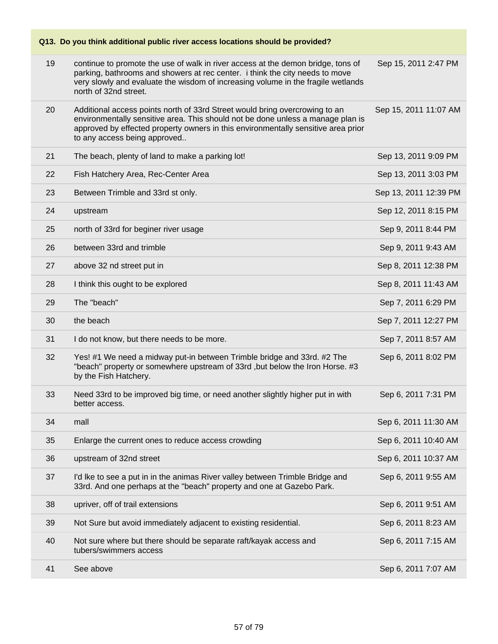|    | Q13. Do you think additional public river access locations should be provided?                                                                                                                                                                                                      |                       |
|----|-------------------------------------------------------------------------------------------------------------------------------------------------------------------------------------------------------------------------------------------------------------------------------------|-----------------------|
| 19 | continue to promote the use of walk in river access at the demon bridge, tons of<br>parking, bathrooms and showers at rec center. i think the city needs to move<br>very slowly and evaluate the wisdom of increasing volume in the fragile wetlands<br>north of 32nd street.       | Sep 15, 2011 2:47 PM  |
| 20 | Additional access points north of 33rd Street would bring overcrowing to an<br>environmentally sensitive area. This should not be done unless a manage plan is<br>approved by effected property owners in this environmentally sensitive area prior<br>to any access being approved | Sep 15, 2011 11:07 AM |
| 21 | The beach, plenty of land to make a parking lot!                                                                                                                                                                                                                                    | Sep 13, 2011 9:09 PM  |
| 22 | Fish Hatchery Area, Rec-Center Area                                                                                                                                                                                                                                                 | Sep 13, 2011 3:03 PM  |
| 23 | Between Trimble and 33rd st only.                                                                                                                                                                                                                                                   | Sep 13, 2011 12:39 PM |
| 24 | upstream                                                                                                                                                                                                                                                                            | Sep 12, 2011 8:15 PM  |
| 25 | north of 33rd for beginer river usage                                                                                                                                                                                                                                               | Sep 9, 2011 8:44 PM   |
| 26 | between 33rd and trimble                                                                                                                                                                                                                                                            | Sep 9, 2011 9:43 AM   |
| 27 | above 32 nd street put in                                                                                                                                                                                                                                                           | Sep 8, 2011 12:38 PM  |
| 28 | I think this ought to be explored                                                                                                                                                                                                                                                   | Sep 8, 2011 11:43 AM  |
| 29 | The "beach"                                                                                                                                                                                                                                                                         | Sep 7, 2011 6:29 PM   |
| 30 | the beach                                                                                                                                                                                                                                                                           | Sep 7, 2011 12:27 PM  |
| 31 | I do not know, but there needs to be more.                                                                                                                                                                                                                                          | Sep 7, 2011 8:57 AM   |
| 32 | Yes! #1 We need a midway put-in between Trimble bridge and 33rd. #2 The<br>"beach" property or somewhere upstream of 33rd, but below the Iron Horse. #3<br>by the Fish Hatchery.                                                                                                    | Sep 6, 2011 8:02 PM   |
| 33 | Need 33rd to be improved big time, or need another slightly higher put in with<br>better access.                                                                                                                                                                                    | Sep 6, 2011 7:31 PM   |
| 34 | mall                                                                                                                                                                                                                                                                                | Sep 6, 2011 11:30 AM  |
| 35 | Enlarge the current ones to reduce access crowding                                                                                                                                                                                                                                  | Sep 6, 2011 10:40 AM  |
| 36 | upstream of 32nd street                                                                                                                                                                                                                                                             | Sep 6, 2011 10:37 AM  |
| 37 | I'd Ike to see a put in in the animas River valley between Trimble Bridge and<br>33rd. And one perhaps at the "beach" property and one at Gazebo Park.                                                                                                                              | Sep 6, 2011 9:55 AM   |
| 38 | upriver, off of trail extensions                                                                                                                                                                                                                                                    | Sep 6, 2011 9:51 AM   |
| 39 | Not Sure but avoid immediately adjacent to existing residential.                                                                                                                                                                                                                    | Sep 6, 2011 8:23 AM   |
| 40 | Not sure where but there should be separate raft/kayak access and<br>tubers/swimmers access                                                                                                                                                                                         | Sep 6, 2011 7:15 AM   |
| 41 | See above                                                                                                                                                                                                                                                                           | Sep 6, 2011 7:07 AM   |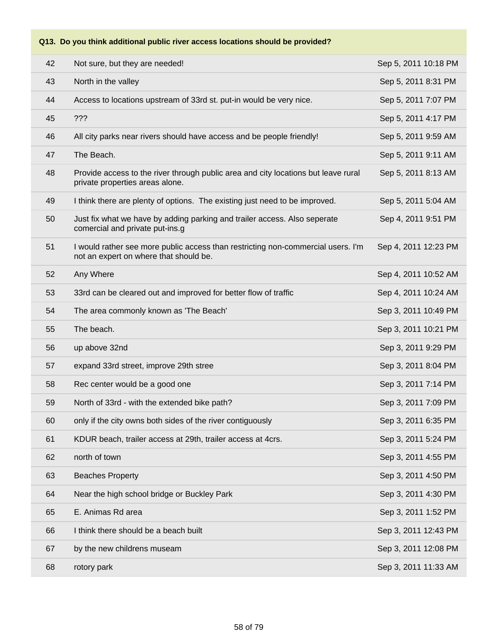| 42 | Not sure, but they are needed!                                                                                             | Sep 5, 2011 10:18 PM |
|----|----------------------------------------------------------------------------------------------------------------------------|----------------------|
| 43 | North in the valley                                                                                                        | Sep 5, 2011 8:31 PM  |
| 44 | Access to locations upstream of 33rd st. put-in would be very nice.                                                        | Sep 5, 2011 7:07 PM  |
| 45 | ???                                                                                                                        | Sep 5, 2011 4:17 PM  |
| 46 | All city parks near rivers should have access and be people friendly!                                                      | Sep 5, 2011 9:59 AM  |
| 47 | The Beach.                                                                                                                 | Sep 5, 2011 9:11 AM  |
| 48 | Provide access to the river through public area and city locations but leave rural<br>private properties areas alone.      | Sep 5, 2011 8:13 AM  |
| 49 | I think there are plenty of options. The existing just need to be improved.                                                | Sep 5, 2011 5:04 AM  |
| 50 | Just fix what we have by adding parking and trailer access. Also seperate<br>comercial and private put-ins.g               | Sep 4, 2011 9:51 PM  |
| 51 | I would rather see more public access than restricting non-commercial users. I'm<br>not an expert on where that should be. | Sep 4, 2011 12:23 PM |
| 52 | Any Where                                                                                                                  | Sep 4, 2011 10:52 AM |
| 53 | 33rd can be cleared out and improved for better flow of traffic                                                            | Sep 4, 2011 10:24 AM |
| 54 | The area commonly known as 'The Beach'                                                                                     | Sep 3, 2011 10:49 PM |
| 55 | The beach.                                                                                                                 | Sep 3, 2011 10:21 PM |
| 56 | up above 32nd                                                                                                              | Sep 3, 2011 9:29 PM  |
| 57 | expand 33rd street, improve 29th stree                                                                                     | Sep 3, 2011 8:04 PM  |
| 58 | Rec center would be a good one                                                                                             | Sep 3, 2011 7:14 PM  |
| 59 | North of 33rd - with the extended bike path?                                                                               | Sep 3, 2011 7:09 PM  |
| 60 | only if the city owns both sides of the river contiguously                                                                 | Sep 3, 2011 6:35 PM  |
| 61 | KDUR beach, trailer access at 29th, trailer access at 4crs.                                                                | Sep 3, 2011 5:24 PM  |
| 62 | north of town                                                                                                              | Sep 3, 2011 4:55 PM  |
| 63 | <b>Beaches Property</b>                                                                                                    | Sep 3, 2011 4:50 PM  |
| 64 | Near the high school bridge or Buckley Park                                                                                | Sep 3, 2011 4:30 PM  |
| 65 | E. Animas Rd area                                                                                                          | Sep 3, 2011 1:52 PM  |
| 66 | I think there should be a beach built                                                                                      | Sep 3, 2011 12:43 PM |
| 67 | by the new childrens museam                                                                                                | Sep 3, 2011 12:08 PM |
| 68 | rotory park                                                                                                                | Sep 3, 2011 11:33 AM |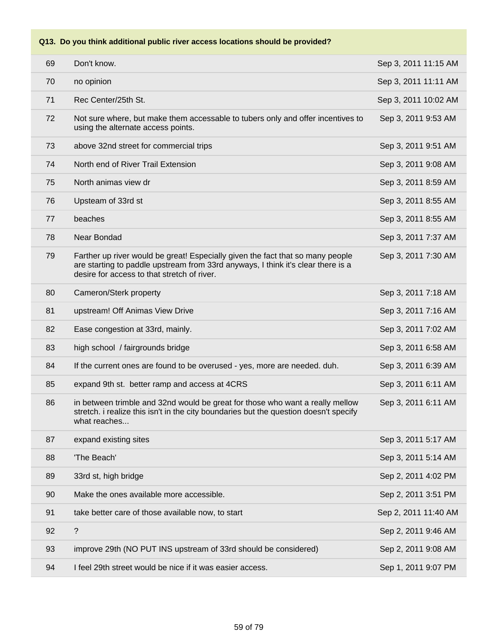| 69 | Don't know.                                                                                                                                                                                                       | Sep 3, 2011 11:15 AM |
|----|-------------------------------------------------------------------------------------------------------------------------------------------------------------------------------------------------------------------|----------------------|
| 70 | no opinion                                                                                                                                                                                                        | Sep 3, 2011 11:11 AM |
| 71 | Rec Center/25th St.                                                                                                                                                                                               | Sep 3, 2011 10:02 AM |
| 72 | Not sure where, but make them accessable to tubers only and offer incentives to<br>using the alternate access points.                                                                                             | Sep 3, 2011 9:53 AM  |
| 73 | above 32nd street for commercial trips                                                                                                                                                                            | Sep 3, 2011 9:51 AM  |
| 74 | North end of River Trail Extension                                                                                                                                                                                | Sep 3, 2011 9:08 AM  |
| 75 | North animas view dr                                                                                                                                                                                              | Sep 3, 2011 8:59 AM  |
| 76 | Upsteam of 33rd st                                                                                                                                                                                                | Sep 3, 2011 8:55 AM  |
| 77 | beaches                                                                                                                                                                                                           | Sep 3, 2011 8:55 AM  |
| 78 | Near Bondad                                                                                                                                                                                                       | Sep 3, 2011 7:37 AM  |
| 79 | Farther up river would be great! Especially given the fact that so many people<br>are starting to paddle upstream from 33rd anyways, I think it's clear there is a<br>desire for access to that stretch of river. | Sep 3, 2011 7:30 AM  |
| 80 | Cameron/Sterk property                                                                                                                                                                                            | Sep 3, 2011 7:18 AM  |
| 81 | upstream! Off Animas View Drive                                                                                                                                                                                   | Sep 3, 2011 7:16 AM  |
| 82 | Ease congestion at 33rd, mainly.                                                                                                                                                                                  | Sep 3, 2011 7:02 AM  |
| 83 | high school / fairgrounds bridge                                                                                                                                                                                  | Sep 3, 2011 6:58 AM  |
| 84 | If the current ones are found to be overused - yes, more are needed. duh.                                                                                                                                         | Sep 3, 2011 6:39 AM  |
| 85 | expand 9th st. better ramp and access at 4CRS                                                                                                                                                                     | Sep 3, 2011 6:11 AM  |
| 86 | in between trimble and 32nd would be great for those who want a really mellow<br>stretch. i realize this isn't in the city boundaries but the question doesn't specify<br>what reaches                            | Sep 3, 2011 6:11 AM  |
| 87 | expand existing sites                                                                                                                                                                                             | Sep 3, 2011 5:17 AM  |
| 88 | 'The Beach'                                                                                                                                                                                                       | Sep 3, 2011 5:14 AM  |
| 89 | 33rd st, high bridge                                                                                                                                                                                              | Sep 2, 2011 4:02 PM  |
| 90 | Make the ones available more accessible.                                                                                                                                                                          | Sep 2, 2011 3:51 PM  |
| 91 | take better care of those available now, to start                                                                                                                                                                 | Sep 2, 2011 11:40 AM |
| 92 | $\overline{\cdot}$                                                                                                                                                                                                | Sep 2, 2011 9:46 AM  |
| 93 | improve 29th (NO PUT INS upstream of 33rd should be considered)                                                                                                                                                   | Sep 2, 2011 9:08 AM  |
| 94 | I feel 29th street would be nice if it was easier access.                                                                                                                                                         | Sep 1, 2011 9:07 PM  |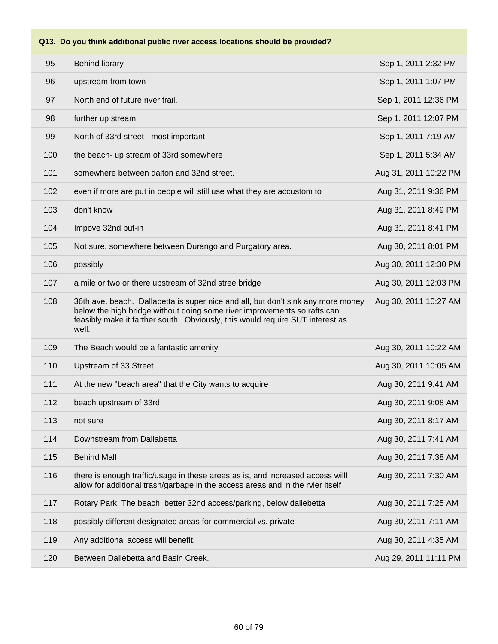| 95  | <b>Behind library</b>                                                                                                                                                                                                                                  | Sep 1, 2011 2:32 PM   |
|-----|--------------------------------------------------------------------------------------------------------------------------------------------------------------------------------------------------------------------------------------------------------|-----------------------|
| 96  | upstream from town                                                                                                                                                                                                                                     | Sep 1, 2011 1:07 PM   |
| 97  | North end of future river trail.                                                                                                                                                                                                                       | Sep 1, 2011 12:36 PM  |
| 98  | further up stream                                                                                                                                                                                                                                      | Sep 1, 2011 12:07 PM  |
| 99  | North of 33rd street - most important -                                                                                                                                                                                                                | Sep 1, 2011 7:19 AM   |
| 100 | the beach- up stream of 33rd somewhere                                                                                                                                                                                                                 | Sep 1, 2011 5:34 AM   |
| 101 | somewhere between dalton and 32nd street.                                                                                                                                                                                                              | Aug 31, 2011 10:22 PM |
| 102 | even if more are put in people will still use what they are accustom to                                                                                                                                                                                | Aug 31, 2011 9:36 PM  |
| 103 | don't know                                                                                                                                                                                                                                             | Aug 31, 2011 8:49 PM  |
| 104 | Impove 32nd put-in                                                                                                                                                                                                                                     | Aug 31, 2011 8:41 PM  |
| 105 | Not sure, somewhere between Durango and Purgatory area.                                                                                                                                                                                                | Aug 30, 2011 8:01 PM  |
| 106 | possibly                                                                                                                                                                                                                                               | Aug 30, 2011 12:30 PM |
| 107 | a mile or two or there upstream of 32nd stree bridge                                                                                                                                                                                                   | Aug 30, 2011 12:03 PM |
| 108 | 36th ave. beach. Dallabetta is super nice and all, but don't sink any more money<br>below the high bridge without doing some river improvements so rafts can<br>feasibly make it farther south. Obviously, this would require SUT interest as<br>well. | Aug 30, 2011 10:27 AM |
| 109 | The Beach would be a fantastic amenity                                                                                                                                                                                                                 | Aug 30, 2011 10:22 AM |
| 110 | Upstream of 33 Street                                                                                                                                                                                                                                  | Aug 30, 2011 10:05 AM |
| 111 | At the new "beach area" that the City wants to acquire                                                                                                                                                                                                 | Aug 30, 2011 9:41 AM  |
| 112 | beach upstream of 33rd                                                                                                                                                                                                                                 | Aug 30, 2011 9:08 AM  |
| 113 | not sure                                                                                                                                                                                                                                               | Aug 30, 2011 8:17 AM  |
| 114 | Downstream from Dallabetta                                                                                                                                                                                                                             | Aug 30, 2011 7:41 AM  |
| 115 | <b>Behind Mall</b>                                                                                                                                                                                                                                     | Aug 30, 2011 7:38 AM  |
| 116 | there is enough traffic/usage in these areas as is, and increased access will<br>allow for additional trash/garbage in the access areas and in the rvier itself                                                                                        | Aug 30, 2011 7:30 AM  |
| 117 | Rotary Park, The beach, better 32nd access/parking, below dallebetta                                                                                                                                                                                   | Aug 30, 2011 7:25 AM  |
| 118 | possibly different designated areas for commercial vs. private                                                                                                                                                                                         | Aug 30, 2011 7:11 AM  |
| 119 | Any additional access will benefit.                                                                                                                                                                                                                    | Aug 30, 2011 4:35 AM  |
| 120 | Between Dallebetta and Basin Creek.                                                                                                                                                                                                                    | Aug 29, 2011 11:11 PM |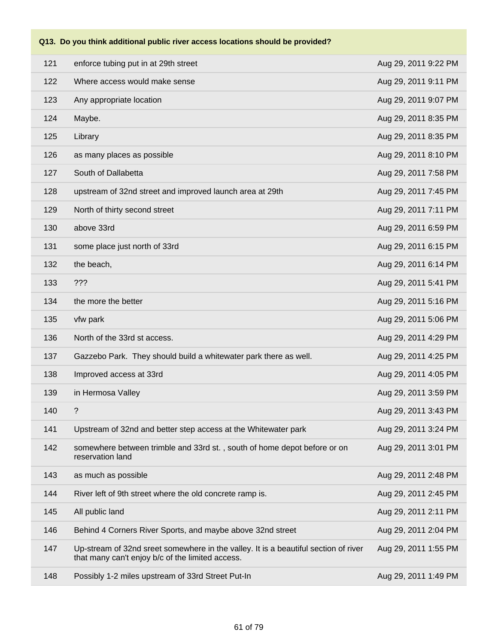| 121 | enforce tubing put in at 29th street                                                                                                    | Aug 29, 2011 9:22 PM |
|-----|-----------------------------------------------------------------------------------------------------------------------------------------|----------------------|
| 122 | Where access would make sense                                                                                                           | Aug 29, 2011 9:11 PM |
| 123 | Any appropriate location                                                                                                                | Aug 29, 2011 9:07 PM |
| 124 | Maybe.                                                                                                                                  | Aug 29, 2011 8:35 PM |
| 125 | Library                                                                                                                                 | Aug 29, 2011 8:35 PM |
| 126 | as many places as possible                                                                                                              | Aug 29, 2011 8:10 PM |
| 127 | South of Dallabetta                                                                                                                     | Aug 29, 2011 7:58 PM |
| 128 | upstream of 32nd street and improved launch area at 29th                                                                                | Aug 29, 2011 7:45 PM |
| 129 | North of thirty second street                                                                                                           | Aug 29, 2011 7:11 PM |
| 130 | above 33rd                                                                                                                              | Aug 29, 2011 6:59 PM |
| 131 | some place just north of 33rd                                                                                                           | Aug 29, 2011 6:15 PM |
| 132 | the beach,                                                                                                                              | Aug 29, 2011 6:14 PM |
| 133 | ???                                                                                                                                     | Aug 29, 2011 5:41 PM |
| 134 | the more the better                                                                                                                     | Aug 29, 2011 5:16 PM |
| 135 | vfw park                                                                                                                                | Aug 29, 2011 5:06 PM |
| 136 | North of the 33rd st access.                                                                                                            | Aug 29, 2011 4:29 PM |
| 137 | Gazzebo Park. They should build a whitewater park there as well.                                                                        | Aug 29, 2011 4:25 PM |
| 138 | Improved access at 33rd                                                                                                                 | Aug 29, 2011 4:05 PM |
| 139 | in Hermosa Valley                                                                                                                       | Aug 29, 2011 3:59 PM |
| 140 | $\tilde{?}$                                                                                                                             | Aug 29, 2011 3:43 PM |
| 141 | Upstream of 32nd and better step access at the Whitewater park                                                                          | Aug 29, 2011 3:24 PM |
| 142 | somewhere between trimble and 33rd st., south of home depot before or on<br>reservation land                                            | Aug 29, 2011 3:01 PM |
| 143 | as much as possible                                                                                                                     | Aug 29, 2011 2:48 PM |
| 144 | River left of 9th street where the old concrete ramp is.                                                                                | Aug 29, 2011 2:45 PM |
| 145 | All public land                                                                                                                         | Aug 29, 2011 2:11 PM |
| 146 | Behind 4 Corners River Sports, and maybe above 32nd street                                                                              | Aug 29, 2011 2:04 PM |
| 147 | Up-stream of 32nd sreet somewhere in the valley. It is a beautiful section of river<br>that many can't enjoy b/c of the limited access. | Aug 29, 2011 1:55 PM |
| 148 | Possibly 1-2 miles upstream of 33rd Street Put-In                                                                                       | Aug 29, 2011 1:49 PM |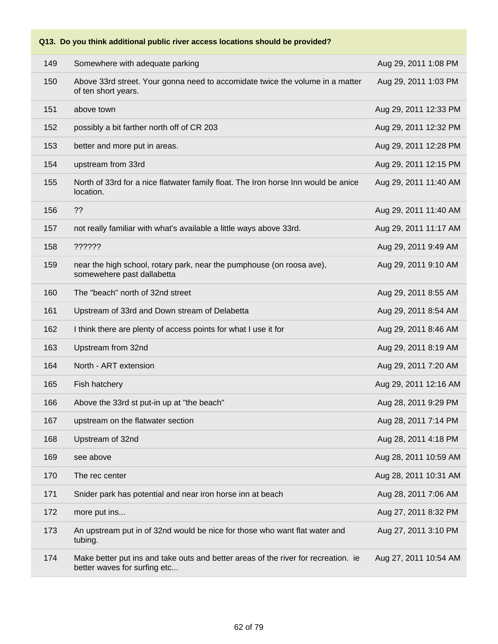| 149 | Somewhere with adequate parking                                                                                    | Aug 29, 2011 1:08 PM  |
|-----|--------------------------------------------------------------------------------------------------------------------|-----------------------|
| 150 | Above 33rd street. Your gonna need to accomidate twice the volume in a matter<br>of ten short years.               | Aug 29, 2011 1:03 PM  |
| 151 | above town                                                                                                         | Aug 29, 2011 12:33 PM |
| 152 | possibly a bit farther north off of CR 203                                                                         | Aug 29, 2011 12:32 PM |
| 153 | better and more put in areas.                                                                                      | Aug 29, 2011 12:28 PM |
| 154 | upstream from 33rd                                                                                                 | Aug 29, 2011 12:15 PM |
| 155 | North of 33rd for a nice flatwater family float. The Iron horse Inn would be anice<br>location.                    | Aug 29, 2011 11:40 AM |
| 156 | ??                                                                                                                 | Aug 29, 2011 11:40 AM |
| 157 | not really familiar with what's available a little ways above 33rd.                                                | Aug 29, 2011 11:17 AM |
| 158 | ??????                                                                                                             | Aug 29, 2011 9:49 AM  |
| 159 | near the high school, rotary park, near the pumphouse (on roosa ave),<br>somewehere past dallabetta                | Aug 29, 2011 9:10 AM  |
| 160 | The "beach" north of 32nd street                                                                                   | Aug 29, 2011 8:55 AM  |
| 161 | Upstream of 33rd and Down stream of Delabetta                                                                      | Aug 29, 2011 8:54 AM  |
| 162 | I think there are plenty of access points for what I use it for                                                    | Aug 29, 2011 8:46 AM  |
| 163 | Upstream from 32nd                                                                                                 | Aug 29, 2011 8:19 AM  |
| 164 | North - ART extension                                                                                              | Aug 29, 2011 7:20 AM  |
| 165 | Fish hatchery                                                                                                      | Aug 29, 2011 12:16 AM |
| 166 | Above the 33rd st put-in up at "the beach"                                                                         | Aug 28, 2011 9:29 PM  |
| 167 | upstream on the flatwater section                                                                                  | Aug 28, 2011 7:14 PM  |
| 168 | Upstream of 32nd                                                                                                   | Aug 28, 2011 4:18 PM  |
| 169 | see above                                                                                                          | Aug 28, 2011 10:59 AM |
| 170 | The rec center                                                                                                     | Aug 28, 2011 10:31 AM |
| 171 | Snider park has potential and near iron horse inn at beach                                                         | Aug 28, 2011 7:06 AM  |
| 172 | more put ins                                                                                                       | Aug 27, 2011 8:32 PM  |
| 173 | An upstream put in of 32nd would be nice for those who want flat water and<br>tubing.                              | Aug 27, 2011 3:10 PM  |
| 174 | Make better put ins and take outs and better areas of the river for recreation. ie<br>better waves for surfing etc | Aug 27, 2011 10:54 AM |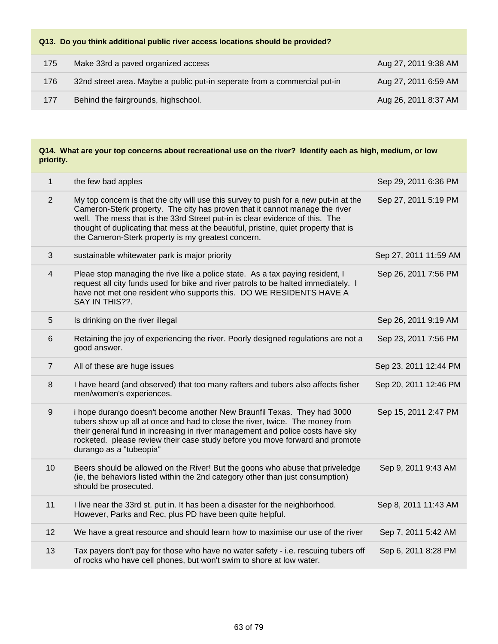| 175 | Make 33rd a paved organized access                                        | Aug 27, 2011 9:38 AM |
|-----|---------------------------------------------------------------------------|----------------------|
| 176 | 32nd street area. Maybe a public put-in seperate from a commercial put-in | Aug 27, 2011 6:59 AM |
| 177 | Behind the fairgrounds, highschool.                                       | Aug 26, 2011 8:37 AM |

| $\mathbf{1}$   | the few bad apples                                                                                                                                                                                                                                                                                                                                                                               | Sep 29, 2011 6:36 PM  |
|----------------|--------------------------------------------------------------------------------------------------------------------------------------------------------------------------------------------------------------------------------------------------------------------------------------------------------------------------------------------------------------------------------------------------|-----------------------|
| 2              | My top concern is that the city will use this survey to push for a new put-in at the<br>Cameron-Sterk property. The city has proven that it cannot manage the river<br>well. The mess that is the 33rd Street put-in is clear evidence of this. The<br>thought of duplicating that mess at the beautiful, pristine, quiet property that is<br>the Cameron-Sterk property is my greatest concern. | Sep 27, 2011 5:19 PM  |
| 3              | sustainable whitewater park is major priority                                                                                                                                                                                                                                                                                                                                                    | Sep 27, 2011 11:59 AM |
| 4              | Pleae stop managing the rive like a police state. As a tax paying resident, I<br>request all city funds used for bike and river patrols to be halted immediately. I<br>have not met one resident who supports this. DO WE RESIDENTS HAVE A<br>SAY IN THIS??.                                                                                                                                     | Sep 26, 2011 7:56 PM  |
| 5              | Is drinking on the river illegal                                                                                                                                                                                                                                                                                                                                                                 | Sep 26, 2011 9:19 AM  |
| 6              | Retaining the joy of experiencing the river. Poorly designed regulations are not a<br>good answer.                                                                                                                                                                                                                                                                                               | Sep 23, 2011 7:56 PM  |
| $\overline{7}$ | All of these are huge issues                                                                                                                                                                                                                                                                                                                                                                     | Sep 23, 2011 12:44 PM |
| 8              | I have heard (and observed) that too many rafters and tubers also affects fisher<br>men/women's experiences.                                                                                                                                                                                                                                                                                     | Sep 20, 2011 12:46 PM |
| 9              | i hope durango doesn't become another New Braunfil Texas. They had 3000<br>tubers show up all at once and had to close the river, twice. The money from<br>their general fund in increasing in river management and police costs have sky<br>rocketed. please review their case study before you move forward and promote<br>durango as a "tubeopia"                                             | Sep 15, 2011 2:47 PM  |
| 10             | Beers should be allowed on the River! But the goons who abuse that priveledge<br>(ie, the behaviors listed within the 2nd category other than just consumption)<br>should be prosecuted.                                                                                                                                                                                                         | Sep 9, 2011 9:43 AM   |
| 11             | I live near the 33rd st. put in. It has been a disaster for the neighborhood.<br>However, Parks and Rec, plus PD have been quite helpful.                                                                                                                                                                                                                                                        | Sep 8, 2011 11:43 AM  |
| 12             | We have a great resource and should learn how to maximise our use of the river                                                                                                                                                                                                                                                                                                                   | Sep 7, 2011 5:42 AM   |
| 13             | Tax payers don't pay for those who have no water safety - i.e. rescuing tubers off<br>of rocks who have cell phones, but won't swim to shore at low water.                                                                                                                                                                                                                                       | Sep 6, 2011 8:28 PM   |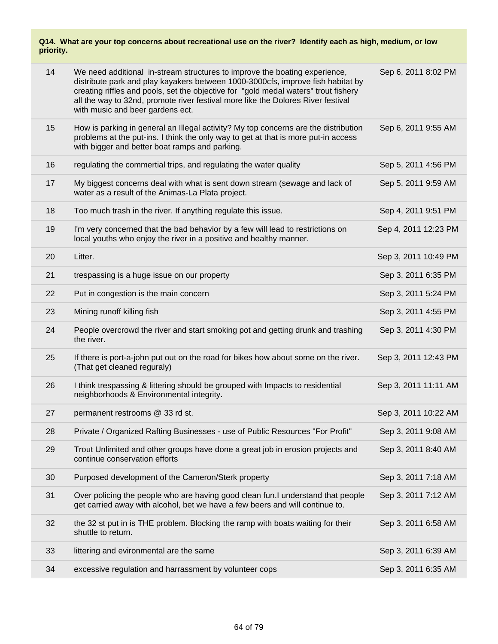| 14 | We need additional in-stream structures to improve the boating experience,<br>distribute park and play kayakers between 1000-3000cfs, improve fish habitat by<br>creating riffles and pools, set the objective for "gold medal waters" trout fishery<br>all the way to 32nd, promote river festival more like the Dolores River festival<br>with music and beer gardens ect. | Sep 6, 2011 8:02 PM  |
|----|------------------------------------------------------------------------------------------------------------------------------------------------------------------------------------------------------------------------------------------------------------------------------------------------------------------------------------------------------------------------------|----------------------|
| 15 | How is parking in general an Illegal activity? My top concerns are the distribution<br>problems at the put-ins. I think the only way to get at that is more put-in access<br>with bigger and better boat ramps and parking.                                                                                                                                                  | Sep 6, 2011 9:55 AM  |
| 16 | regulating the commertial trips, and regulating the water quality                                                                                                                                                                                                                                                                                                            | Sep 5, 2011 4:56 PM  |
| 17 | My biggest concerns deal with what is sent down stream (sewage and lack of<br>water as a result of the Animas-La Plata project.                                                                                                                                                                                                                                              | Sep 5, 2011 9:59 AM  |
| 18 | Too much trash in the river. If anything regulate this issue.                                                                                                                                                                                                                                                                                                                | Sep 4, 2011 9:51 PM  |
| 19 | I'm very concerned that the bad behavior by a few will lead to restrictions on<br>local youths who enjoy the river in a positive and healthy manner.                                                                                                                                                                                                                         | Sep 4, 2011 12:23 PM |
| 20 | Litter.                                                                                                                                                                                                                                                                                                                                                                      | Sep 3, 2011 10:49 PM |
| 21 | trespassing is a huge issue on our property                                                                                                                                                                                                                                                                                                                                  | Sep 3, 2011 6:35 PM  |
| 22 | Put in congestion is the main concern                                                                                                                                                                                                                                                                                                                                        | Sep 3, 2011 5:24 PM  |
| 23 | Mining runoff killing fish                                                                                                                                                                                                                                                                                                                                                   | Sep 3, 2011 4:55 PM  |
| 24 | People overcrowd the river and start smoking pot and getting drunk and trashing<br>the river.                                                                                                                                                                                                                                                                                | Sep 3, 2011 4:30 PM  |
| 25 | If there is port-a-john put out on the road for bikes how about some on the river.<br>(That get cleaned reguraly)                                                                                                                                                                                                                                                            | Sep 3, 2011 12:43 PM |
| 26 | I think trespassing & littering should be grouped with Impacts to residential<br>neighborhoods & Environmental integrity.                                                                                                                                                                                                                                                    | Sep 3, 2011 11:11 AM |
| 27 | permanent restrooms @ 33 rd st.                                                                                                                                                                                                                                                                                                                                              | Sep 3, 2011 10:22 AM |
| 28 | Private / Organized Rafting Businesses - use of Public Resources "For Profit"                                                                                                                                                                                                                                                                                                | Sep 3, 2011 9:08 AM  |
| 29 | Trout Unlimited and other groups have done a great job in erosion projects and<br>continue conservation efforts                                                                                                                                                                                                                                                              | Sep 3, 2011 8:40 AM  |
| 30 | Purposed development of the Cameron/Sterk property                                                                                                                                                                                                                                                                                                                           | Sep 3, 2011 7:18 AM  |
| 31 | Over policing the people who are having good clean fun. I understand that people<br>get carried away with alcohol, bet we have a few beers and will continue to.                                                                                                                                                                                                             | Sep 3, 2011 7:12 AM  |
| 32 | the 32 st put in is THE problem. Blocking the ramp with boats waiting for their<br>shuttle to return.                                                                                                                                                                                                                                                                        | Sep 3, 2011 6:58 AM  |
| 33 | littering and evironmental are the same                                                                                                                                                                                                                                                                                                                                      | Sep 3, 2011 6:39 AM  |
| 34 | excessive regulation and harrassment by volunteer cops                                                                                                                                                                                                                                                                                                                       | Sep 3, 2011 6:35 AM  |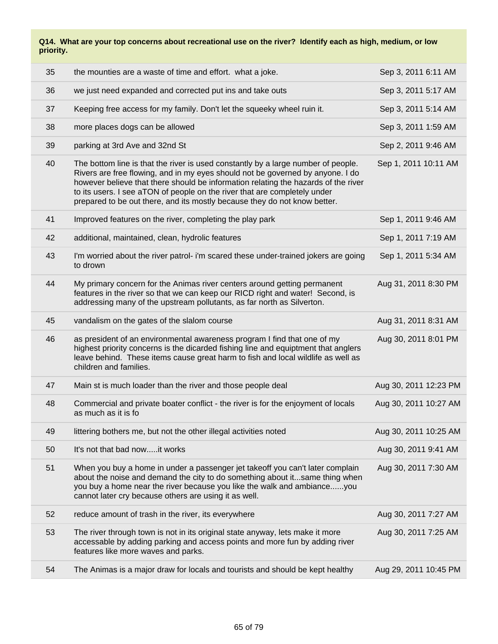| 35 | the mounties are a waste of time and effort. what a joke.                                                                                                                                                                                                                                                                                                                                                           | Sep 3, 2011 6:11 AM   |
|----|---------------------------------------------------------------------------------------------------------------------------------------------------------------------------------------------------------------------------------------------------------------------------------------------------------------------------------------------------------------------------------------------------------------------|-----------------------|
| 36 | we just need expanded and corrected put ins and take outs                                                                                                                                                                                                                                                                                                                                                           | Sep 3, 2011 5:17 AM   |
| 37 | Keeping free access for my family. Don't let the squeeky wheel ruin it.                                                                                                                                                                                                                                                                                                                                             | Sep 3, 2011 5:14 AM   |
| 38 | more places dogs can be allowed                                                                                                                                                                                                                                                                                                                                                                                     | Sep 3, 2011 1:59 AM   |
| 39 | parking at 3rd Ave and 32nd St                                                                                                                                                                                                                                                                                                                                                                                      | Sep 2, 2011 9:46 AM   |
| 40 | The bottom line is that the river is used constantly by a large number of people.<br>Rivers are free flowing, and in my eyes should not be governed by anyone. I do<br>however believe that there should be information relating the hazards of the river<br>to its users. I see aTON of people on the river that are completely under<br>prepared to be out there, and its mostly because they do not know better. | Sep 1, 2011 10:11 AM  |
| 41 | Improved features on the river, completing the play park                                                                                                                                                                                                                                                                                                                                                            | Sep 1, 2011 9:46 AM   |
| 42 | additional, maintained, clean, hydrolic features                                                                                                                                                                                                                                                                                                                                                                    | Sep 1, 2011 7:19 AM   |
| 43 | I'm worried about the river patrol- i'm scared these under-trained jokers are going<br>to drown                                                                                                                                                                                                                                                                                                                     | Sep 1, 2011 5:34 AM   |
| 44 | My primary concern for the Animas river centers around getting permanent<br>features in the river so that we can keep our RICD right and water! Second, is<br>addressing many of the upstream pollutants, as far north as Silverton.                                                                                                                                                                                | Aug 31, 2011 8:30 PM  |
| 45 | vandalism on the gates of the slalom course                                                                                                                                                                                                                                                                                                                                                                         | Aug 31, 2011 8:31 AM  |
| 46 | as president of an environmental awareness program I find that one of my<br>highest priority concerns is the dicarded fishing line and equiptment that anglers<br>leave behind. These items cause great harm to fish and local wildlife as well as<br>children and families.                                                                                                                                        | Aug 30, 2011 8:01 PM  |
| 47 | Main st is much loader than the river and those people deal                                                                                                                                                                                                                                                                                                                                                         | Aug 30, 2011 12:23 PM |
| 48 | Commercial and private boater conflict - the river is for the enjoyment of locals<br>as much as it is fo                                                                                                                                                                                                                                                                                                            | Aug 30, 2011 10:27 AM |
| 49 | littering bothers me, but not the other illegal activities noted                                                                                                                                                                                                                                                                                                                                                    | Aug 30, 2011 10:25 AM |
| 50 | It's not that bad nowit works                                                                                                                                                                                                                                                                                                                                                                                       | Aug 30, 2011 9:41 AM  |
| 51 | When you buy a home in under a passenger jet takeoff you can't later complain<br>about the noise and demand the city to do something about itsame thing when<br>you buy a home near the river because you like the walk and ambianceyou<br>cannot later cry because others are using it as well.                                                                                                                    | Aug 30, 2011 7:30 AM  |
| 52 | reduce amount of trash in the river, its everywhere                                                                                                                                                                                                                                                                                                                                                                 | Aug 30, 2011 7:27 AM  |
| 53 | The river through town is not in its original state anyway, lets make it more<br>accessable by adding parking and access points and more fun by adding river<br>features like more waves and parks.                                                                                                                                                                                                                 | Aug 30, 2011 7:25 AM  |
| 54 | The Animas is a major draw for locals and tourists and should be kept healthy                                                                                                                                                                                                                                                                                                                                       | Aug 29, 2011 10:45 PM |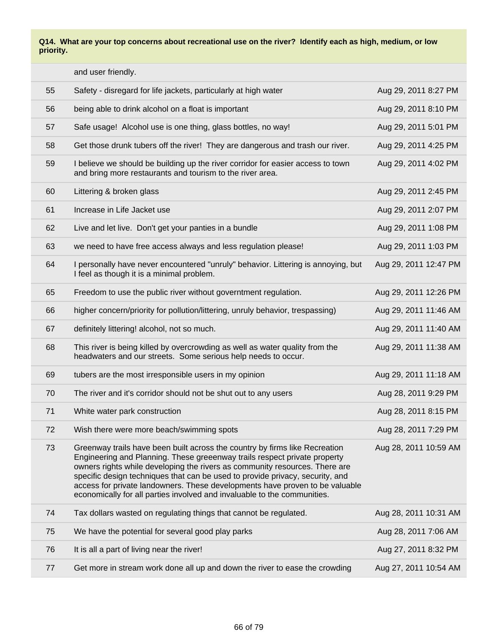|    | and user friendly.                                                                                                                                                                                                                                                                                                                                                                                                                                                                   |                       |
|----|--------------------------------------------------------------------------------------------------------------------------------------------------------------------------------------------------------------------------------------------------------------------------------------------------------------------------------------------------------------------------------------------------------------------------------------------------------------------------------------|-----------------------|
| 55 | Safety - disregard for life jackets, particularly at high water                                                                                                                                                                                                                                                                                                                                                                                                                      | Aug 29, 2011 8:27 PM  |
| 56 | being able to drink alcohol on a float is important                                                                                                                                                                                                                                                                                                                                                                                                                                  | Aug 29, 2011 8:10 PM  |
| 57 | Safe usage! Alcohol use is one thing, glass bottles, no way!                                                                                                                                                                                                                                                                                                                                                                                                                         | Aug 29, 2011 5:01 PM  |
| 58 | Get those drunk tubers off the river! They are dangerous and trash our river.                                                                                                                                                                                                                                                                                                                                                                                                        | Aug 29, 2011 4:25 PM  |
| 59 | I believe we should be building up the river corridor for easier access to town<br>and bring more restaurants and tourism to the river area.                                                                                                                                                                                                                                                                                                                                         | Aug 29, 2011 4:02 PM  |
| 60 | Littering & broken glass                                                                                                                                                                                                                                                                                                                                                                                                                                                             | Aug 29, 2011 2:45 PM  |
| 61 | Increase in Life Jacket use                                                                                                                                                                                                                                                                                                                                                                                                                                                          | Aug 29, 2011 2:07 PM  |
| 62 | Live and let live. Don't get your panties in a bundle                                                                                                                                                                                                                                                                                                                                                                                                                                | Aug 29, 2011 1:08 PM  |
| 63 | we need to have free access always and less regulation please!                                                                                                                                                                                                                                                                                                                                                                                                                       | Aug 29, 2011 1:03 PM  |
| 64 | I personally have never encountered "unruly" behavior. Littering is annoying, but<br>I feel as though it is a minimal problem.                                                                                                                                                                                                                                                                                                                                                       | Aug 29, 2011 12:47 PM |
| 65 | Freedom to use the public river without governtment regulation.                                                                                                                                                                                                                                                                                                                                                                                                                      | Aug 29, 2011 12:26 PM |
| 66 | higher concern/priority for pollution/littering, unruly behavior, trespassing)                                                                                                                                                                                                                                                                                                                                                                                                       | Aug 29, 2011 11:46 AM |
| 67 | definitely littering! alcohol, not so much.                                                                                                                                                                                                                                                                                                                                                                                                                                          | Aug 29, 2011 11:40 AM |
| 68 | This river is being killed by overcrowding as well as water quality from the<br>headwaters and our streets. Some serious help needs to occur.                                                                                                                                                                                                                                                                                                                                        | Aug 29, 2011 11:38 AM |
| 69 | tubers are the most irresponsible users in my opinion                                                                                                                                                                                                                                                                                                                                                                                                                                | Aug 29, 2011 11:18 AM |
| 70 | The river and it's corridor should not be shut out to any users                                                                                                                                                                                                                                                                                                                                                                                                                      | Aug 28, 2011 9:29 PM  |
| 71 | White water park construction                                                                                                                                                                                                                                                                                                                                                                                                                                                        | Aug 28, 2011 8:15 PM  |
| 72 | Wish there were more beach/swimming spots                                                                                                                                                                                                                                                                                                                                                                                                                                            | Aug 28, 2011 7:29 PM  |
| 73 | Greenway trails have been built across the country by firms like Recreation<br>Engineering and Planning. These greeenway trails respect private property<br>owners rights while developing the rivers as community resources. There are<br>specific design techniques that can be used to provide privacy, security, and<br>access for private landowners. These developments have proven to be valuable<br>economically for all parties involved and invaluable to the communities. | Aug 28, 2011 10:59 AM |
| 74 | Tax dollars wasted on regulating things that cannot be regulated.                                                                                                                                                                                                                                                                                                                                                                                                                    | Aug 28, 2011 10:31 AM |
| 75 | We have the potential for several good play parks                                                                                                                                                                                                                                                                                                                                                                                                                                    | Aug 28, 2011 7:06 AM  |
| 76 | It is all a part of living near the river!                                                                                                                                                                                                                                                                                                                                                                                                                                           | Aug 27, 2011 8:32 PM  |
| 77 | Get more in stream work done all up and down the river to ease the crowding                                                                                                                                                                                                                                                                                                                                                                                                          | Aug 27, 2011 10:54 AM |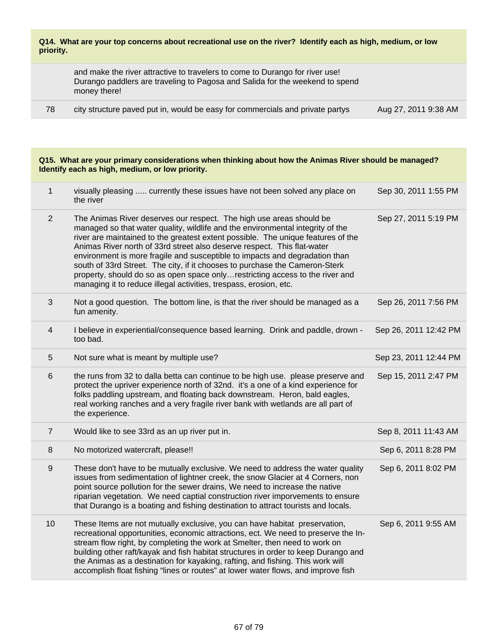and make the river attractive to travelers to come to Durango for river use! Durango paddlers are traveling to Pagosa and Salida for the weekend to spend money there!

78 city structure paved put in, would be easy for commercials and private partys Aug 27, 2011 9:38 AM

#### **Q15. What are your primary considerations when thinking about how the Animas River should be managed? Identify each as high, medium, or low priority.**

| $\mathbf{1}$     | visually pleasing  currently these issues have not been solved any place on<br>the river                                                                                                                                                                                                                                                                                                                                                                                                                                                                                                                                                | Sep 30, 2011 1:55 PM  |
|------------------|-----------------------------------------------------------------------------------------------------------------------------------------------------------------------------------------------------------------------------------------------------------------------------------------------------------------------------------------------------------------------------------------------------------------------------------------------------------------------------------------------------------------------------------------------------------------------------------------------------------------------------------------|-----------------------|
| $\overline{2}$   | The Animas River deserves our respect. The high use areas should be<br>managed so that water quality, wildlife and the environmental integrity of the<br>river are maintained to the greatest extent possible. The unique features of the<br>Animas River north of 33rd street also deserve respect. This flat-water<br>environment is more fragile and susceptible to impacts and degradation than<br>south of 33rd Street. The city, if it chooses to purchase the Cameron-Sterk<br>property, should do so as open space onlyrestricting access to the river and<br>managing it to reduce illegal activities, trespass, erosion, etc. | Sep 27, 2011 5:19 PM  |
| 3                | Not a good question. The bottom line, is that the river should be managed as a<br>fun amenity.                                                                                                                                                                                                                                                                                                                                                                                                                                                                                                                                          | Sep 26, 2011 7:56 PM  |
| 4                | I believe in experiential/consequence based learning. Drink and paddle, drown -<br>too bad.                                                                                                                                                                                                                                                                                                                                                                                                                                                                                                                                             | Sep 26, 2011 12:42 PM |
| 5                | Not sure what is meant by multiple use?                                                                                                                                                                                                                                                                                                                                                                                                                                                                                                                                                                                                 | Sep 23, 2011 12:44 PM |
| 6                | the runs from 32 to dalla betta can continue to be high use. please preserve and<br>protect the upriver experience north of 32nd. it's a one of a kind experience for<br>folks paddling upstream, and floating back downstream. Heron, bald eagles,<br>real working ranches and a very fragile river bank with wetlands are all part of<br>the experience.                                                                                                                                                                                                                                                                              | Sep 15, 2011 2:47 PM  |
| $\overline{7}$   | Would like to see 33rd as an up river put in.                                                                                                                                                                                                                                                                                                                                                                                                                                                                                                                                                                                           | Sep 8, 2011 11:43 AM  |
| 8                | No motorized watercraft, please!!                                                                                                                                                                                                                                                                                                                                                                                                                                                                                                                                                                                                       | Sep 6, 2011 8:28 PM   |
| $\boldsymbol{9}$ | These don't have to be mutually exclusive. We need to address the water quality<br>issues from sedimentation of lightner creek, the snow Glacier at 4 Corners, non<br>point source pollution for the sewer drains, We need to increase the native<br>riparian vegetation. We need captial construction river imporvements to ensure<br>that Durango is a boating and fishing destination to attract tourists and locals.                                                                                                                                                                                                                | Sep 6, 2011 8:02 PM   |
| 10               | These Items are not mutually exclusive, you can have habitat preservation,<br>recreational opportunities, economic attractions, ect. We need to preserve the In-<br>stream flow right, by completing the work at Smelter, then need to work on<br>building other raft/kayak and fish habitat structures in order to keep Durango and<br>the Animas as a destination for kayaking, rafting, and fishing. This work will<br>accomplish float fishing "lines or routes" at lower water flows, and improve fish                                                                                                                             | Sep 6, 2011 9:55 AM   |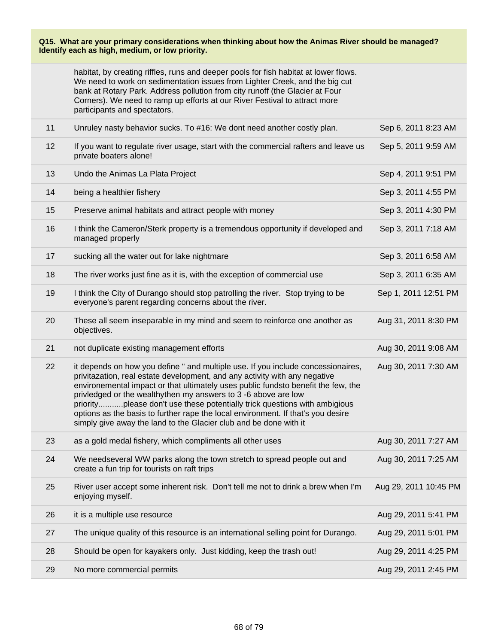#### **Q15. What are your primary considerations when thinking about how the Animas River should be managed? Identify each as high, medium, or low priority.**

| habitat, by creating riffles, runs and deeper pools for fish habitat at lower flows. |  |
|--------------------------------------------------------------------------------------|--|
| We need to work on sedimentation issues from Lighter Creek, and the big cut          |  |
| bank at Rotary Park. Address pollution from city runoff (the Glacier at Four         |  |
| Corners). We need to ramp up efforts at our River Festival to attract more           |  |
| participants and spectators.                                                         |  |

| 11 | Unruley nasty behavior sucks. To #16: We dont need another costly plan.                                                                                                                                                                                                                                                                                                                                                                                                                                                                                     | Sep 6, 2011 8:23 AM   |
|----|-------------------------------------------------------------------------------------------------------------------------------------------------------------------------------------------------------------------------------------------------------------------------------------------------------------------------------------------------------------------------------------------------------------------------------------------------------------------------------------------------------------------------------------------------------------|-----------------------|
| 12 | If you want to regulate river usage, start with the commercial rafters and leave us<br>private boaters alone!                                                                                                                                                                                                                                                                                                                                                                                                                                               | Sep 5, 2011 9:59 AM   |
| 13 | Undo the Animas La Plata Project                                                                                                                                                                                                                                                                                                                                                                                                                                                                                                                            | Sep 4, 2011 9:51 PM   |
| 14 | being a healthier fishery                                                                                                                                                                                                                                                                                                                                                                                                                                                                                                                                   | Sep 3, 2011 4:55 PM   |
| 15 | Preserve animal habitats and attract people with money                                                                                                                                                                                                                                                                                                                                                                                                                                                                                                      | Sep 3, 2011 4:30 PM   |
| 16 | I think the Cameron/Sterk property is a tremendous opportunity if developed and<br>managed properly                                                                                                                                                                                                                                                                                                                                                                                                                                                         | Sep 3, 2011 7:18 AM   |
| 17 | sucking all the water out for lake nightmare                                                                                                                                                                                                                                                                                                                                                                                                                                                                                                                | Sep 3, 2011 6:58 AM   |
| 18 | The river works just fine as it is, with the exception of commercial use                                                                                                                                                                                                                                                                                                                                                                                                                                                                                    | Sep 3, 2011 6:35 AM   |
| 19 | I think the City of Durango should stop patrolling the river. Stop trying to be<br>everyone's parent regarding concerns about the river.                                                                                                                                                                                                                                                                                                                                                                                                                    | Sep 1, 2011 12:51 PM  |
| 20 | These all seem inseparable in my mind and seem to reinforce one another as<br>objectives.                                                                                                                                                                                                                                                                                                                                                                                                                                                                   | Aug 31, 2011 8:30 PM  |
| 21 | not duplicate existing management efforts                                                                                                                                                                                                                                                                                                                                                                                                                                                                                                                   | Aug 30, 2011 9:08 AM  |
| 22 | it depends on how you define " and multiple use. If you include concessionaires,<br>privitazation, real estate development, and any activity with any negative<br>environemental impact or that ultimately uses public fundsto benefit the few, the<br>privledged or the wealthythen my answers to 3 -6 above are low<br>priorityplease don't use these potentially trick questions with ambigious<br>options as the basis to further rape the local environment. If that's you desire<br>simply give away the land to the Glacier club and be done with it | Aug 30, 2011 7:30 AM  |
| 23 | as a gold medal fishery, which compliments all other uses                                                                                                                                                                                                                                                                                                                                                                                                                                                                                                   | Aug 30, 2011 7:27 AM  |
| 24 | We needseveral WW parks along the town stretch to spread people out and<br>create a fun trip for tourists on raft trips                                                                                                                                                                                                                                                                                                                                                                                                                                     | Aug 30, 2011 7:25 AM  |
| 25 | River user accept some inherent risk. Don't tell me not to drink a brew when I'm<br>enjoying myself.                                                                                                                                                                                                                                                                                                                                                                                                                                                        | Aug 29, 2011 10:45 PM |
| 26 | it is a multiple use resource                                                                                                                                                                                                                                                                                                                                                                                                                                                                                                                               | Aug 29, 2011 5:41 PM  |
| 27 | The unique quality of this resource is an international selling point for Durango.                                                                                                                                                                                                                                                                                                                                                                                                                                                                          | Aug 29, 2011 5:01 PM  |
| 28 | Should be open for kayakers only. Just kidding, keep the trash out!                                                                                                                                                                                                                                                                                                                                                                                                                                                                                         | Aug 29, 2011 4:25 PM  |
| 29 | No more commercial permits                                                                                                                                                                                                                                                                                                                                                                                                                                                                                                                                  | Aug 29, 2011 2:45 PM  |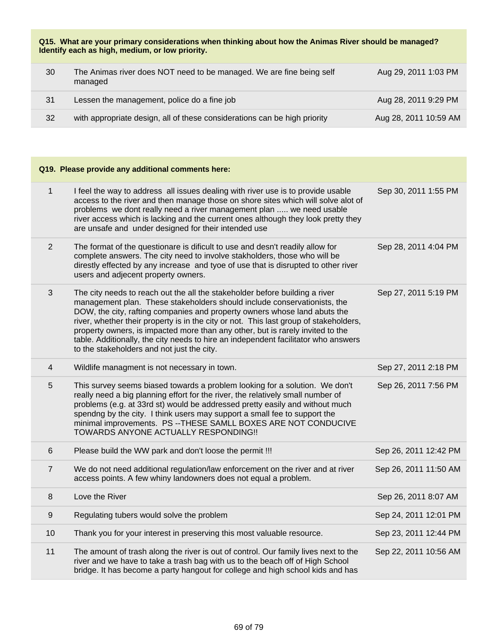**Q15. What are your primary considerations when thinking about how the Animas River should be managed? Identify each as high, medium, or low priority.**

| 30 | The Animas river does NOT need to be managed. We are fine being self<br>managed | Aug 29, 2011 1:03 PM  |
|----|---------------------------------------------------------------------------------|-----------------------|
| 31 | Lessen the management, police do a fine job                                     | Aug 28, 2011 9:29 PM  |
| 32 | with appropriate design, all of these considerations can be high priority       | Aug 28, 2011 10:59 AM |

|                | Q19. Please provide any additional comments here:                                                                                                                                                                                                                                                                                                                                                                                                                                                                                                   |                       |
|----------------|-----------------------------------------------------------------------------------------------------------------------------------------------------------------------------------------------------------------------------------------------------------------------------------------------------------------------------------------------------------------------------------------------------------------------------------------------------------------------------------------------------------------------------------------------------|-----------------------|
| $\mathbf{1}$   | I feel the way to address all issues dealing with river use is to provide usable<br>access to the river and then manage those on shore sites which will solve alot of<br>problems we dont really need a river management plan  we need usable<br>river access which is lacking and the current ones although they look pretty they<br>are unsafe and under designed for their intended use                                                                                                                                                          | Sep 30, 2011 1:55 PM  |
| $\overline{2}$ | The format of the questionare is dificult to use and desn't readily allow for<br>complete answers. The city need to involve stakholders, those who will be<br>direstly effected by any increase and tyoe of use that is disrupted to other river<br>users and adjecent property owners.                                                                                                                                                                                                                                                             | Sep 28, 2011 4:04 PM  |
| 3              | The city needs to reach out the all the stakeholder before building a river<br>management plan. These stakeholders should include conservationists, the<br>DOW, the city, rafting companies and property owners whose land abuts the<br>river, whether their property is in the city or not. This last group of stakeholders,<br>property owners, is impacted more than any other, but is rarely invited to the<br>table. Additionally, the city needs to hire an independent facilitator who answers<br>to the stakeholders and not just the city. | Sep 27, 2011 5:19 PM  |
| 4              | Wildlife managment is not necessary in town.                                                                                                                                                                                                                                                                                                                                                                                                                                                                                                        | Sep 27, 2011 2:18 PM  |
| 5              | This survey seems biased towards a problem looking for a solution. We don't<br>really need a big planning effort for the river, the relatively small number of<br>problems (e.g. at 33rd st) would be addressed pretty easily and without much<br>spendng by the city. I think users may support a small fee to support the<br>minimal improvements. PS -- THESE SAMLL BOXES ARE NOT CONDUCIVE<br>TOWARDS ANYONE ACTUALLY RESPONDING !!                                                                                                             | Sep 26, 2011 7:56 PM  |
| 6              | Please build the WW park and don't loose the permit !!!                                                                                                                                                                                                                                                                                                                                                                                                                                                                                             | Sep 26, 2011 12:42 PM |
| $\overline{7}$ | We do not need additional regulation/law enforcement on the river and at river<br>access points. A few whiny landowners does not equal a problem.                                                                                                                                                                                                                                                                                                                                                                                                   | Sep 26, 2011 11:50 AM |
| 8              | Love the River                                                                                                                                                                                                                                                                                                                                                                                                                                                                                                                                      | Sep 26, 2011 8:07 AM  |
| $9\,$          | Regulating tubers would solve the problem                                                                                                                                                                                                                                                                                                                                                                                                                                                                                                           | Sep 24, 2011 12:01 PM |
| 10             | Thank you for your interest in preserving this most valuable resource.                                                                                                                                                                                                                                                                                                                                                                                                                                                                              | Sep 23, 2011 12:44 PM |
| 11             | The amount of trash along the river is out of control. Our family lives next to the<br>river and we have to take a trash bag with us to the beach off of High School<br>bridge. It has become a party hangout for college and high school kids and has                                                                                                                                                                                                                                                                                              | Sep 22, 2011 10:56 AM |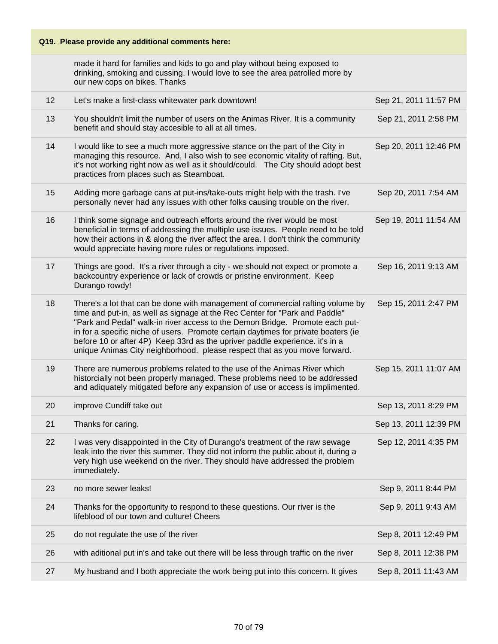# **Q19. Please provide any additional comments here:**

made it hard for families and kids to go and play without being exposed to drinking, smoking and cussing. I would love to see the area patrolled more by our new cops on bikes. Thanks

| 12 | Let's make a first-class whitewater park downtown!                                                                                                                                                                                                                                                                                                                                                                                                                                               | Sep 21, 2011 11:57 PM |
|----|--------------------------------------------------------------------------------------------------------------------------------------------------------------------------------------------------------------------------------------------------------------------------------------------------------------------------------------------------------------------------------------------------------------------------------------------------------------------------------------------------|-----------------------|
| 13 | You shouldn't limit the number of users on the Animas River. It is a community<br>benefit and should stay accesible to all at all times.                                                                                                                                                                                                                                                                                                                                                         | Sep 21, 2011 2:58 PM  |
| 14 | I would like to see a much more aggressive stance on the part of the City in<br>managing this resource. And, I also wish to see economic vitality of rafting. But,<br>it's not working right now as well as it should/could. The City should adopt best<br>practices from places such as Steamboat.                                                                                                                                                                                              | Sep 20, 2011 12:46 PM |
| 15 | Adding more garbage cans at put-ins/take-outs might help with the trash. I've<br>personally never had any issues with other folks causing trouble on the river.                                                                                                                                                                                                                                                                                                                                  | Sep 20, 2011 7:54 AM  |
| 16 | I think some signage and outreach efforts around the river would be most<br>beneficial in terms of addressing the multiple use issues. People need to be told<br>how their actions in & along the river affect the area. I don't think the community<br>would appreciate having more rules or regulations imposed.                                                                                                                                                                               | Sep 19, 2011 11:54 AM |
| 17 | Things are good. It's a river through a city - we should not expect or promote a<br>backcountry experience or lack of crowds or pristine environment. Keep<br>Durango rowdy!                                                                                                                                                                                                                                                                                                                     | Sep 16, 2011 9:13 AM  |
| 18 | There's a lot that can be done with management of commercial rafting volume by<br>time and put-in, as well as signage at the Rec Center for "Park and Paddle"<br>"Park and Pedal" walk-in river access to the Demon Bridge. Promote each put-<br>in for a specific niche of users. Promote certain daytimes for private boaters (ie<br>before 10 or after 4P) Keep 33rd as the upriver paddle experience. it's in a<br>unique Animas City neighborhood. please respect that as you move forward. | Sep 15, 2011 2:47 PM  |
| 19 | There are numerous problems related to the use of the Animas River which<br>historcially not been properly managed. These problems need to be addressed<br>and adiquately mitigated before any expansion of use or access is implimented.                                                                                                                                                                                                                                                        | Sep 15, 2011 11:07 AM |
| 20 | improve Cundiff take out                                                                                                                                                                                                                                                                                                                                                                                                                                                                         | Sep 13, 2011 8:29 PM  |
| 21 | Thanks for caring.                                                                                                                                                                                                                                                                                                                                                                                                                                                                               | Sep 13, 2011 12:39 PM |
| 22 | I was very disappointed in the City of Durango's treatment of the raw sewage<br>leak into the river this summer. They did not inform the public about it, during a<br>very high use weekend on the river. They should have addressed the problem<br>immediately.                                                                                                                                                                                                                                 | Sep 12, 2011 4:35 PM  |
| 23 | no more sewer leaks!                                                                                                                                                                                                                                                                                                                                                                                                                                                                             | Sep 9, 2011 8:44 PM   |
| 24 | Thanks for the opportunity to respond to these questions. Our river is the<br>lifeblood of our town and culture! Cheers                                                                                                                                                                                                                                                                                                                                                                          | Sep 9, 2011 9:43 AM   |
| 25 | do not regulate the use of the river                                                                                                                                                                                                                                                                                                                                                                                                                                                             | Sep 8, 2011 12:49 PM  |
| 26 | with aditional put in's and take out there will be less through traffic on the river                                                                                                                                                                                                                                                                                                                                                                                                             | Sep 8, 2011 12:38 PM  |
| 27 | My husband and I both appreciate the work being put into this concern. It gives                                                                                                                                                                                                                                                                                                                                                                                                                  | Sep 8, 2011 11:43 AM  |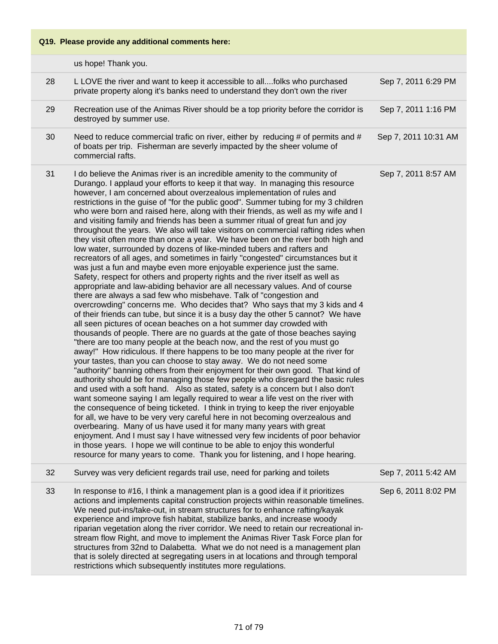### **Q19. Please provide any additional comments here:**

|    | us hope! Thank you.                                                                                                                                                                                                                                                                                                                                                                                                                                                                                                                                                                                                                                                                                                                                                                                                                                                                                                                                                                                                                                                                                                                                                                                                                                                                                                                                                                                                                                                                                                                                                                                                                                                                                                                                                                                                                                                                                                                                                                                                                                                                                                                                                                                                                                                                                                                                                                                                                                                                                                                                              |                      |
|----|------------------------------------------------------------------------------------------------------------------------------------------------------------------------------------------------------------------------------------------------------------------------------------------------------------------------------------------------------------------------------------------------------------------------------------------------------------------------------------------------------------------------------------------------------------------------------------------------------------------------------------------------------------------------------------------------------------------------------------------------------------------------------------------------------------------------------------------------------------------------------------------------------------------------------------------------------------------------------------------------------------------------------------------------------------------------------------------------------------------------------------------------------------------------------------------------------------------------------------------------------------------------------------------------------------------------------------------------------------------------------------------------------------------------------------------------------------------------------------------------------------------------------------------------------------------------------------------------------------------------------------------------------------------------------------------------------------------------------------------------------------------------------------------------------------------------------------------------------------------------------------------------------------------------------------------------------------------------------------------------------------------------------------------------------------------------------------------------------------------------------------------------------------------------------------------------------------------------------------------------------------------------------------------------------------------------------------------------------------------------------------------------------------------------------------------------------------------------------------------------------------------------------------------------------------------|----------------------|
| 28 | L LOVE the river and want to keep it accessible to allfolks who purchased<br>private property along it's banks need to understand they don't own the river                                                                                                                                                                                                                                                                                                                                                                                                                                                                                                                                                                                                                                                                                                                                                                                                                                                                                                                                                                                                                                                                                                                                                                                                                                                                                                                                                                                                                                                                                                                                                                                                                                                                                                                                                                                                                                                                                                                                                                                                                                                                                                                                                                                                                                                                                                                                                                                                       | Sep 7, 2011 6:29 PM  |
| 29 | Recreation use of the Animas River should be a top priority before the corridor is<br>destroyed by summer use.                                                                                                                                                                                                                                                                                                                                                                                                                                                                                                                                                                                                                                                                                                                                                                                                                                                                                                                                                                                                                                                                                                                                                                                                                                                                                                                                                                                                                                                                                                                                                                                                                                                                                                                                                                                                                                                                                                                                                                                                                                                                                                                                                                                                                                                                                                                                                                                                                                                   | Sep 7, 2011 1:16 PM  |
| 30 | Need to reduce commercial trafic on river, either by reducing $#$ of permits and $#$<br>of boats per trip. Fisherman are severly impacted by the sheer volume of<br>commercial rafts.                                                                                                                                                                                                                                                                                                                                                                                                                                                                                                                                                                                                                                                                                                                                                                                                                                                                                                                                                                                                                                                                                                                                                                                                                                                                                                                                                                                                                                                                                                                                                                                                                                                                                                                                                                                                                                                                                                                                                                                                                                                                                                                                                                                                                                                                                                                                                                            | Sep 7, 2011 10:31 AM |
| 31 | I do believe the Animas river is an incredible amenity to the community of<br>Durango. I applaud your efforts to keep it that way. In managing this resource<br>however, I am concerned about overzealous implementation of rules and<br>restrictions in the guise of "for the public good". Summer tubing for my 3 children<br>who were born and raised here, along with their friends, as well as my wife and I<br>and visiting family and friends has been a summer ritual of great fun and joy<br>throughout the years. We also will take visitors on commercial rafting rides when<br>they visit often more than once a year. We have been on the river both high and<br>low water, surrounded by dozens of like-minded tubers and rafters and<br>recreators of all ages, and sometimes in fairly "congested" circumstances but it<br>was just a fun and maybe even more enjoyable experience just the same.<br>Safety, respect for others and property rights and the river itself as well as<br>appropriate and law-abiding behavior are all necessary values. And of course<br>there are always a sad few who misbehave. Talk of "congestion and<br>overcrowding" concerns me. Who decides that? Who says that my 3 kids and 4<br>of their friends can tube, but since it is a busy day the other 5 cannot? We have<br>all seen pictures of ocean beaches on a hot summer day crowded with<br>thousands of people. There are no guards at the gate of those beaches saying<br>"there are too many people at the beach now, and the rest of you must go<br>away!" How ridiculous. If there happens to be too many people at the river for<br>your tastes, than you can choose to stay away. We do not need some<br>"authority" banning others from their enjoyment for their own good. That kind of<br>authority should be for managing those few people who disregard the basic rules<br>and used with a soft hand. Also as stated, safety is a concern but I also don't<br>want someone saying I am legally required to wear a life vest on the river with<br>the consequence of being ticketed. I think in trying to keep the river enjoyable<br>for all, we have to be very very careful here in not becoming overzealous and<br>overbearing. Many of us have used it for many many years with great<br>enjoyment. And I must say I have witnessed very few incidents of poor behavior<br>in those years. I hope we will continue to be able to enjoy this wonderful<br>resource for many years to come. Thank you for listening, and I hope hearing. | Sep 7, 2011 8:57 AM  |
| 32 | Survey was very deficient regards trail use, need for parking and toilets                                                                                                                                                                                                                                                                                                                                                                                                                                                                                                                                                                                                                                                                                                                                                                                                                                                                                                                                                                                                                                                                                                                                                                                                                                                                                                                                                                                                                                                                                                                                                                                                                                                                                                                                                                                                                                                                                                                                                                                                                                                                                                                                                                                                                                                                                                                                                                                                                                                                                        | Sep 7, 2011 5:42 AM  |
| 33 | In response to #16, I think a management plan is a good idea if it prioritizes<br>actions and implements capital construction projects within reasonable timelines.<br>We need put-ins/take-out, in stream structures for to enhance rafting/kayak<br>experience and improve fish habitat, stabilize banks, and increase woody<br>riparian vegetation along the river corridor. We need to retain our recreational in-<br>stream flow Right, and move to implement the Animas River Task Force plan for<br>structures from 32nd to Dalabetta. What we do not need is a management plan<br>that is solely directed at segregating users in at locations and through temporal                                                                                                                                                                                                                                                                                                                                                                                                                                                                                                                                                                                                                                                                                                                                                                                                                                                                                                                                                                                                                                                                                                                                                                                                                                                                                                                                                                                                                                                                                                                                                                                                                                                                                                                                                                                                                                                                                      | Sep 6, 2011 8:02 PM  |

restrictions which subsequently institutes more regulations.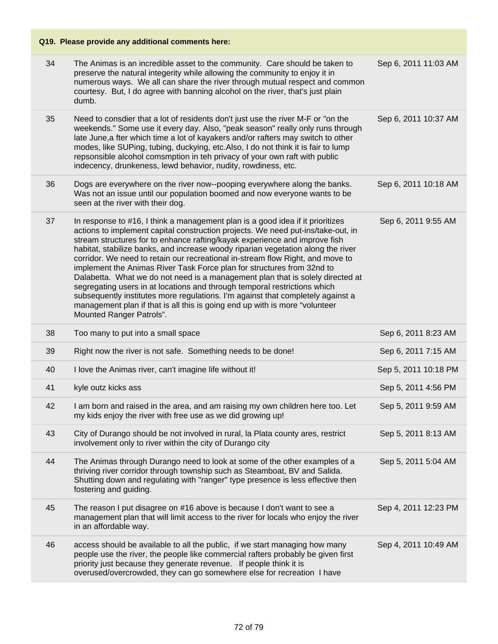### **Q19. Please provide any additional comments here:** 34 The Animas is an incredible asset to the community. Care should be taken to preserve the natural integerity while allowing the community to enjoy it in numerous ways. We all can share the river through mutual respect and common courtesy. But, I do agree with banning alcohol on the river, that's just plain dumb. Sep 6, 2011 11:03 AM 35 Need to consdier that a lot of residents don't just use the river M-F or "on the weekends." Some use it every day. Also, "peak season" really only runs through late June,a fter which time a lot of kayakers and/or rafters may switch to other modes, like SUPing, tubing, duckying, etc.Also, I do not think it is fair to lump repsonsible alcohol comsmption in teh privacy of your own raft with public indecency, drunkeness, lewd behavior, nudity, rowdiness, etc. Sep 6, 2011 10:37 AM 36 Dogs are everywhere on the river now--pooping everywhere along the banks. Was not an issue until our population boomed and now everyone wants to be seen at the river with their dog. Sep 6, 2011 10:18 AM 37 In response to #16, I think a management plan is a good idea if it prioritizes actions to implement capital construction projects. We need put-ins/take-out, in stream structures for to enhance rafting/kayak experience and improve fish habitat, stabilize banks, and increase woody riparian vegetation along the river corridor. We need to retain our recreational in-stream flow Right, and move to implement the Animas River Task Force plan for structures from 32nd to Dalabetta. What we do not need is a management plan that is solely directed at segregating users in at locations and through temporal restrictions which subsequently institutes more regulations. I'm against that completely against a management plan if that is all this is going end up with is more "volunteer Mounted Ranger Patrols". Sep 6, 2011 9:55 AM 38 Too many to put into a small space Sep 6, 2011 8:23 AM 39 Right now the river is not safe. Something needs to be done! Sep 6, 2011 7:15 AM 40 I love the Animas river, can't imagine life without it! Sep 5, 2011 10:18 PM 41 kyle outz kicks ass Sep 5, 2011 4:56 PM 42 I am born and raised in the area, and am raising my own children here too. Let my kids enjoy the river with free use as we did growing up! Sep 5, 2011 9:59 AM 43 City of Durango should be not involved in rural, la Plata county ares, restrict involvement only to river within the city of Durango city Sep 5, 2011 8:13 AM 44 The Animas through Durango need to look at some of the other examples of a thriving river corridor through township such as Steamboat, BV and Salida. Shutting down and regulating with "ranger" type presence is less effective then fostering and guiding. Sep 5, 2011 5:04 AM 45 The reason I put disagree on #16 above is because I don't want to see a management plan that will limit access to the river for locals who enjoy the river in an affordable way. Sep 4, 2011 12:23 PM 46 access should be available to all the public, if we start managing how many people use the river, the people like commercial rafters probably be given first priority just because they generate revenue. If people think it is overused/overcrowded, they can go somewhere else for recreation I have Sep 4, 2011 10:49 AM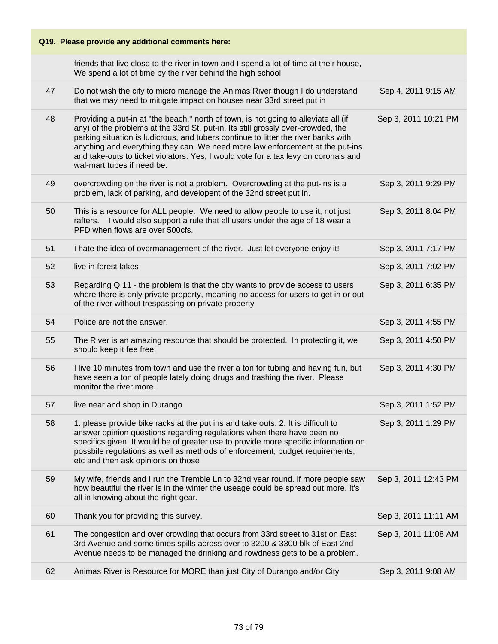#### **Q19. Please provide any additional comments here:** friends that live close to the river in town and I spend a lot of time at their house, We spend a lot of time by the river behind the high school 47 Do not wish the city to micro manage the Animas River though I do understand that we may need to mitigate impact on houses near 33rd street put in Sep 4, 2011 9:15 AM 48 Providing a put-in at "the beach," north of town, is not going to alleviate all (if any) of the problems at the 33rd St. put-in. Its still grossly over-crowded, the parking situation is ludicrous, and tubers continue to litter the river banks with anything and everything they can. We need more law enforcement at the put-ins and take-outs to ticket violators. Yes, I would vote for a tax levy on corona's and wal-mart tubes if need be. Sep 3, 2011 10:21 PM 49 overcrowding on the river is not a problem. Overcrowding at the put-ins is a problem, lack of parking, and developent of the 32nd street put in. Sep 3, 2011 9:29 PM 50 This is a resource for ALL people. We need to allow people to use it, not just rafters. I would also support a rule that all users under the age of 18 wear a PFD when flows are over 500cfs. Sep 3, 2011 8:04 PM 51 I hate the idea of overmanagement of the river. Just let everyone enjoy it! Sep 3, 2011 7:17 PM 52 live in forest lakes Sep 3, 2011 7:02 PM 53 Regarding Q.11 - the problem is that the city wants to provide access to users where there is only private property, meaning no access for users to get in or out of the river without trespassing on private property Sep 3, 2011 6:35 PM 54 Police are not the answer. Sep 3, 2011 4:55 PM 55 The River is an amazing resource that should be protected. In protecting it, we should keep it fee free! Sep 3, 2011 4:50 PM 56 I live 10 minutes from town and use the river a ton for tubing and having fun, but have seen a ton of people lately doing drugs and trashing the river. Please monitor the river more. Sep 3, 2011 4:30 PM 57 live near and shop in Durango Sep 3, 2011 1:52 PM 58 1. please provide bike racks at the put ins and take outs. 2. It is difficult to answer opinion questions regarding regulations when there have been no specifics given. It would be of greater use to provide more specific information on possbile regulations as well as methods of enforcement, budget requirements, etc and then ask opinions on those Sep 3, 2011 1:29 PM 59 My wife, friends and I run the Tremble Ln to 32nd year round. if more people saw how beautiful the river is in the winter the useage could be spread out more. It's all in knowing about the right gear. Sep 3, 2011 12:43 PM 60 Thank you for providing this survey. Sep 3, 2011 11:11 AM 61 The congestion and over crowding that occurs from 33rd street to 31st on East 3rd Avenue and some times spills across over to 3200 & 3300 blk of East 2nd Avenue needs to be managed the drinking and rowdness gets to be a problem. Sep 3, 2011 11:08 AM 62 Animas River is Resource for MORE than just City of Durango and/or City Sep 3, 2011 9:08 AM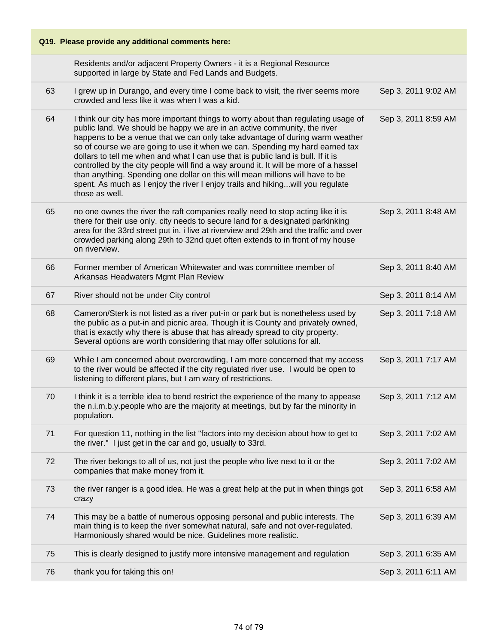| Q19. Please provide any additional comments here: |                                                                                                                                                                                                                                                                                                                                                                                                                                                                                                                                                                                                                                                                                                 |                     |
|---------------------------------------------------|-------------------------------------------------------------------------------------------------------------------------------------------------------------------------------------------------------------------------------------------------------------------------------------------------------------------------------------------------------------------------------------------------------------------------------------------------------------------------------------------------------------------------------------------------------------------------------------------------------------------------------------------------------------------------------------------------|---------------------|
|                                                   | Residents and/or adjacent Property Owners - it is a Regional Resource<br>supported in large by State and Fed Lands and Budgets.                                                                                                                                                                                                                                                                                                                                                                                                                                                                                                                                                                 |                     |
| 63                                                | I grew up in Durango, and every time I come back to visit, the river seems more<br>crowded and less like it was when I was a kid.                                                                                                                                                                                                                                                                                                                                                                                                                                                                                                                                                               | Sep 3, 2011 9:02 AM |
| 64                                                | I think our city has more important things to worry about than regulating usage of<br>public land. We should be happy we are in an active community, the river<br>happens to be a venue that we can only take advantage of during warm weather<br>so of course we are going to use it when we can. Spending my hard earned tax<br>dollars to tell me when and what I can use that is public land is bull. If it is<br>controlled by the city people will find a way around it. It will be more of a hassel<br>than anything. Spending one dollar on this will mean millions will have to be<br>spent. As much as I enjoy the river I enjoy trails and hikingwill you regulate<br>those as well. | Sep 3, 2011 8:59 AM |
| 65                                                | no one ownes the river the raft companies really need to stop acting like it is<br>there for their use only. city needs to secure land for a designated parkinking<br>area for the 33rd street put in. i live at riverview and 29th and the traffic and over<br>crowded parking along 29th to 32nd quet often extends to in front of my house<br>on riverview.                                                                                                                                                                                                                                                                                                                                  | Sep 3, 2011 8:48 AM |
| 66                                                | Former member of American Whitewater and was committee member of<br>Arkansas Headwaters Mgmt Plan Review                                                                                                                                                                                                                                                                                                                                                                                                                                                                                                                                                                                        | Sep 3, 2011 8:40 AM |
| 67                                                | River should not be under City control                                                                                                                                                                                                                                                                                                                                                                                                                                                                                                                                                                                                                                                          | Sep 3, 2011 8:14 AM |
| 68                                                | Cameron/Sterk is not listed as a river put-in or park but is nonetheless used by<br>the public as a put-in and picnic area. Though it is County and privately owned,<br>that is exactly why there is abuse that has already spread to city property.<br>Several options are worth considering that may offer solutions for all.                                                                                                                                                                                                                                                                                                                                                                 | Sep 3, 2011 7:18 AM |
| 69                                                | While I am concerned about overcrowding, I am more concerned that my access<br>to the river would be affected if the city regulated river use. I would be open to<br>listening to different plans, but I am wary of restrictions.                                                                                                                                                                                                                                                                                                                                                                                                                                                               | Sep 3, 2011 7:17 AM |
| 70                                                | I think it is a terrible idea to bend restrict the experience of the many to appease<br>the n.i.m.b.y.people who are the majority at meetings, but by far the minority in<br>population.                                                                                                                                                                                                                                                                                                                                                                                                                                                                                                        | Sep 3, 2011 7:12 AM |
| 71                                                | For question 11, nothing in the list "factors into my decision about how to get to<br>the river." I just get in the car and go, usually to 33rd.                                                                                                                                                                                                                                                                                                                                                                                                                                                                                                                                                | Sep 3, 2011 7:02 AM |
| 72                                                | The river belongs to all of us, not just the people who live next to it or the<br>companies that make money from it.                                                                                                                                                                                                                                                                                                                                                                                                                                                                                                                                                                            | Sep 3, 2011 7:02 AM |
| 73                                                | the river ranger is a good idea. He was a great help at the put in when things got<br>crazy                                                                                                                                                                                                                                                                                                                                                                                                                                                                                                                                                                                                     | Sep 3, 2011 6:58 AM |
| 74                                                | This may be a battle of numerous opposing personal and public interests. The<br>main thing is to keep the river somewhat natural, safe and not over-regulated.<br>Harmoniously shared would be nice. Guidelines more realistic.                                                                                                                                                                                                                                                                                                                                                                                                                                                                 | Sep 3, 2011 6:39 AM |
| 75                                                | This is clearly designed to justify more intensive management and regulation                                                                                                                                                                                                                                                                                                                                                                                                                                                                                                                                                                                                                    | Sep 3, 2011 6:35 AM |
| 76                                                | thank you for taking this on!                                                                                                                                                                                                                                                                                                                                                                                                                                                                                                                                                                                                                                                                   | Sep 3, 2011 6:11 AM |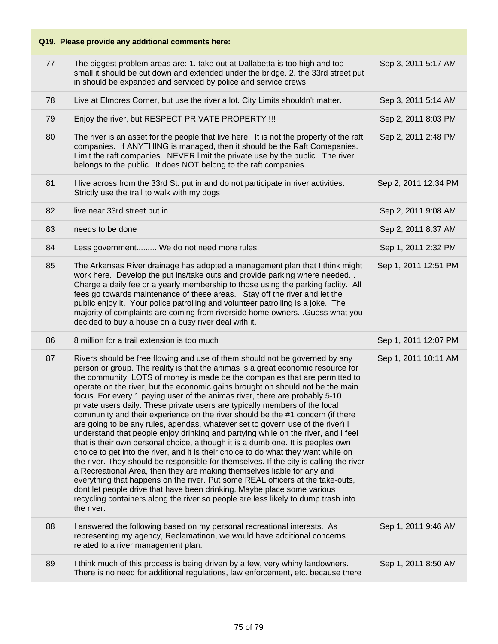| 77 | The biggest problem areas are: 1. take out at Dallabetta is too high and too<br>small, it should be cut down and extended under the bridge. 2. the 33rd street put<br>in should be expanded and serviced by police and service crews                                                                                                                                                                                                                                                                                                                                                                                                                                                                                                                                                                                                                                                                                                                                                                                                                                                                                                                                                                                                                                                                                                                                  | Sep 3, 2011 5:17 AM  |
|----|-----------------------------------------------------------------------------------------------------------------------------------------------------------------------------------------------------------------------------------------------------------------------------------------------------------------------------------------------------------------------------------------------------------------------------------------------------------------------------------------------------------------------------------------------------------------------------------------------------------------------------------------------------------------------------------------------------------------------------------------------------------------------------------------------------------------------------------------------------------------------------------------------------------------------------------------------------------------------------------------------------------------------------------------------------------------------------------------------------------------------------------------------------------------------------------------------------------------------------------------------------------------------------------------------------------------------------------------------------------------------|----------------------|
| 78 | Live at Elmores Corner, but use the river a lot. City Limits shouldn't matter.                                                                                                                                                                                                                                                                                                                                                                                                                                                                                                                                                                                                                                                                                                                                                                                                                                                                                                                                                                                                                                                                                                                                                                                                                                                                                        | Sep 3, 2011 5:14 AM  |
| 79 | Enjoy the river, but RESPECT PRIVATE PROPERTY !!!                                                                                                                                                                                                                                                                                                                                                                                                                                                                                                                                                                                                                                                                                                                                                                                                                                                                                                                                                                                                                                                                                                                                                                                                                                                                                                                     | Sep 2, 2011 8:03 PM  |
| 80 | The river is an asset for the people that live here. It is not the property of the raft<br>companies. If ANYTHING is managed, then it should be the Raft Comapanies.<br>Limit the raft companies. NEVER limit the private use by the public. The river<br>belongs to the public. It does NOT belong to the raft companies.                                                                                                                                                                                                                                                                                                                                                                                                                                                                                                                                                                                                                                                                                                                                                                                                                                                                                                                                                                                                                                            | Sep 2, 2011 2:48 PM  |
| 81 | I live across from the 33rd St. put in and do not participate in river activities.<br>Strictly use the trail to walk with my dogs                                                                                                                                                                                                                                                                                                                                                                                                                                                                                                                                                                                                                                                                                                                                                                                                                                                                                                                                                                                                                                                                                                                                                                                                                                     | Sep 2, 2011 12:34 PM |
| 82 | live near 33rd street put in                                                                                                                                                                                                                                                                                                                                                                                                                                                                                                                                                                                                                                                                                                                                                                                                                                                                                                                                                                                                                                                                                                                                                                                                                                                                                                                                          | Sep 2, 2011 9:08 AM  |
| 83 | needs to be done                                                                                                                                                                                                                                                                                                                                                                                                                                                                                                                                                                                                                                                                                                                                                                                                                                                                                                                                                                                                                                                                                                                                                                                                                                                                                                                                                      | Sep 2, 2011 8:37 AM  |
| 84 | Less government We do not need more rules.                                                                                                                                                                                                                                                                                                                                                                                                                                                                                                                                                                                                                                                                                                                                                                                                                                                                                                                                                                                                                                                                                                                                                                                                                                                                                                                            | Sep 1, 2011 2:32 PM  |
| 85 | The Arkansas River drainage has adopted a management plan that I think might<br>work here. Develop the put ins/take outs and provide parking where needed<br>Charge a daily fee or a yearly membership to those using the parking faclity. All<br>fees go towards maintenance of these areas. Stay off the river and let the<br>public enjoy it. Your police patrolling and volunteer patrolling is a joke. The<br>majority of complaints are coming from riverside home ownersGuess what you<br>decided to buy a house on a busy river deal with it.                                                                                                                                                                                                                                                                                                                                                                                                                                                                                                                                                                                                                                                                                                                                                                                                                 | Sep 1, 2011 12:51 PM |
| 86 | 8 million for a trail extension is too much                                                                                                                                                                                                                                                                                                                                                                                                                                                                                                                                                                                                                                                                                                                                                                                                                                                                                                                                                                                                                                                                                                                                                                                                                                                                                                                           | Sep 1, 2011 12:07 PM |
| 87 | Rivers should be free flowing and use of them should not be governed by any<br>person or group. The reality is that the animas is a great economic resource for<br>the community. LOTS of money is made be the companies that are permitted to<br>operate on the river, but the economic gains brought on should not be the main<br>focus. For every 1 paying user of the animas river, there are probably 5-10<br>private users daily. These private users are typically members of the local<br>community and their experience on the river should be the #1 concern (if there<br>are going to be any rules, agendas, whatever set to govern use of the river) I<br>understand that people enjoy drinking and partying while on the river, and I feel<br>that is their own personal choice, although it is a dumb one. It is peoples own<br>choice to get into the river, and it is their choice to do what they want while on<br>the river. They should be responsible for themselves. If the city is calling the river<br>a Recreational Area, then they are making themselves liable for any and<br>everything that happens on the river. Put some REAL officers at the take-outs,<br>dont let people drive that have been drinking. Maybe place some various<br>recycling containers along the river so people are less likely to dump trash into<br>the river. | Sep 1, 2011 10:11 AM |
|    |                                                                                                                                                                                                                                                                                                                                                                                                                                                                                                                                                                                                                                                                                                                                                                                                                                                                                                                                                                                                                                                                                                                                                                                                                                                                                                                                                                       |                      |
| 88 | I answered the following based on my personal recreational interests. As<br>representing my agency, Reclamatinon, we would have additional concerns<br>related to a river management plan.                                                                                                                                                                                                                                                                                                                                                                                                                                                                                                                                                                                                                                                                                                                                                                                                                                                                                                                                                                                                                                                                                                                                                                            | Sep 1, 2011 9:46 AM  |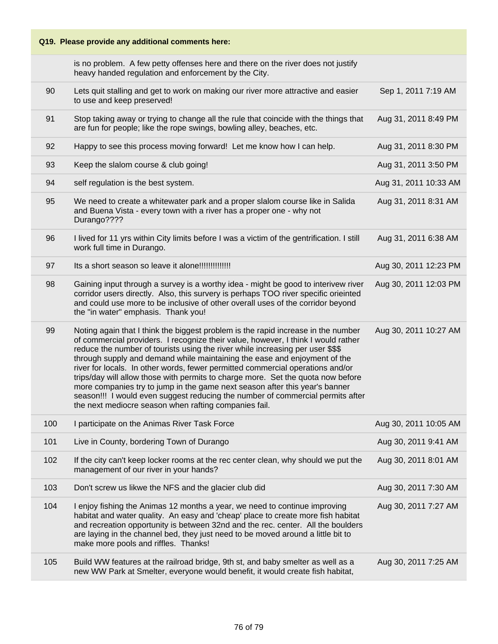# **Q19. Please provide any additional comments here:** is no problem. A few petty offenses here and there on the river does not justify heavy handed regulation and enforcement by the City. 90 Lets quit stalling and get to work on making our river more attractive and easier to use and keep preserved! Sep 1, 2011 7:19 AM 91 Stop taking away or trying to change all the rule that coincide with the things that are fun for people; like the rope swings, bowling alley, beaches, etc. Aug 31, 2011 8:49 PM 92 Happy to see this process moving forward! Let me know how I can help. Aug 31, 2011 8:30 PM 93 Keep the slalom course & club going! Aug 31, 2011 3:50 PM 94 self regulation is the best system. Aug 31, 2011 10:33 AM 95 We need to create a whitewater park and a proper slalom course like in Salida and Buena Vista - every town with a river has a proper one - why not Durango???? Aug 31, 2011 8:31 AM 96 I lived for 11 yrs within City limits before I was a victim of the gentrification. I still work full time in Durango. Aug 31, 2011 6:38 AM 97 Its a short season so leave it alone!!!!!!!!!!!!!! Aug 30, 2011 12:23 PM 98 Gaining input through a survey is a worthy idea - might be good to interivew river corridor users directly. Also, this survery is perhaps TOO river specific orieinted and could use more to be inclusive of other overall uses of the corridor beyond the "in water" emphasis. Thank you! Aug 30, 2011 12:03 PM 99 Noting again that I think the biggest problem is the rapid increase in the number of commercial providers. I recognize their value, however, I think I would rather reduce the number of tourists using the river while increasing per user \$\$\$ through supply and demand while maintaining the ease and enjoyment of the river for locals. In other words, fewer permitted commercial operations and/or trips/day will allow those with permits to charge more. Set the quota now before more companies try to jump in the game next season after this year's banner season!!! I would even suggest reducing the number of commercial permits after the next mediocre season when rafting companies fail. Aug 30, 2011 10:27 AM 100 I participate on the Animas River Task Force Aug 30, 2011 10:05 AM 101 Live in County, bordering Town of Durango **Aug 30, 2011 9:41 AM** 102 If the city can't keep locker rooms at the rec center clean, why should we put the management of our river in your hands? Aug 30, 2011 8:01 AM 103 Don't screw us likwe the NFS and the glacier club did Aug 30, 2011 7:30 AM 104 I enjoy fishing the Animas 12 months a year, we need to continue improving habitat and water quality. An easy and 'cheap' place to create more fish habitat and recreation opportunity is between 32nd and the rec. center. All the boulders are laying in the channel bed, they just need to be moved around a little bit to make more pools and riffles. Thanks! Aug 30, 2011 7:27 AM

105 Build WW features at the railroad bridge, 9th st, and baby smelter as well as a new WW Park at Smelter, everyone would benefit, it would create fish habitat, Aug 30, 2011 7:25 AM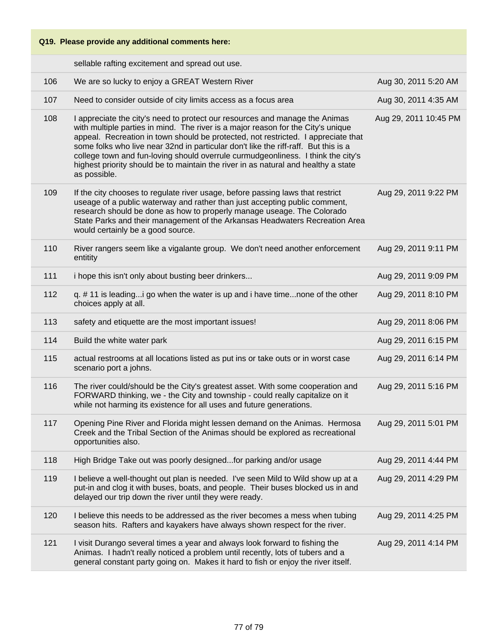sellable rafting excitement and spread out use.

| 106 | We are so lucky to enjoy a GREAT Western River                                                                                                                                                                                                                                                                                                                                                                                                                                                                                        | Aug 30, 2011 5:20 AM  |
|-----|---------------------------------------------------------------------------------------------------------------------------------------------------------------------------------------------------------------------------------------------------------------------------------------------------------------------------------------------------------------------------------------------------------------------------------------------------------------------------------------------------------------------------------------|-----------------------|
| 107 | Need to consider outside of city limits access as a focus area                                                                                                                                                                                                                                                                                                                                                                                                                                                                        | Aug 30, 2011 4:35 AM  |
| 108 | I appreciate the city's need to protect our resources and manage the Animas<br>with multiple parties in mind. The river is a major reason for the City's unique<br>appeal. Recreation in town should be protected, not restricted. I appreciate that<br>some folks who live near 32nd in particular don't like the riff-raff. But this is a<br>college town and fun-loving should overrule curmudgeonliness. I think the city's<br>highest priority should be to maintain the river in as natural and healthy a state<br>as possible. | Aug 29, 2011 10:45 PM |
| 109 | If the city chooses to regulate river usage, before passing laws that restrict<br>useage of a public waterway and rather than just accepting public comment,<br>research should be done as how to properly manage useage. The Colorado<br>State Parks and their management of the Arkansas Headwaters Recreation Area<br>would certainly be a good source.                                                                                                                                                                            | Aug 29, 2011 9:22 PM  |
| 110 | River rangers seem like a vigalante group. We don't need another enforcement<br>entitity                                                                                                                                                                                                                                                                                                                                                                                                                                              | Aug 29, 2011 9:11 PM  |
| 111 | i hope this isn't only about busting beer drinkers                                                                                                                                                                                                                                                                                                                                                                                                                                                                                    | Aug 29, 2011 9:09 PM  |
| 112 | q. #11 is leading i go when the water is up and i have timenone of the other<br>choices apply at all.                                                                                                                                                                                                                                                                                                                                                                                                                                 | Aug 29, 2011 8:10 PM  |
| 113 | safety and etiquette are the most important issues!                                                                                                                                                                                                                                                                                                                                                                                                                                                                                   | Aug 29, 2011 8:06 PM  |
| 114 | Build the white water park                                                                                                                                                                                                                                                                                                                                                                                                                                                                                                            | Aug 29, 2011 6:15 PM  |
| 115 | actual restrooms at all locations listed as put ins or take outs or in worst case<br>scenario port a johns.                                                                                                                                                                                                                                                                                                                                                                                                                           | Aug 29, 2011 6:14 PM  |
| 116 | The river could/should be the City's greatest asset. With some cooperation and<br>FORWARD thinking, we - the City and township - could really capitalize on it<br>while not harming its existence for all uses and future generations.                                                                                                                                                                                                                                                                                                | Aug 29, 2011 5:16 PM  |
| 117 | Opening Pine River and Florida might lessen demand on the Animas. Hermosa<br>Creek and the Tribal Section of the Animas should be explored as recreational<br>opportunities also.                                                                                                                                                                                                                                                                                                                                                     | Aug 29, 2011 5:01 PM  |
| 118 | High Bridge Take out was poorly designedfor parking and/or usage                                                                                                                                                                                                                                                                                                                                                                                                                                                                      | Aug 29, 2011 4:44 PM  |
| 119 | I believe a well-thought out plan is needed. I've seen Mild to Wild show up at a<br>put-in and clog it with buses, boats, and people. Their buses blocked us in and<br>delayed our trip down the river until they were ready.                                                                                                                                                                                                                                                                                                         | Aug 29, 2011 4:29 PM  |
| 120 | I believe this needs to be addressed as the river becomes a mess when tubing<br>season hits. Rafters and kayakers have always shown respect for the river.                                                                                                                                                                                                                                                                                                                                                                            | Aug 29, 2011 4:25 PM  |
| 121 | I visit Durango several times a year and always look forward to fishing the<br>Animas. I hadn't really noticed a problem until recently, lots of tubers and a<br>general constant party going on. Makes it hard to fish or enjoy the river itself.                                                                                                                                                                                                                                                                                    | Aug 29, 2011 4:14 PM  |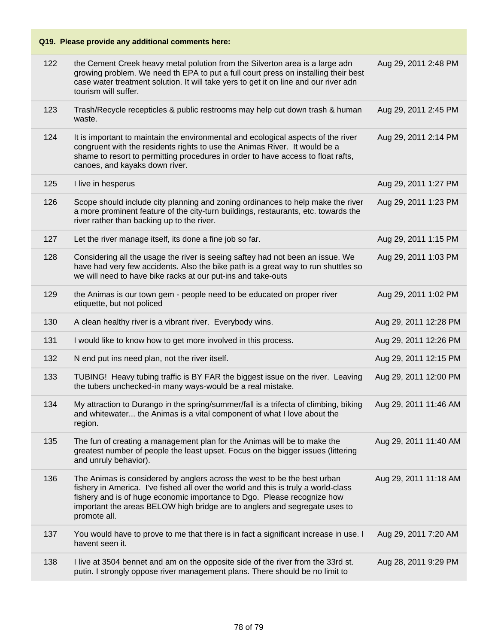| 122 | the Cement Creek heavy metal polution from the Silverton area is a large adn<br>growing problem. We need th EPA to put a full court press on installing their best<br>case water treatment solution. It will take yers to get it on line and our river adn<br>tourism will suffer.                                                      | Aug 29, 2011 2:48 PM  |
|-----|-----------------------------------------------------------------------------------------------------------------------------------------------------------------------------------------------------------------------------------------------------------------------------------------------------------------------------------------|-----------------------|
| 123 | Trash/Recycle recepticles & public restrooms may help cut down trash & human<br>waste.                                                                                                                                                                                                                                                  | Aug 29, 2011 2:45 PM  |
| 124 | It is important to maintain the environmental and ecological aspects of the river<br>congruent with the residents rights to use the Animas River. It would be a<br>shame to resort to permitting procedures in order to have access to float rafts,<br>canoes, and kayaks down river.                                                   | Aug 29, 2011 2:14 PM  |
| 125 | I live in hesperus                                                                                                                                                                                                                                                                                                                      | Aug 29, 2011 1:27 PM  |
| 126 | Scope should include city planning and zoning ordinances to help make the river<br>a more prominent feature of the city-turn buildings, restaurants, etc. towards the<br>river rather than backing up to the river.                                                                                                                     | Aug 29, 2011 1:23 PM  |
| 127 | Let the river manage itself, its done a fine job so far.                                                                                                                                                                                                                                                                                | Aug 29, 2011 1:15 PM  |
| 128 | Considering all the usage the river is seeing saftey had not been an issue. We<br>have had very few accidents. Also the bike path is a great way to run shuttles so<br>we will need to have bike racks at our put-ins and take-outs                                                                                                     | Aug 29, 2011 1:03 PM  |
| 129 | the Animas is our town gem - people need to be educated on proper river<br>etiquette, but not policed                                                                                                                                                                                                                                   | Aug 29, 2011 1:02 PM  |
|     |                                                                                                                                                                                                                                                                                                                                         |                       |
| 130 | A clean healthy river is a vibrant river. Everybody wins.                                                                                                                                                                                                                                                                               | Aug 29, 2011 12:28 PM |
| 131 | I would like to know how to get more involved in this process.                                                                                                                                                                                                                                                                          | Aug 29, 2011 12:26 PM |
| 132 | N end put ins need plan, not the river itself.                                                                                                                                                                                                                                                                                          | Aug 29, 2011 12:15 PM |
| 133 | TUBING! Heavy tubing traffic is BY FAR the biggest issue on the river. Leaving<br>the tubers unchecked-in many ways-would be a real mistake.                                                                                                                                                                                            | Aug 29, 2011 12:00 PM |
| 134 | My attraction to Durango in the spring/summer/fall is a trifecta of climbing, biking<br>and whitewater the Animas is a vital component of what I love about the<br>region.                                                                                                                                                              | Aug 29, 2011 11:46 AM |
| 135 | The fun of creating a management plan for the Animas will be to make the<br>greatest number of people the least upset. Focus on the bigger issues (littering<br>and unruly behavior).                                                                                                                                                   | Aug 29, 2011 11:40 AM |
| 136 | The Animas is considered by anglers across the west to be the best urban<br>fishery in America. I've fished all over the world and this is truly a world-class<br>fishery and is of huge economic importance to Dgo. Please recognize how<br>important the areas BELOW high bridge are to anglers and segregate uses to<br>promote all. | Aug 29, 2011 11:18 AM |
| 137 | You would have to prove to me that there is in fact a significant increase in use. I<br>havent seen it.                                                                                                                                                                                                                                 | Aug 29, 2011 7:20 AM  |